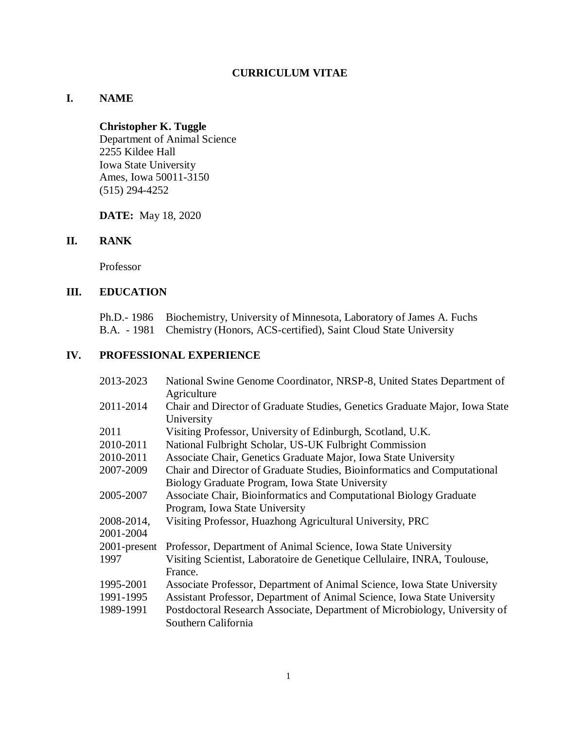# **CURRICULUM VITAE**

# **I. NAME**

# **Christopher K. Tuggle**

Department of Animal Science 2255 Kildee Hall Iowa State University Ames, Iowa 50011-3150 (515) 294-4252

**DATE:** May 18, 2020

# **II. RANK**

Professor

# **III. EDUCATION**

| Ph.D.- 1986 Biochemistry, University of Minnesota, Laboratory of James A. Fuchs |
|---------------------------------------------------------------------------------|
| B.A. - 1981 Chemistry (Honors, ACS-certified), Saint Cloud State University     |

# **IV. PROFESSIONAL EXPERIENCE**

| 2013-2023               | National Swine Genome Coordinator, NRSP-8, United States Department of<br>Agriculture                |  |  |  |
|-------------------------|------------------------------------------------------------------------------------------------------|--|--|--|
| 2011-2014               | Chair and Director of Graduate Studies, Genetics Graduate Major, Iowa State<br>University            |  |  |  |
| 2011                    | Visiting Professor, University of Edinburgh, Scotland, U.K.                                          |  |  |  |
| 2010-2011               | National Fulbright Scholar, US-UK Fulbright Commission                                               |  |  |  |
| 2010-2011               | Associate Chair, Genetics Graduate Major, Iowa State University                                      |  |  |  |
| 2007-2009               | Chair and Director of Graduate Studies, Bioinformatics and Computational                             |  |  |  |
|                         | Biology Graduate Program, Iowa State University                                                      |  |  |  |
| 2005-2007               | Associate Chair, Bioinformatics and Computational Biology Graduate<br>Program, Iowa State University |  |  |  |
| 2008-2014,<br>2001-2004 | Visiting Professor, Huazhong Agricultural University, PRC                                            |  |  |  |
| 2001-present            | Professor, Department of Animal Science, Iowa State University                                       |  |  |  |
| 1997                    | Visiting Scientist, Laboratoire de Genetique Cellulaire, INRA, Toulouse,<br>France.                  |  |  |  |
| 1995-2001               | Associate Professor, Department of Animal Science, Iowa State University                             |  |  |  |
| 1991-1995               | Assistant Professor, Department of Animal Science, Iowa State University                             |  |  |  |
| 1989-1991               | Postdoctoral Research Associate, Department of Microbiology, University of<br>Southern California    |  |  |  |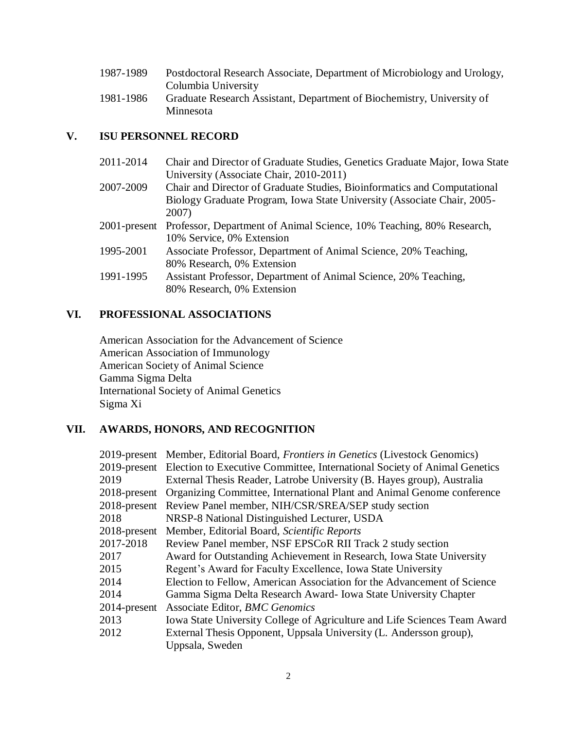| 1987-1989 | Postdoctoral Research Associate, Department of Microbiology and Urology, |
|-----------|--------------------------------------------------------------------------|
|           | Columbia University                                                      |
| 1981-1986 | Graduate Research Assistant, Department of Biochemistry, University of   |
|           | Minnesota                                                                |

# **V. ISU PERSONNEL RECORD**

| Chair and Director of Graduate Studies, Genetics Graduate Major, Iowa State       |
|-----------------------------------------------------------------------------------|
| University (Associate Chair, 2010-2011)                                           |
| Chair and Director of Graduate Studies, Bioinformatics and Computational          |
| Biology Graduate Program, Iowa State University (Associate Chair, 2005-           |
| 2007)                                                                             |
| 2001-present Professor, Department of Animal Science, 10% Teaching, 80% Research, |
| 10% Service, 0% Extension                                                         |
| Associate Professor, Department of Animal Science, 20% Teaching,                  |
| 80% Research, 0% Extension                                                        |
| Assistant Professor, Department of Animal Science, 20% Teaching,                  |
| 80% Research, 0% Extension                                                        |
|                                                                                   |

# **VI. PROFESSIONAL ASSOCIATIONS**

American Association for the Advancement of Science American Association of Immunology American Society of Animal Science Gamma Sigma Delta International Society of Animal Genetics Sigma Xi

# **VII. AWARDS, HONORS, AND RECOGNITION**

|              | 2019-present Member, Editorial Board, Frontiers in Genetics (Livestock Genomics)       |  |  |  |
|--------------|----------------------------------------------------------------------------------------|--|--|--|
|              | 2019-present Election to Executive Committee, International Society of Animal Genetics |  |  |  |
| 2019         | External Thesis Reader, Latrobe University (B. Hayes group), Australia                 |  |  |  |
| 2018-present | Organizing Committee, International Plant and Animal Genome conference                 |  |  |  |
| 2018-present | Review Panel member, NIH/CSR/SREA/SEP study section                                    |  |  |  |
| 2018         | NRSP-8 National Distinguished Lecturer, USDA                                           |  |  |  |
| 2018-present | Member, Editorial Board, Scientific Reports                                            |  |  |  |
| 2017-2018    | Review Panel member, NSF EPSCoR RII Track 2 study section                              |  |  |  |
| 2017         | Award for Outstanding Achievement in Research, Iowa State University                   |  |  |  |
| 2015         | Regent's Award for Faculty Excellence, Iowa State University                           |  |  |  |
| 2014         | Election to Fellow, American Association for the Advancement of Science                |  |  |  |
| 2014         | Gamma Sigma Delta Research Award - Iowa State University Chapter                       |  |  |  |
| 2014-present | Associate Editor, BMC Genomics                                                         |  |  |  |
| 2013         | Iowa State University College of Agriculture and Life Sciences Team Award              |  |  |  |
| 2012         | External Thesis Opponent, Uppsala University (L. Andersson group),                     |  |  |  |
|              | Uppsala, Sweden                                                                        |  |  |  |
|              |                                                                                        |  |  |  |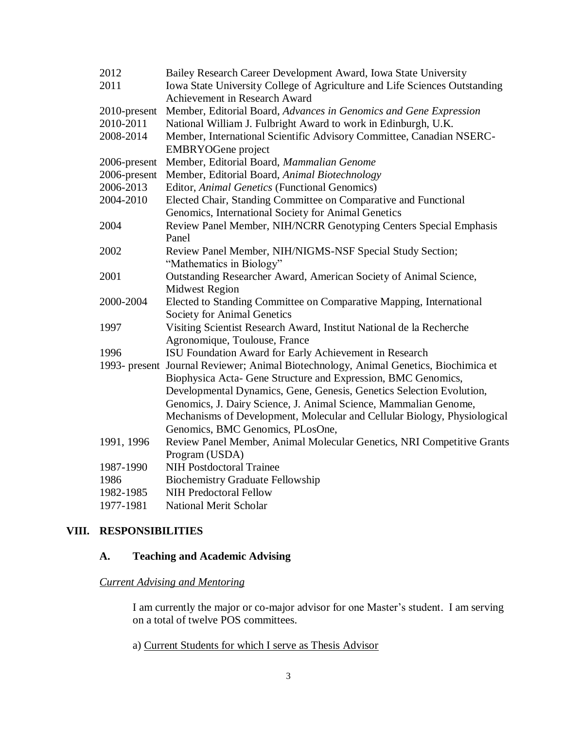| 2012                                                                              | Bailey Research Career Development Award, Iowa State University                      |  |  |  |  |
|-----------------------------------------------------------------------------------|--------------------------------------------------------------------------------------|--|--|--|--|
| 2011                                                                              | Iowa State University College of Agriculture and Life Sciences Outstanding           |  |  |  |  |
|                                                                                   | Achievement in Research Award                                                        |  |  |  |  |
| 2010-present                                                                      | Member, Editorial Board, Advances in Genomics and Gene Expression                    |  |  |  |  |
| 2010-2011                                                                         | National William J. Fulbright Award to work in Edinburgh, U.K.                       |  |  |  |  |
| Member, International Scientific Advisory Committee, Canadian NSERC-<br>2008-2014 |                                                                                      |  |  |  |  |
|                                                                                   | <b>EMBRYOGene</b> project                                                            |  |  |  |  |
| 2006-present                                                                      | Member, Editorial Board, Mammalian Genome                                            |  |  |  |  |
| 2006-present                                                                      | Member, Editorial Board, Animal Biotechnology                                        |  |  |  |  |
| 2006-2013                                                                         | Editor, Animal Genetics (Functional Genomics)                                        |  |  |  |  |
| 2004-2010                                                                         | Elected Chair, Standing Committee on Comparative and Functional                      |  |  |  |  |
|                                                                                   | Genomics, International Society for Animal Genetics                                  |  |  |  |  |
| 2004                                                                              | Review Panel Member, NIH/NCRR Genotyping Centers Special Emphasis                    |  |  |  |  |
|                                                                                   | Panel                                                                                |  |  |  |  |
| 2002                                                                              | Review Panel Member, NIH/NIGMS-NSF Special Study Section;                            |  |  |  |  |
|                                                                                   | "Mathematics in Biology"                                                             |  |  |  |  |
| 2001                                                                              | Outstanding Researcher Award, American Society of Animal Science,                    |  |  |  |  |
|                                                                                   | <b>Midwest Region</b>                                                                |  |  |  |  |
| 2000-2004                                                                         | Elected to Standing Committee on Comparative Mapping, International                  |  |  |  |  |
|                                                                                   | Society for Animal Genetics                                                          |  |  |  |  |
| 1997                                                                              | Visiting Scientist Research Award, Institut National de la Recherche                 |  |  |  |  |
|                                                                                   | Agronomique, Toulouse, France                                                        |  |  |  |  |
| 1996                                                                              | ISU Foundation Award for Early Achievement in Research                               |  |  |  |  |
|                                                                                   | 1993- present Journal Reviewer; Animal Biotechnology, Animal Genetics, Biochimica et |  |  |  |  |
|                                                                                   | Biophysica Acta- Gene Structure and Expression, BMC Genomics,                        |  |  |  |  |
|                                                                                   | Developmental Dynamics, Gene, Genesis, Genetics Selection Evolution,                 |  |  |  |  |
|                                                                                   | Genomics, J. Dairy Science, J. Animal Science, Mammalian Genome,                     |  |  |  |  |
|                                                                                   | Mechanisms of Development, Molecular and Cellular Biology, Physiological             |  |  |  |  |
|                                                                                   | Genomics, BMC Genomics, PLosOne,                                                     |  |  |  |  |
| 1991, 1996                                                                        | Review Panel Member, Animal Molecular Genetics, NRI Competitive Grants               |  |  |  |  |
|                                                                                   | Program (USDA)                                                                       |  |  |  |  |
| 1987-1990                                                                         | <b>NIH Postdoctoral Trainee</b>                                                      |  |  |  |  |
| 1986                                                                              | <b>Biochemistry Graduate Fellowship</b>                                              |  |  |  |  |
| 1982-1985                                                                         | <b>NIH Predoctoral Fellow</b>                                                        |  |  |  |  |
| 1977-1981                                                                         | <b>National Merit Scholar</b>                                                        |  |  |  |  |

# **VIII. RESPONSIBILITIES**

# **A. Teaching and Academic Advising**

# *Current Advising and Mentoring*

I am currently the major or co-major advisor for one Master's student. I am serving on a total of twelve POS committees.

a) Current Students for which I serve as Thesis Advisor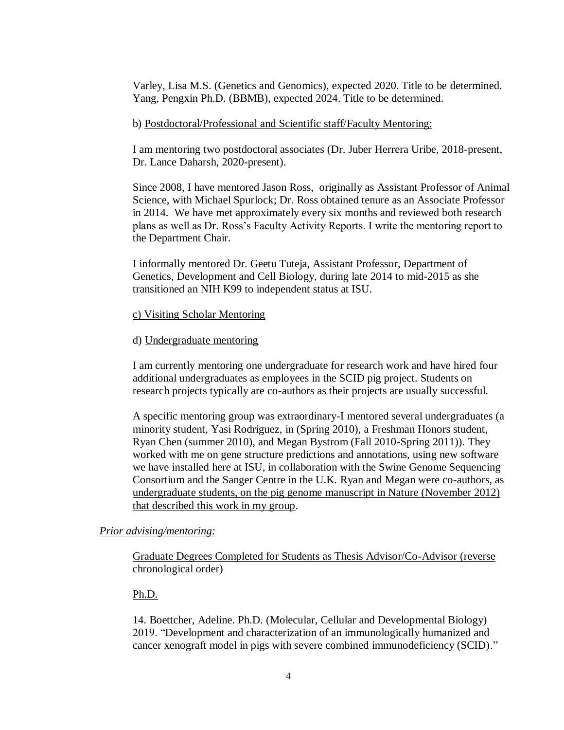Varley, Lisa M.S. (Genetics and Genomics), expected 2020. Title to be determined. Yang, Pengxin Ph.D. (BBMB), expected 2024. Title to be determined.

## b) Postdoctoral/Professional and Scientific staff/Faculty Mentoring:

I am mentoring two postdoctoral associates (Dr. Juber Herrera Uribe, 2018-present, Dr. Lance Daharsh, 2020-present).

Since 2008, I have mentored Jason Ross, originally as Assistant Professor of Animal Science, with Michael Spurlock; Dr. Ross obtained tenure as an Associate Professor in 2014. We have met approximately every six months and reviewed both research plans as well as Dr. Ross's Faculty Activity Reports. I write the mentoring report to the Department Chair.

I informally mentored Dr. Geetu Tuteja, Assistant Professor, Department of Genetics, Development and Cell Biology, during late 2014 to mid-2015 as she transitioned an NIH K99 to independent status at ISU.

## c) Visiting Scholar Mentoring

### d) Undergraduate mentoring

I am currently mentoring one undergraduate for research work and have hired four additional undergraduates as employees in the SCID pig project. Students on research projects typically are co-authors as their projects are usually successful.

A specific mentoring group was extraordinary-I mentored several undergraduates (a minority student, Yasi Rodriguez, in (Spring 2010), a Freshman Honors student, Ryan Chen (summer 2010), and Megan Bystrom (Fall 2010-Spring 2011)). They worked with me on gene structure predictions and annotations, using new software we have installed here at ISU, in collaboration with the Swine Genome Sequencing Consortium and the Sanger Centre in the U.K. Ryan and Megan were co-authors, as undergraduate students, on the pig genome manuscript in Nature (November 2012) that described this work in my group.

## *Prior advising/mentoring:*

Graduate Degrees Completed for Students as Thesis Advisor/Co-Advisor (reverse chronological order)

## Ph.D.

14. Boettcher, Adeline. Ph.D. (Molecular, Cellular and Developmental Biology) 2019. "Development and characterization of an immunologically humanized and cancer xenograft model in pigs with severe combined immunodeficiency (SCID)."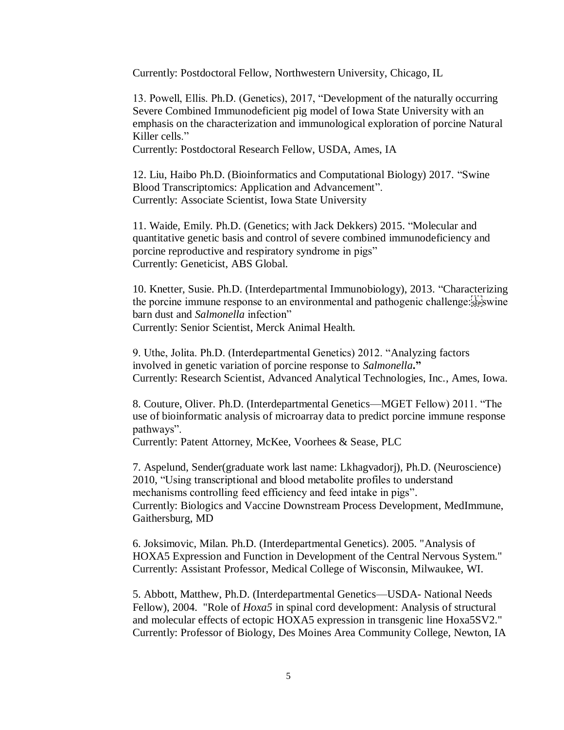Currently: Postdoctoral Fellow, Northwestern University, Chicago, IL

13. Powell, Ellis. Ph.D. (Genetics), 2017, "Development of the naturally occurring Severe Combined Immunodeficient pig model of Iowa State University with an emphasis on the characterization and immunological exploration of porcine Natural Killer cells."

Currently: Postdoctoral Research Fellow, USDA, Ames, IA

12. Liu, Haibo Ph.D. (Bioinformatics and Computational Biology) 2017. "Swine Blood Transcriptomics: Application and Advancement". Currently: Associate Scientist, Iowa State University

11. Waide, Emily. Ph.D. (Genetics; with Jack Dekkers) 2015. "Molecular and quantitative genetic basis and control of severe combined immunodeficiency and porcine reproductive and respiratory syndrome in pigs" Currently: Geneticist, ABS Global.

10. Knetter, Susie. Ph.D. (Interdepartmental Immunobiology), 2013. "Characterizing the porcine immune response to an environmental and pathogenic challenge: $\frac{[1]}{[sep]}$ swine barn dust and *Salmonella* infection" Currently: Senior Scientist, Merck Animal Health.

9. Uthe, Jolita. Ph.D. (Interdepartmental Genetics) 2012. "Analyzing factors

involved in genetic variation of porcine response to *Salmonella***."** Currently: Research Scientist, Advanced Analytical Technologies, Inc., Ames, Iowa.

8. Couture, Oliver. Ph.D. (Interdepartmental Genetics—MGET Fellow) 2011. "The use of bioinformatic analysis of microarray data to predict porcine immune response pathways".

Currently: Patent Attorney, McKee, Voorhees & Sease, PLC

7. Aspelund, Sender(graduate work last name: Lkhagvadorj), Ph.D. (Neuroscience) 2010, "Using transcriptional and blood metabolite profiles to understand mechanisms controlling feed efficiency and feed intake in pigs". Currently: Biologics and Vaccine Downstream Process Development, MedImmune, Gaithersburg, MD

6. Joksimovic, Milan. Ph.D. (Interdepartmental Genetics). 2005. "Analysis of HOXA5 Expression and Function in Development of the Central Nervous System." Currently: Assistant Professor, Medical College of Wisconsin, Milwaukee, WI.

5. Abbott, Matthew, Ph.D. (Interdepartmental Genetics—USDA- National Needs Fellow), 2004. "Role of *Hoxa5* in spinal cord development: Analysis of structural and molecular effects of ectopic HOXA5 expression in transgenic line Hoxa5SV2." Currently: Professor of Biology, Des Moines Area Community College, Newton, IA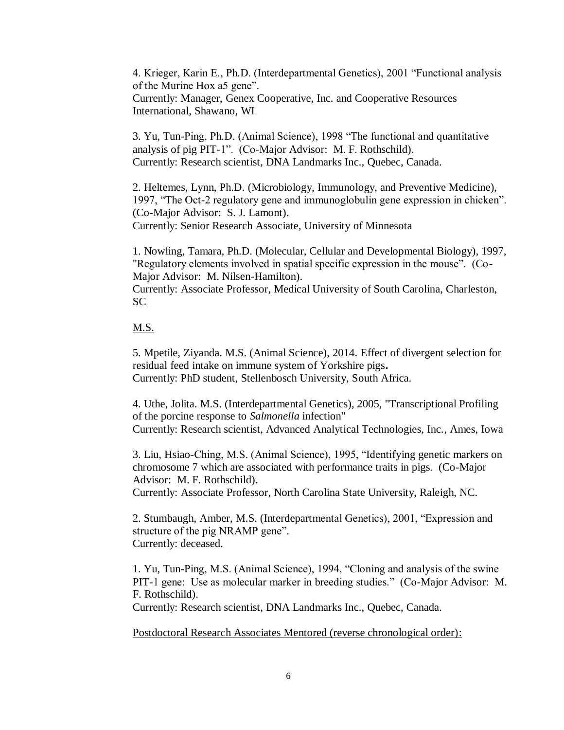4. Krieger, Karin E., Ph.D. (Interdepartmental Genetics), 2001 "Functional analysis of the Murine Hox a5 gene". Currently: Manager, Genex Cooperative, Inc. and Cooperative Resources International, Shawano, WI

3. Yu, Tun-Ping, Ph.D. (Animal Science), 1998 "The functional and quantitative analysis of pig PIT-1". (Co-Major Advisor: M. F. Rothschild). Currently: Research scientist, DNA Landmarks Inc., Quebec, Canada.

2. Heltemes, Lynn, Ph.D. (Microbiology, Immunology, and Preventive Medicine), 1997, "The Oct-2 regulatory gene and immunoglobulin gene expression in chicken". (Co-Major Advisor: S. J. Lamont).

Currently: Senior Research Associate, University of Minnesota

1. Nowling, Tamara, Ph.D. (Molecular, Cellular and Developmental Biology), 1997, "Regulatory elements involved in spatial specific expression in the mouse". (Co-Major Advisor: M. Nilsen-Hamilton).

Currently: Associate Professor, Medical University of South Carolina, Charleston, SC

## M.S.

5. Mpetile, Ziyanda. M.S. (Animal Science), 2014. Effect of divergent selection for residual feed intake on immune system of Yorkshire pigs**.** Currently: PhD student, Stellenbosch University, South Africa.

4. Uthe, Jolita. M.S. (Interdepartmental Genetics), 2005, "Transcriptional Profiling of the porcine response to *Salmonella* infection" Currently: Research scientist, Advanced Analytical Technologies, Inc., Ames, Iowa

3. Liu, Hsiao-Ching, M.S. (Animal Science), 1995, "Identifying genetic markers on chromosome 7 which are associated with performance traits in pigs. (Co-Major Advisor: M. F. Rothschild).

Currently: Associate Professor, North Carolina State University, Raleigh, NC.

2. Stumbaugh, Amber, M.S. (Interdepartmental Genetics), 2001, "Expression and structure of the pig NRAMP gene". Currently: deceased.

1. Yu, Tun-Ping, M.S. (Animal Science), 1994, "Cloning and analysis of the swine PIT-1 gene: Use as molecular marker in breeding studies." (Co-Major Advisor: M. F. Rothschild).

Currently: Research scientist, DNA Landmarks Inc., Quebec, Canada.

Postdoctoral Research Associates Mentored (reverse chronological order):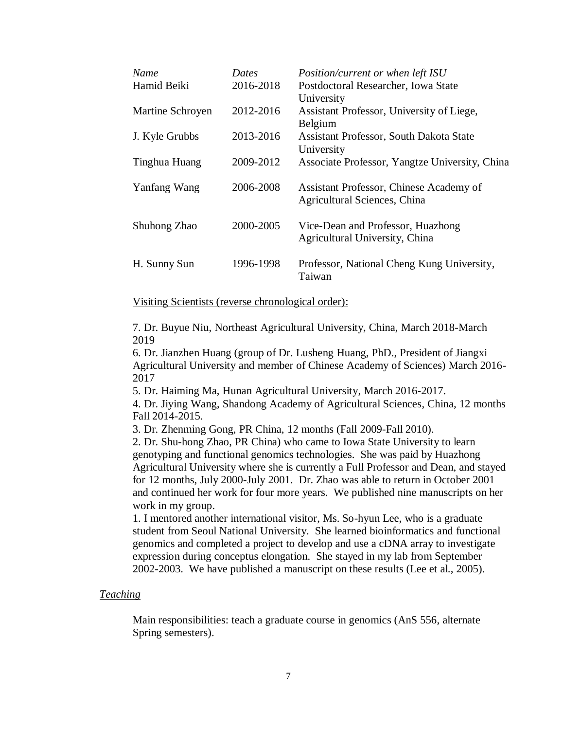| Name             | Dates     | Position/current or when left ISU                                       |
|------------------|-----------|-------------------------------------------------------------------------|
| Hamid Beiki      | 2016-2018 | Postdoctoral Researcher, Iowa State                                     |
|                  |           | University                                                              |
| Martine Schroyen | 2012-2016 | Assistant Professor, University of Liege,                               |
|                  |           | Belgium                                                                 |
| J. Kyle Grubbs   | 2013-2016 | <b>Assistant Professor, South Dakota State</b>                          |
|                  |           | University                                                              |
| Tinghua Huang    | 2009-2012 | Associate Professor, Yangtze University, China                          |
| Yanfang Wang     | 2006-2008 | Assistant Professor, Chinese Academy of<br>Agricultural Sciences, China |
|                  |           |                                                                         |
| Shuhong Zhao     | 2000-2005 | Vice-Dean and Professor, Huazhong<br>Agricultural University, China     |
| H. Sunny Sun     | 1996-1998 | Professor, National Cheng Kung University,<br>Taiwan                    |

Visiting Scientists (reverse chronological order):

7. Dr. Buyue Niu, Northeast Agricultural University, China, March 2018-March 2019

6. Dr. Jianzhen Huang (group of Dr. Lusheng Huang, PhD., President of Jiangxi Agricultural University and member of Chinese Academy of Sciences) March 2016- 2017

5. Dr. Haiming Ma, Hunan Agricultural University, March 2016-2017.

4. Dr. Jiying Wang, Shandong Academy of Agricultural Sciences, China, 12 months Fall 2014-2015.

3. Dr. Zhenming Gong, PR China, 12 months (Fall 2009-Fall 2010).

2. Dr. Shu-hong Zhao, PR China) who came to Iowa State University to learn genotyping and functional genomics technologies. She was paid by Huazhong Agricultural University where she is currently a Full Professor and Dean, and stayed for 12 months, July 2000-July 2001. Dr. Zhao was able to return in October 2001 and continued her work for four more years. We published nine manuscripts on her work in my group.

1. I mentored another international visitor, Ms. So-hyun Lee, who is a graduate student from Seoul National University. She learned bioinformatics and functional genomics and completed a project to develop and use a cDNA array to investigate expression during conceptus elongation. She stayed in my lab from September 2002-2003. We have published a manuscript on these results (Lee et al., 2005).

### *Teaching*

Main responsibilities: teach a graduate course in genomics (AnS 556, alternate Spring semesters).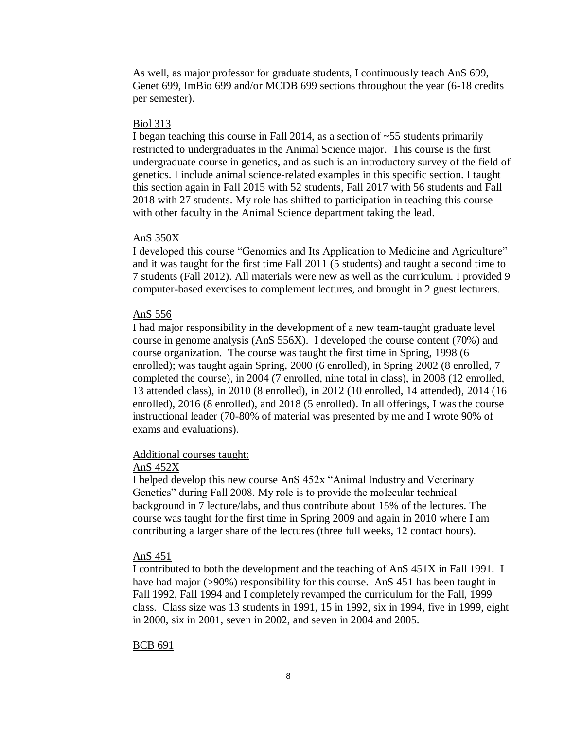As well, as major professor for graduate students, I continuously teach AnS 699, Genet 699, ImBio 699 and/or MCDB 699 sections throughout the year (6-18 credits per semester).

#### Biol 313

I began teaching this course in Fall 2014, as a section of ~55 students primarily restricted to undergraduates in the Animal Science major. This course is the first undergraduate course in genetics, and as such is an introductory survey of the field of genetics. I include animal science-related examples in this specific section. I taught this section again in Fall 2015 with 52 students, Fall 2017 with 56 students and Fall 2018 with 27 students. My role has shifted to participation in teaching this course with other faculty in the Animal Science department taking the lead.

#### AnS 350X

I developed this course "Genomics and Its Application to Medicine and Agriculture" and it was taught for the first time Fall 2011 (5 students) and taught a second time to 7 students (Fall 2012). All materials were new as well as the curriculum. I provided 9 computer-based exercises to complement lectures, and brought in 2 guest lecturers.

#### AnS 556

I had major responsibility in the development of a new team-taught graduate level course in genome analysis (AnS 556X). I developed the course content (70%) and course organization. The course was taught the first time in Spring, 1998 (6 enrolled); was taught again Spring, 2000 (6 enrolled), in Spring 2002 (8 enrolled, 7 completed the course), in 2004 (7 enrolled, nine total in class), in 2008 (12 enrolled, 13 attended class), in 2010 (8 enrolled), in 2012 (10 enrolled, 14 attended), 2014 (16 enrolled), 2016 (8 enrolled), and 2018 (5 enrolled). In all offerings, I was the course instructional leader (70-80% of material was presented by me and I wrote 90% of exams and evaluations).

## Additional courses taught:

#### AnS 452X

I helped develop this new course AnS 452x "Animal Industry and Veterinary Genetics" during Fall 2008. My role is to provide the molecular technical background in 7 lecture/labs, and thus contribute about 15% of the lectures. The course was taught for the first time in Spring 2009 and again in 2010 where I am contributing a larger share of the lectures (three full weeks, 12 contact hours).

#### AnS 451

I contributed to both the development and the teaching of AnS 451X in Fall 1991. I have had major (>90%) responsibility for this course. AnS 451 has been taught in Fall 1992, Fall 1994 and I completely revamped the curriculum for the Fall, 1999 class. Class size was 13 students in 1991, 15 in 1992, six in 1994, five in 1999, eight in 2000, six in 2001, seven in 2002, and seven in 2004 and 2005.

#### BCB 691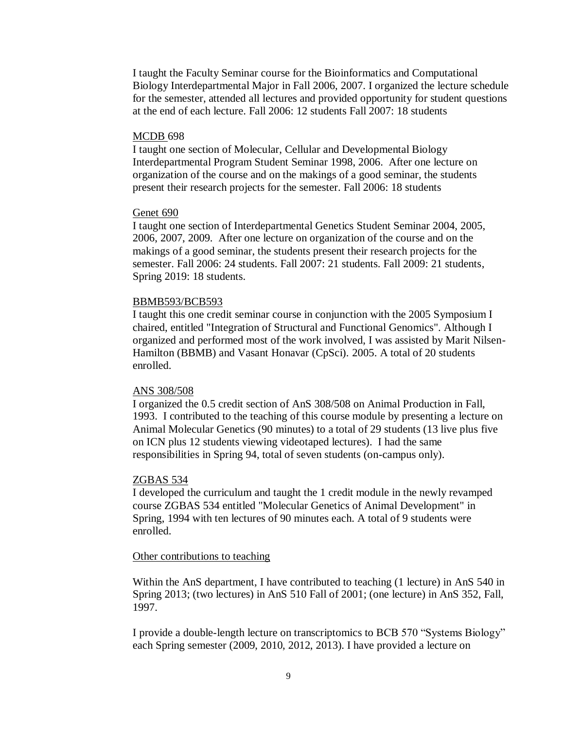I taught the Faculty Seminar course for the Bioinformatics and Computational Biology Interdepartmental Major in Fall 2006, 2007. I organized the lecture schedule for the semester, attended all lectures and provided opportunity for student questions at the end of each lecture. Fall 2006: 12 students Fall 2007: 18 students

#### MCDB 698

I taught one section of Molecular, Cellular and Developmental Biology Interdepartmental Program Student Seminar 1998, 2006. After one lecture on organization of the course and on the makings of a good seminar, the students present their research projects for the semester. Fall 2006: 18 students

#### Genet 690

I taught one section of Interdepartmental Genetics Student Seminar 2004, 2005, 2006, 2007, 2009. After one lecture on organization of the course and on the makings of a good seminar, the students present their research projects for the semester. Fall 2006: 24 students. Fall 2007: 21 students. Fall 2009: 21 students, Spring 2019: 18 students.

#### BBMB593/BCB593

I taught this one credit seminar course in conjunction with the 2005 Symposium I chaired, entitled "Integration of Structural and Functional Genomics". Although I organized and performed most of the work involved, I was assisted by Marit Nilsen-Hamilton (BBMB) and Vasant Honavar (CpSci). 2005. A total of 20 students enrolled.

#### ANS 308/508

I organized the 0.5 credit section of AnS 308/508 on Animal Production in Fall, 1993. I contributed to the teaching of this course module by presenting a lecture on Animal Molecular Genetics (90 minutes) to a total of 29 students (13 live plus five on ICN plus 12 students viewing videotaped lectures). I had the same responsibilities in Spring 94, total of seven students (on-campus only).

#### ZGBAS 534

I developed the curriculum and taught the 1 credit module in the newly revamped course ZGBAS 534 entitled "Molecular Genetics of Animal Development" in Spring, 1994 with ten lectures of 90 minutes each. A total of 9 students were enrolled.

#### Other contributions to teaching

Within the AnS department, I have contributed to teaching (1 lecture) in AnS 540 in Spring 2013; (two lectures) in AnS 510 Fall of 2001; (one lecture) in AnS 352, Fall, 1997.

I provide a double-length lecture on transcriptomics to BCB 570 "Systems Biology" each Spring semester (2009, 2010, 2012, 2013). I have provided a lecture on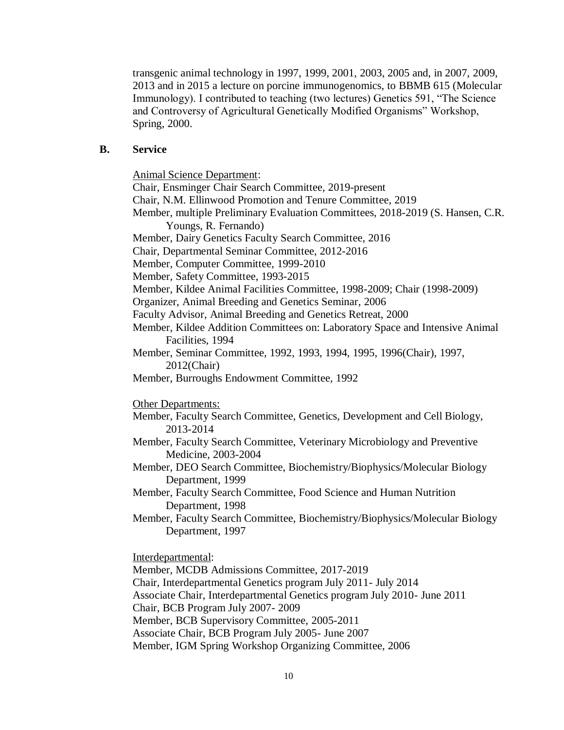transgenic animal technology in 1997, 1999, 2001, 2003, 2005 and, in 2007, 2009, 2013 and in 2015 a lecture on porcine immunogenomics, to BBMB 615 (Molecular Immunology). I contributed to teaching (two lectures) Genetics 591, "The Science and Controversy of Agricultural Genetically Modified Organisms" Workshop, Spring, 2000.

## **B. Service**

Animal Science Department:

Chair, Ensminger Chair Search Committee, 2019-present Chair, N.M. Ellinwood Promotion and Tenure Committee, 2019 Member, multiple Preliminary Evaluation Committees, 2018-2019 (S. Hansen, C.R. Youngs, R. Fernando) Member, Dairy Genetics Faculty Search Committee, 2016 Chair, Departmental Seminar Committee, 2012-2016 Member, Computer Committee, 1999-2010 Member, Safety Committee, 1993-2015 Member, Kildee Animal Facilities Committee, 1998-2009; Chair (1998-2009) Organizer, Animal Breeding and Genetics Seminar, 2006 Faculty Advisor, Animal Breeding and Genetics Retreat, 2000 Member, Kildee Addition Committees on: Laboratory Space and Intensive Animal Facilities, 1994 Member, Seminar Committee, 1992, 1993, 1994, 1995, 1996(Chair), 1997, 2012(Chair) Member, Burroughs Endowment Committee, 1992 Other Departments: Member, Faculty Search Committee, Genetics, Development and Cell Biology, 2013-2014 Member, Faculty Search Committee, Veterinary Microbiology and Preventive Medicine, 2003-2004 Member, DEO Search Committee, Biochemistry/Biophysics/Molecular Biology Department, 1999 Member, Faculty Search Committee, Food Science and Human Nutrition Department, 1998 Member, Faculty Search Committee, Biochemistry/Biophysics/Molecular Biology Department, 1997 Interdepartmental: Member, MCDB Admissions Committee, 2017-2019 Chair, Interdepartmental Genetics program July 2011- July 2014

Associate Chair, Interdepartmental Genetics program July 2010- June 2011

Chair, BCB Program July 2007- 2009

Member, BCB Supervisory Committee, 2005-2011

Associate Chair, BCB Program July 2005- June 2007

Member, IGM Spring Workshop Organizing Committee, 2006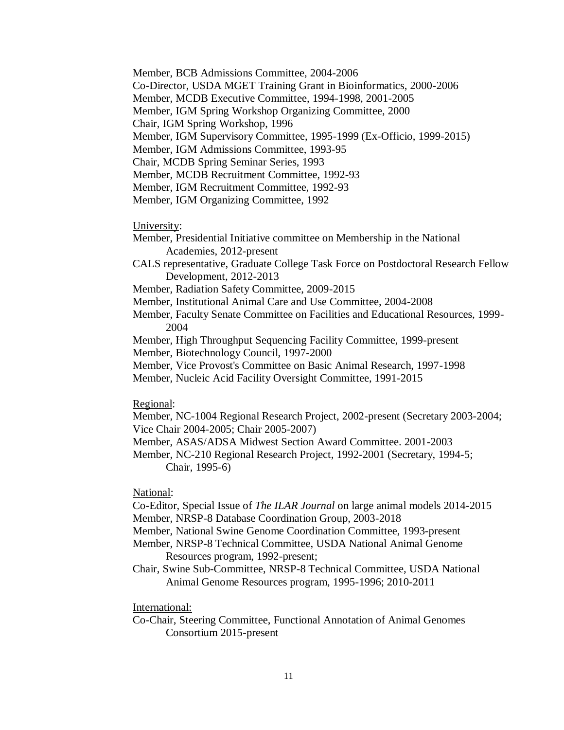Member, BCB Admissions Committee, 2004-2006 Co-Director, USDA MGET Training Grant in Bioinformatics, 2000-2006 Member, MCDB Executive Committee, 1994-1998, 2001-2005 Member, IGM Spring Workshop Organizing Committee, 2000 Chair, IGM Spring Workshop, 1996 Member, IGM Supervisory Committee, 1995-1999 (Ex-Officio, 1999-2015) Member, IGM Admissions Committee, 1993-95 Chair, MCDB Spring Seminar Series, 1993 Member, MCDB Recruitment Committee, 1992-93 Member, IGM Recruitment Committee, 1992-93 Member, IGM Organizing Committee, 1992

#### University:

- Member, Presidential Initiative committee on Membership in the National Academies, 2012-present
- CALS representative, Graduate College Task Force on Postdoctoral Research Fellow Development, 2012-2013
- Member, Radiation Safety Committee, 2009-2015
- Member, Institutional Animal Care and Use Committee, 2004-2008
- Member, Faculty Senate Committee on Facilities and Educational Resources, 1999- 2004
- Member, High Throughput Sequencing Facility Committee, 1999-present
- Member, Biotechnology Council, 1997-2000
- Member, Vice Provost's Committee on Basic Animal Research, 1997-1998
- Member, Nucleic Acid Facility Oversight Committee, 1991-2015

#### Regional:

- Member, NC-1004 Regional Research Project, 2002-present (Secretary 2003-2004; Vice Chair 2004-2005; Chair 2005-2007)
- Member, ASAS/ADSA Midwest Section Award Committee. 2001-2003
- Member, NC-210 Regional Research Project, 1992-2001 (Secretary, 1994-5; Chair, 1995-6)

National:

- Co-Editor, Special Issue of *The ILAR Journal* on large animal models 2014-2015 Member, NRSP-8 Database Coordination Group, 2003-2018
- Member, National Swine Genome Coordination Committee, 1993-present
- Member, NRSP-8 Technical Committee, USDA National Animal Genome Resources program, 1992-present;
- Chair, Swine Sub-Committee, NRSP-8 Technical Committee, USDA National Animal Genome Resources program, 1995-1996; 2010-2011

## International:

Co-Chair, Steering Committee, Functional Annotation of Animal Genomes Consortium 2015-present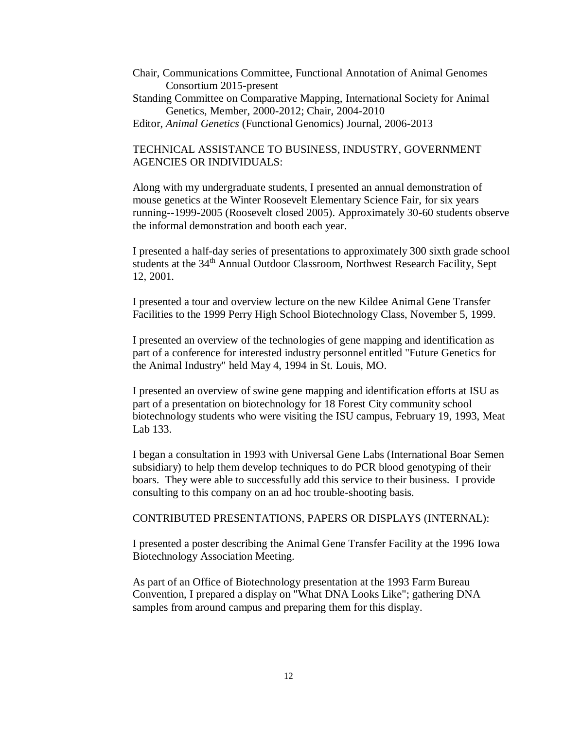- Chair, Communications Committee, Functional Annotation of Animal Genomes Consortium 2015-present
- Standing Committee on Comparative Mapping, International Society for Animal Genetics, Member, 2000-2012; Chair, 2004-2010
- Editor, *Animal Genetics* (Functional Genomics) Journal, 2006-2013

## TECHNICAL ASSISTANCE TO BUSINESS, INDUSTRY, GOVERNMENT AGENCIES OR INDIVIDUALS:

Along with my undergraduate students, I presented an annual demonstration of mouse genetics at the Winter Roosevelt Elementary Science Fair, for six years running--1999-2005 (Roosevelt closed 2005). Approximately 30-60 students observe the informal demonstration and booth each year.

I presented a half-day series of presentations to approximately 300 sixth grade school students at the 34<sup>th</sup> Annual Outdoor Classroom, Northwest Research Facility, Sept 12, 2001.

I presented a tour and overview lecture on the new Kildee Animal Gene Transfer Facilities to the 1999 Perry High School Biotechnology Class, November 5, 1999.

I presented an overview of the technologies of gene mapping and identification as part of a conference for interested industry personnel entitled "Future Genetics for the Animal Industry" held May 4, 1994 in St. Louis, MO.

I presented an overview of swine gene mapping and identification efforts at ISU as part of a presentation on biotechnology for 18 Forest City community school biotechnology students who were visiting the ISU campus, February 19, 1993, Meat Lab 133.

I began a consultation in 1993 with Universal Gene Labs (International Boar Semen subsidiary) to help them develop techniques to do PCR blood genotyping of their boars. They were able to successfully add this service to their business. I provide consulting to this company on an ad hoc trouble-shooting basis.

## CONTRIBUTED PRESENTATIONS, PAPERS OR DISPLAYS (INTERNAL):

I presented a poster describing the Animal Gene Transfer Facility at the 1996 Iowa Biotechnology Association Meeting.

As part of an Office of Biotechnology presentation at the 1993 Farm Bureau Convention, I prepared a display on "What DNA Looks Like"; gathering DNA samples from around campus and preparing them for this display.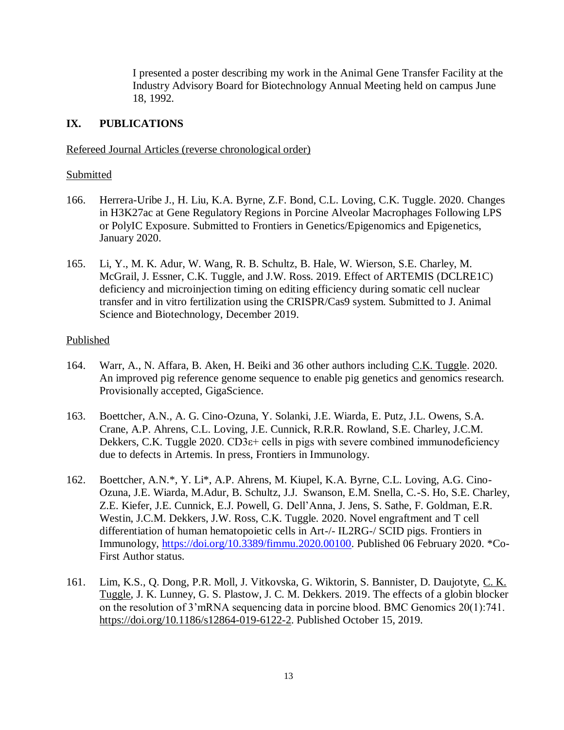I presented a poster describing my work in the Animal Gene Transfer Facility at the Industry Advisory Board for Biotechnology Annual Meeting held on campus June 18, 1992.

# **IX. PUBLICATIONS**

# Refereed Journal Articles (reverse chronological order)

# Submitted

- 166. Herrera-Uribe J., H. Liu, K.A. Byrne, Z.F. Bond, C.L. Loving, C.K. Tuggle. 2020. Changes in H3K27ac at Gene Regulatory Regions in Porcine Alveolar Macrophages Following LPS or PolyIC Exposure. Submitted to Frontiers in Genetics/Epigenomics and Epigenetics, January 2020.
- 165. Li, Y., M. K. Adur, W. Wang, R. B. Schultz, B. Hale, W. Wierson, S.E. Charley, M. McGrail, J. Essner, C.K. Tuggle, and J.W. Ross. 2019. Effect of ARTEMIS (DCLRE1C) deficiency and microinjection timing on editing efficiency during somatic cell nuclear transfer and in vitro fertilization using the CRISPR/Cas9 system. Submitted to J. Animal Science and Biotechnology, December 2019.

## Published

- 164. Warr, A., N. Affara, B. Aken, H. Beiki and 36 other authors including C.K. Tuggle. 2020. An improved pig reference genome sequence to enable pig genetics and genomics research. Provisionally accepted, GigaScience.
- 163. Boettcher, A.N., A. G. Cino-Ozuna, Y. Solanki, J.E. Wiarda, E. Putz, J.L. Owens, S.A. Crane, A.P. Ahrens, C.L. Loving, J.E. Cunnick, R.R.R. Rowland, S.E. Charley, J.C.M. Dekkers, C.K. Tuggle 2020.  $CD3\varepsilon$ + cells in pigs with severe combined immunodeficiency due to defects in Artemis. In press, Frontiers in Immunology.
- 162. Boettcher, A.N.\*, Y. Li\*, A.P. Ahrens, M. Kiupel, K.A. Byrne, C.L. Loving, A.G. Cino-Ozuna, J.E. Wiarda, M.Adur, B. Schultz, J.J. Swanson, E.M. Snella, C.-S. Ho, S.E. Charley, Z.E. Kiefer, J.E. Cunnick, E.J. Powell, G. Dell'Anna, J. Jens, S. Sathe, F. Goldman, E.R. Westin, J.C.M. Dekkers, J.W. Ross, C.K. Tuggle. 2020. Novel engraftment and T cell differentiation of human hematopoietic cells in Art-/- IL2RG-/ SCID pigs. Frontiers in Immunology, [https://doi.org/10.3389/fimmu.2020.00100.](https://doi.org/10.3389/fimmu.2020.00100) Published 06 February 2020. \*Co-First Author status.
- 161. Lim, K.S., Q. Dong, P.R. Moll, J. Vitkovska, G. Wiktorin, S. Bannister, D. Daujotyte, C. K. Tuggle, J. K. Lunney, G. S. Plastow, J. C. M. Dekkers. 2019. The effects of a globin blocker on the resolution of 3'mRNA sequencing data in porcine blood. BMC Genomics 20(1):741. [https://doi.org/10.1186/s12864-019-6122-2.](https://doi.org/10.1186/s12864-019-6122-2) Published October 15, 2019.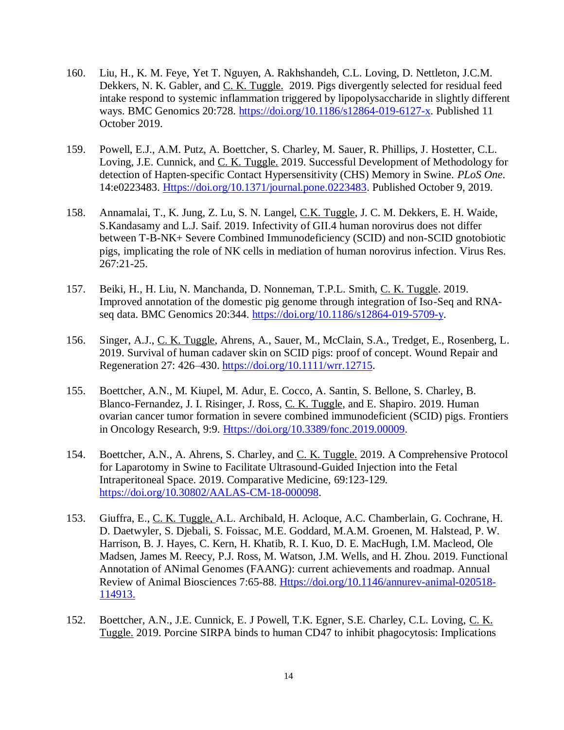- 160. Liu, H., K. M. Feye, Yet T. Nguyen, A. Rakhshandeh, C.L. Loving, D. Nettleton, J.C.M. Dekkers, N. K. Gabler, and C. K. Tuggle. 2019. Pigs divergently selected for residual feed intake respond to systemic inflammation triggered by lipopolysaccharide in slightly different ways. BMC Genomics 20:728. [https://doi.org/10.1186/s12864-019-6127-x.](https://doi.org/10.1186/s12864-019-6127-x) Published 11 October 2019.
- 159. Powell, E.J., A.M. Putz, A. Boettcher, S. Charley, M. Sauer, R. Phillips, J. Hostetter, C.L. Loving, J.E. Cunnick, and C. K. Tuggle. 2019. Successful Development of Methodology for detection of Hapten-specific Contact Hypersensitivity (CHS) Memory in Swine. *PLoS One*. 14:e0223483. [Https://doi.org/10.1371/journal.pone.0223483.](https://doi.org/10.1371/journal.pone.0223483) Published October 9, 2019.
- 158. Annamalai, T., K. Jung, Z. Lu, S. N. Langel, C.K. Tuggle, J. C. M. Dekkers, E. H. Waide, S.Kandasamy and L.J. Saif. 2019. Infectivity of GII.4 human norovirus does not differ between T-B-NK+ Severe Combined Immunodeficiency (SCID) and non-SCID gnotobiotic pigs, implicating the role of NK cells in mediation of human norovirus infection. Virus Res. 267:21-25.
- 157. Beiki, H., H. Liu, N. Manchanda, D. Nonneman, T.P.L. Smith, C. K. Tuggle. 2019. Improved annotation of the domestic pig genome through integration of Iso-Seq and RNAseq data. BMC Genomics 20:344. [https://doi.org/10.1186/s12864-019-5709-y.](https://doi.org/10.1186/s12864-019-5709-y)
- 156. Singer, A.J., C. K. Tuggle, Ahrens, A., Sauer, M., McClain, S.A., Tredget, E., Rosenberg, L. 2019. Survival of human cadaver skin on SCID pigs: proof of concept. Wound Repair and Regeneration 27: 426–430. [https://doi.org/10.1111/wrr.12715.](https://doi.org/10.1111/wrr.12715)
- 155. Boettcher, A.N., M. Kiupel, M. Adur, E. Cocco, A. Santin, S. Bellone, S. Charley, B. Blanco-Fernandez, J. I. Risinger, J. Ross, C. K. Tuggle, and E. Shapiro. 2019. Human ovarian cancer tumor formation in severe combined immunodeficient (SCID) pigs. Frontiers in Oncology Research, 9:9. [Https://doi.org/10.3389/fonc.2019.00009.](https://doi.org/10.3389/fonc.2019.00009)
- 154. Boettcher, A.N., A. Ahrens, S. Charley, and C. K. Tuggle. 2019. A Comprehensive Protocol for Laparotomy in Swine to Facilitate Ultrasound-Guided Injection into the Fetal Intraperitoneal Space. 2019. Comparative Medicine, 69:123-129. [https://doi.org/10.30802/AALAS-CM-18-000098.](https://doi.org/10.30802/AALAS-CM-18-000098)
- 153. Giuffra, E., C. K. Tuggle, A.L. Archibald, H. Acloque, A.C. Chamberlain, G. Cochrane, H. D. Daetwyler, S. Djebali, S. Foissac, M.E. Goddard, M.A.M. Groenen, M. Halstead, P. W. Harrison, B. J. Hayes, C. Kern, H. Khatib, R. I. Kuo, D. E. MacHugh, I.M. Macleod, Ole Madsen, James M. Reecy, P.J. Ross, M. Watson, J.M. Wells, and H. Zhou. 2019. Functional Annotation of ANimal Genomes (FAANG): current achievements and roadmap. Annual Review of Animal Biosciences 7:65-88. [Https://doi.org/10.1146/annurev-animal-020518-](https://doi.org/10.1146/annurev-animal-020518-114913) [114913.](https://doi.org/10.1146/annurev-animal-020518-114913)
- 152. Boettcher, A.N., J.E. Cunnick, E. J Powell, T.K. Egner, S.E. Charley, C.L. Loving, C. K. Tuggle. 2019. Porcine SIRPA binds to human CD47 to inhibit phagocytosis: Implications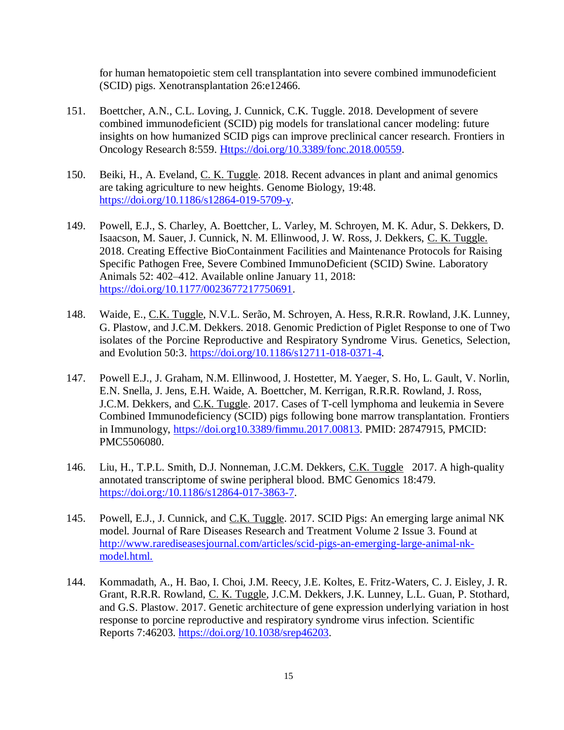for human hematopoietic stem cell transplantation into severe combined immunodeficient (SCID) pigs. Xenotransplantation 26:e12466.

- 151. Boettcher, A.N., C.L. Loving, J. Cunnick, C.K. Tuggle. 2018. Development of severe combined immunodeficient (SCID) pig models for translational cancer modeling: future insights on how humanized SCID pigs can improve preclinical cancer research. Frontiers in Oncology Research 8:559. [Https://doi.org/10.3389/fonc.2018.00559.](https://doi.org/10.3389/fonc.2018.00559)
- 150. Beiki, H., A. Eveland, C. K. Tuggle. 2018. Recent advances in plant and animal genomics are taking agriculture to new heights. Genome Biology, 19:48. [https://doi.org/10.1186/s12864-019-5709-y.](https://doi.org/10.1186/s12864-019-5709-y)
- 149. Powell, E.J., S. Charley, A. Boettcher, L. Varley, M. Schroyen, M. K. Adur, S. Dekkers, D. Isaacson, M. Sauer, J. Cunnick, N. M. Ellinwood, J. W. Ross, J. Dekkers, C. K. Tuggle. 2018. Creating Effective BioContainment Facilities and Maintenance Protocols for Raising Specific Pathogen Free, Severe Combined ImmunoDeficient (SCID) Swine. Laboratory Animals 52: 402–412. Available online January 11, 2018: [https://doi.org/10.1177/0023677217750691.](https://doi.org/10.1177/0023677217750691)
- 148. Waide, E., C.K. Tuggle, N.V.L. Serão, M. Schroyen, A. Hess, R.R.R. Rowland, J.K. Lunney, G. Plastow, and J.C.M. Dekkers. 2018. Genomic Prediction of Piglet Response to one of Two isolates of the Porcine Reproductive and Respiratory Syndrome Virus. Genetics, Selection, and Evolution 50:3. [https://doi.org/10.1186/s12711-018-0371-4.](https://doi.org/10.1186/s12711-018-0371-4)
- 147. Powell E.J., J. Graham, N.M. Ellinwood, J. Hostetter, M. Yaeger, S. Ho, L. Gault, V. Norlin, E.N. Snella, J. Jens, E.H. Waide, A. Boettcher, M. Kerrigan, R.R.R. Rowland, J. Ross, J.C.M. Dekkers, and C.K. Tuggle. 2017. Cases of T-cell lymphoma and leukemia in Severe Combined Immunodeficiency (SCID) pigs following bone marrow transplantation. Frontiers in Immunology, [https://doi.org10.3389/fimmu.2017.00813.](https://doi.org10.3389/fimmu.2017.00813) PMID: 28747915, PMCID: PMC5506080.
- 146. Liu, H., T.P.L. Smith, D.J. Nonneman, J.C.M. Dekkers, C.K. Tuggle 2017. A high-quality annotated transcriptome of swine peripheral blood. BMC Genomics 18:479. [https://doi.org:/10.1186/s12864-017-3863-7.](https://doi.org/10.1186/s12864-017-3863-7)
- 145. Powell, E.J., J. Cunnick, and C.K. Tuggle. 2017. SCID Pigs: An emerging large animal NK model. Journal of Rare Diseases Research and Treatment Volume 2 Issue 3. Found at [http://www.rarediseasesjournal.com/articles/scid-pigs-an-emerging-large-animal-nk](http://www.rarediseasesjournal.com/articles/scid-pigs-an-emerging-large-animal-nk-model.html)[model.html.](http://www.rarediseasesjournal.com/articles/scid-pigs-an-emerging-large-animal-nk-model.html)
- 144. Kommadath, A., H. Bao, I. Choi, J.M. Reecy, J.E. Koltes, E. Fritz-Waters, C. J. Eisley, J. R. Grant, R.R.R. Rowland, C. K. Tuggle, J.C.M. Dekkers, J.K. Lunney, L.L. Guan, P. Stothard, and G.S. Plastow. 2017. Genetic architecture of gene expression underlying variation in host response to porcine reproductive and respiratory syndrome virus infection. Scientific Reports 7:46203. [https://doi.org/10.1038/srep46203.](https://doi.org/10.1038/srep46203)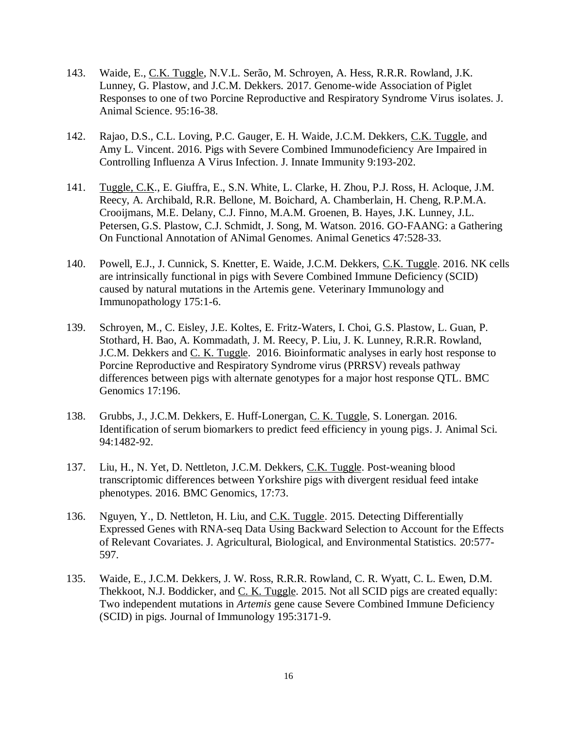- 143. Waide, E., C.K. Tuggle, N.V.L. Serão, M. Schroyen, A. Hess, R.R.R. Rowland, J.K. Lunney, G. Plastow, and J.C.M. Dekkers. 2017. Genome-wide Association of Piglet Responses to one of two Porcine Reproductive and Respiratory Syndrome Virus isolates. J. Animal Science. 95:16-38.
- 142. Rajao, D.S., C.L. Loving, P.C. Gauger, E. H. Waide, J.C.M. Dekkers, C.K. Tuggle, and Amy L. Vincent. 2016. Pigs with Severe Combined Immunodeficiency Are Impaired in Controlling Influenza A Virus Infection. J. Innate Immunity 9:193-202.
- 141. Tuggle, C.K., E. Giuffra, E., S.N. White, L. Clarke, H. Zhou, P.J. Ross, H. Acloque, J.M. Reecy, A. Archibald, R.R. Bellone, M. Boichard, A. Chamberlain, H. Cheng, R.P.M.A. Crooijmans, M.E. Delany, C.J. Finno, M.A.M. Groenen, B. Hayes, J.K. Lunney, J.L. Petersen, G.S. Plastow, C.J. Schmidt, J. Song, M. Watson. 2016. GO-FAANG: a Gathering On Functional Annotation of ANimal Genomes. Animal Genetics 47:528-33.
- 140. Powell, E.J., J. Cunnick, S. Knetter, E. Waide, J.C.M. Dekkers, C.K. Tuggle. 2016. NK cells are intrinsically functional in pigs with Severe Combined Immune Deficiency (SCID) caused by natural mutations in the Artemis gene. Veterinary Immunology and Immunopathology 175:1-6.
- 139. Schroyen, M., C. Eisley, J.E. Koltes, E. Fritz-Waters, I. Choi, G.S. Plastow, L. Guan, P. Stothard, H. Bao, A. Kommadath, J. M. Reecy, P. Liu, J. K. Lunney, R.R.R. Rowland, J.C.M. Dekkers and C. K. Tuggle. 2016. Bioinformatic analyses in early host response to Porcine Reproductive and Respiratory Syndrome virus (PRRSV) reveals pathway differences between pigs with alternate genotypes for a major host response QTL. BMC Genomics 17:196.
- 138. Grubbs, J., J.C.M. Dekkers, E. Huff-Lonergan, C. K. Tuggle, S. Lonergan. 2016. Identification of serum biomarkers to predict feed efficiency in young pigs. J. Animal Sci. 94:1482-92.
- 137. Liu, H., N. Yet, D. Nettleton, J.C.M. Dekkers, C.K. Tuggle. Post-weaning blood transcriptomic differences between Yorkshire pigs with divergent residual feed intake phenotypes. 2016. BMC Genomics, 17:73.
- 136. Nguyen, Y., D. Nettleton, H. Liu, and C.K. Tuggle. 2015. Detecting Differentially Expressed Genes with RNA-seq Data Using Backward Selection to Account for the Effects of Relevant Covariates. J. Agricultural, Biological, and Environmental Statistics. 20:577- 597.
- 135. Waide, E., J.C.M. Dekkers, J. W. Ross, R.R.R. Rowland, C. R. Wyatt, C. L. Ewen, D.M. Thekkoot, N.J. Boddicker, and C. K. Tuggle. 2015. Not all SCID pigs are created equally: Two independent mutations in *Artemis* gene cause Severe Combined Immune Deficiency (SCID) in pigs. Journal of Immunology 195:3171-9.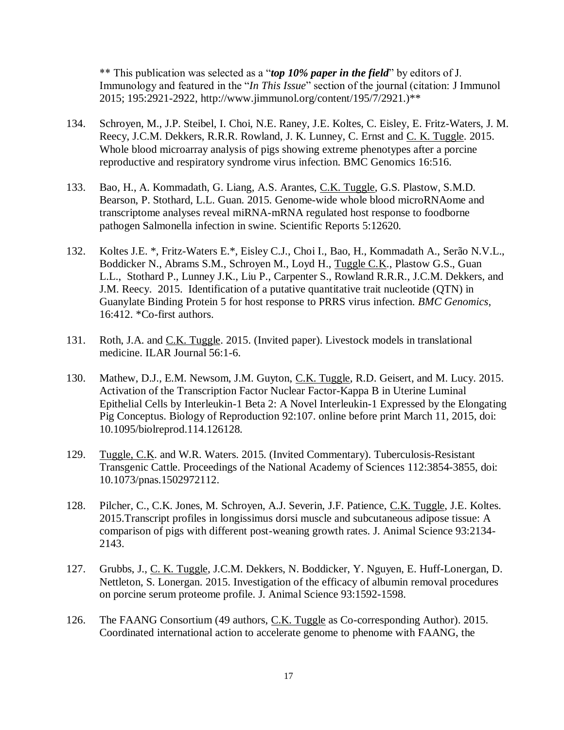\*\* This publication was selected as a "*top 10% paper in the field*" by editors of J. Immunology and featured in the "*In This Issue*" section of the journal (citation: J Immunol 2015; 195:2921-2922, http://www.jimmunol.org/content/195/7/2921.)\*\*

- 134. Schroyen, M., J.P. Steibel, I. Choi, N.E. Raney, J.E. Koltes, C. Eisley, E. Fritz-Waters, J. M. Reecy, J.C.M. Dekkers, R.R.R. Rowland, J. K. Lunney, C. Ernst and C. K. Tuggle. 2015. Whole blood microarray analysis of pigs showing extreme phenotypes after a porcine reproductive and respiratory syndrome virus infection. BMC Genomics 16:516.
- 133. Bao, H., A. Kommadath, G. Liang, A.S. Arantes, C.K. Tuggle, G.S. Plastow, S.M.D. Bearson, P. Stothard, L.L. Guan. 2015. Genome-wide whole blood microRNAome and transcriptome analyses reveal miRNA-mRNA regulated host response to foodborne pathogen Salmonella infection in swine. Scientific Reports 5:12620.
- 132. Koltes J.E. \*, Fritz-Waters E.\*, Eisley C.J., Choi I., Bao, H., Kommadath A., Serão N.V.L., Boddicker N., Abrams S.M., Schroyen M., Loyd H., Tuggle C.K., Plastow G.S., Guan L.L., Stothard P., Lunney J.K., Liu P., Carpenter S., Rowland R.R.R., J.C.M. Dekkers, and J.M. Reecy. 2015. Identification of a putative quantitative trait nucleotide (QTN) in Guanylate Binding Protein 5 for host response to PRRS virus infection. *BMC Genomics*, 16:412. \*Co-first authors.
- 131. Roth, J.A. and C.K. Tuggle. 2015. (Invited paper). Livestock models in translational medicine. ILAR Journal 56:1-6.
- 130. Mathew, D.J., E.M. Newsom, J.M. Guyton, C.K. Tuggle, R.D. Geisert, and M. Lucy. 2015. Activation of the Transcription Factor Nuclear Factor-Kappa B in Uterine Luminal Epithelial Cells by Interleukin-1 Beta 2: A Novel Interleukin-1 Expressed by the Elongating Pig Conceptus. Biology of Reproduction 92:107. online before print March 11, 2015, doi: 10.1095/biolreprod.114.126128.
- 129. Tuggle, C.K. and W.R. Waters. 2015. (Invited Commentary). Tuberculosis-Resistant Transgenic Cattle. Proceedings of the National Academy of Sciences 112:3854-3855, doi: 10.1073/pnas.1502972112.
- 128. Pilcher, C., C.K. Jones, M. Schroyen, A.J. Severin, J.F. Patience, C.K. Tuggle, J.E. Koltes. 2015.Transcript profiles in longissimus dorsi muscle and subcutaneous adipose tissue: A comparison of pigs with different post-weaning growth rates. J. Animal Science 93:2134- 2143.
- 127. Grubbs, J., C. K. Tuggle, J.C.M. Dekkers, N. Boddicker, Y. Nguyen, E. Huff-Lonergan, D. Nettleton, S. Lonergan. 2015. Investigation of the efficacy of albumin removal procedures on porcine serum proteome profile. J. Animal Science 93:1592-1598.
- 126. The FAANG Consortium (49 authors, C.K. Tuggle as Co-corresponding Author). 2015. Coordinated international action to accelerate genome to phenome with FAANG, the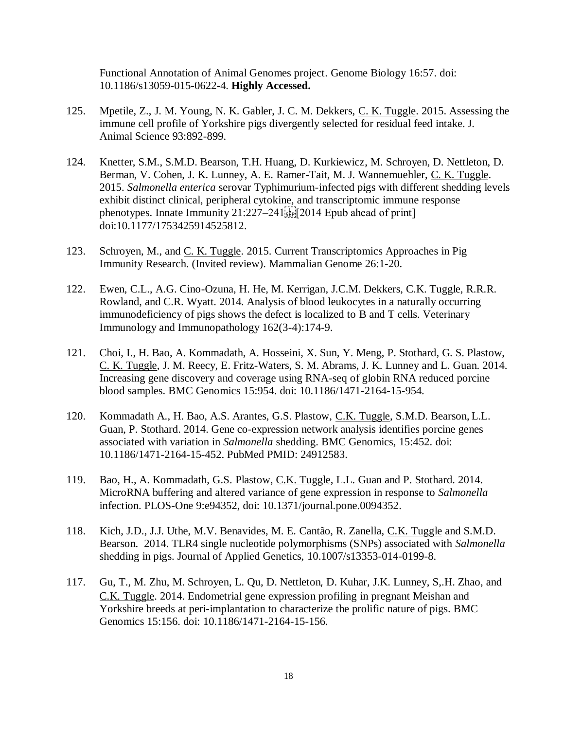Functional Annotation of Animal Genomes project. Genome Biology 16:57. doi: 10.1186/s13059-015-0622-4. **Highly Accessed.**

- 125. Mpetile, Z., J. M. Young, N. K. Gabler, J. C. M. Dekkers, C. K. Tuggle. 2015. Assessing the immune cell profile of Yorkshire pigs divergently selected for residual feed intake. J. Animal Science 93:892-899.
- 124. Knetter, S.M., S.M.D. Bearson, T.H. Huang, D. Kurkiewicz, M. Schroyen, D. Nettleton, D. Berman, V. Cohen, J. K. Lunney, A. E. Ramer-Tait, M. J. Wannemuehler, C. K. Tuggle. 2015. *Salmonella enterica* serovar Typhimurium-infected pigs with different shedding levels exhibit distinct clinical, peripheral cytokine, and transcriptomic immune response phenotypes. Innate Immunity  $21:227-241$ doi:10.1177/1753425914525812.
- 123. Schroyen, M., and C. K. Tuggle. 2015. Current Transcriptomics Approaches in Pig Immunity Research. (Invited review). Mammalian Genome 26:1-20.
- 122. Ewen, C.L., A.G. Cino-Ozuna, H. He, M. Kerrigan, J.C.M. Dekkers, C.K. Tuggle, R.R.R. Rowland, and C.R. Wyatt. 2014. Analysis of blood leukocytes in a naturally occurring immunodeficiency of pigs shows the defect is localized to B and T cells. Veterinary Immunology and Immunopathology 162(3-4):174-9.
- 121. Choi, I., H. Bao, A. Kommadath, A. Hosseini, X. Sun, Y. Meng, P. Stothard, G. S. Plastow, C. K. Tuggle, J. M. Reecy, E. Fritz-Waters, S. M. Abrams, J. K. Lunney and L. Guan. 2014. Increasing gene discovery and coverage using RNA-seq of globin RNA reduced porcine blood samples. BMC Genomics 15:954. doi: 10.1186/1471-2164-15-954.
- 120. Kommadath A., H. Bao, A.S. Arantes, G.S. Plastow, C.K. Tuggle, S.M.D. Bearson, L.L. Guan, P. Stothard. 2014. Gene co-expression network analysis identifies porcine genes associated with variation in *Salmonella* shedding. BMC Genomics, 15:452. doi: 10.1186/1471-2164-15-452. PubMed PMID: 24912583.
- 119. Bao, H., A. Kommadath, G.S. Plastow, C.K. Tuggle, L.L. Guan and P. Stothard. 2014. MicroRNA buffering and altered variance of gene expression in response to *Salmonella* infection. PLOS-One 9:e94352, doi: 10.1371/journal.pone.0094352.
- 118. Kich, J.D., J.J. Uthe, M.V. Benavides, M. E. Cantão, R. Zanella, C.K. Tuggle and S.M.D. Bearson. 2014. TLR4 single nucleotide polymorphisms (SNPs) associated with *Salmonella* shedding in pigs. Journal of Applied Genetics, 10.1007/s13353-014-0199-8.
- 117. Gu, T., M. Zhu, M. Schroyen, L. Qu, D. Nettleton, D. Kuhar, J.K. Lunney, S,.H. Zhao, and C.K. Tuggle. 2014. Endometrial gene expression profiling in pregnant Meishan and Yorkshire breeds at peri-implantation to characterize the prolific nature of pigs. BMC Genomics 15:156. doi: 10.1186/1471-2164-15-156.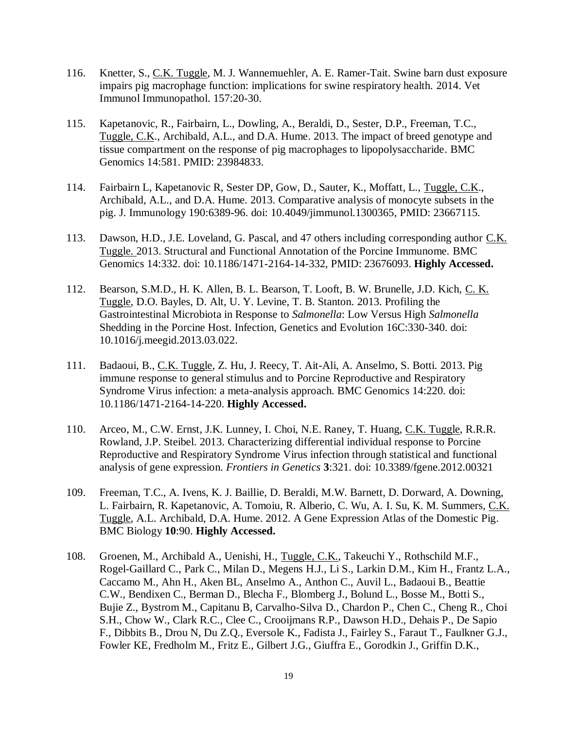- 116. Knetter, S., C.K. Tuggle, M. J. Wannemuehler, A. E. Ramer-Tait. Swine barn dust exposure impairs pig macrophage function: implications for swine respiratory health. 2014. Vet Immunol Immunopathol. 157:20-30.
- 115. Kapetanovic, R., Fairbairn, L., Dowling, A., Beraldi, D., Sester, D.P., Freeman, T.C., Tuggle, C.K., Archibald, A.L., and D.A. Hume. 2013. The impact of breed genotype and tissue compartment on the response of pig macrophages to lipopolysaccharide. BMC Genomics 14:581. PMID: 23984833.
- 114. Fairbairn L, Kapetanovic R, Sester DP, Gow, D., Sauter, K., Moffatt, L., Tuggle, C.K., Archibald, A.L., and D.A. Hume. 2013. Comparative analysis of monocyte subsets in the pig. J. Immunology 190:6389-96. doi: 10.4049/jimmunol.1300365, PMID: 23667115.
- 113. Dawson, H.D., J.E. Loveland, G. Pascal, and 47 others including corresponding author C.K. Tuggle. 2013. Structural and Functional Annotation of the Porcine Immunome. BMC Genomics 14:332. doi: 10.1186/1471-2164-14-332, PMID: 23676093. **Highly Accessed.**
- 112. Bearson, S.M.D., H. K. Allen, B. L. Bearson, T. Looft, B. W. Brunelle, J.D. Kich, C. K. Tuggle, D.O. Bayles, D. Alt, U. Y. Levine, T. B. Stanton. 2013. Profiling the Gastrointestinal Microbiota in Response to *Salmonella*: Low Versus High *Salmonella* Shedding in the Porcine Host. Infection, Genetics and Evolution 16C:330-340. doi: 10.1016/j.meegid.2013.03.022.
- 111. Badaoui, B., C.K. Tuggle, Z. Hu, J. Reecy, T. Ait-Ali, A. Anselmo, S. Botti. 2013. Pig immune response to general stimulus and to Porcine Reproductive and Respiratory Syndrome Virus infection: a meta-analysis approach. BMC Genomics 14:220. doi: 10.1186/1471-2164-14-220. **Highly Accessed.**
- 110. Arceo, M., C.W. Ernst, J.K. Lunney, I. Choi, N.E. Raney, T. Huang, C.K. Tuggle, R.R.R. Rowland, J.P. Steibel. 2013. Characterizing differential individual response to Porcine Reproductive and Respiratory Syndrome Virus infection through statistical and functional analysis of gene expression. *Frontiers in Genetics* **3**:321. doi: 10.3389/fgene.2012.00321
- 109. Freeman, T.C., A. Ivens, K. J. Baillie, D. Beraldi, M.W. Barnett, D. Dorward, A. Downing, L. Fairbairn, R. Kapetanovic, A. Tomoiu, R. Alberio, C. Wu, A. I. Su, K. M. Summers, C.K. Tuggle, A.L. Archibald, D.A. Hume. 2012. A Gene Expression Atlas of the Domestic Pig. BMC Biology **10**:90. **Highly Accessed.**
- 108. Groenen, M., Archibald A., Uenishi, H., Tuggle, C.K., Takeuchi Y., Rothschild M.F., Rogel-Gaillard C., Park C., Milan D., Megens H.J., Li S., Larkin D.M., Kim H., Frantz L.A., Caccamo M., Ahn H., Aken BL, Anselmo A., Anthon C., Auvil L., Badaoui B., Beattie C.W., Bendixen C., Berman D., Blecha F., Blomberg J., Bolund L., Bosse M., Botti S., Bujie Z., Bystrom M., Capitanu B, Carvalho-Silva D., Chardon P., Chen C., Cheng R., Choi S.H., Chow W., Clark R.C., Clee C., Crooijmans R.P., Dawson H.D., Dehais P., De Sapio F., Dibbits B., Drou N, Du Z.Q., Eversole K., Fadista J., Fairley S., Faraut T., Faulkner G.J., Fowler KE, Fredholm M., Fritz E., Gilbert J.G., Giuffra E., Gorodkin J., Griffin D.K.,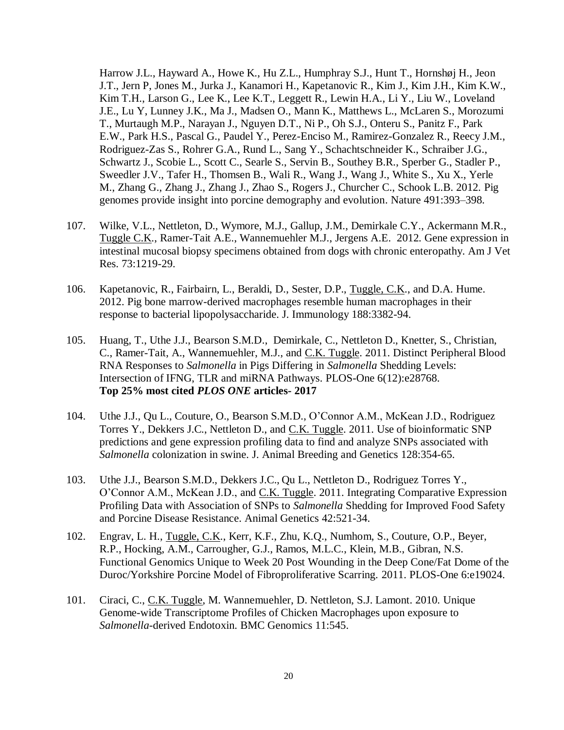Harrow J.L., Hayward A., Howe K., Hu Z.L., Humphray S.J., Hunt T., Hornshøj H., Jeon J.T., Jern P, Jones M., Jurka J., Kanamori H., Kapetanovic R., Kim J., Kim J.H., Kim K.W., Kim T.H., Larson G., Lee K., Lee K.T., Leggett R., Lewin H.A., Li Y., Liu W., Loveland J.E., Lu Y, Lunney J.K., Ma J., Madsen O., Mann K., Matthews L., McLaren S., Morozumi T., Murtaugh M.P., Narayan J., Nguyen D.T., Ni P., Oh S.J., Onteru S., Panitz F., Park E.W., Park H.S., Pascal G., Paudel Y., Perez-Enciso M., Ramirez-Gonzalez R., Reecy J.M., Rodriguez-Zas S., Rohrer G.A., Rund L., Sang Y., Schachtschneider K., Schraiber J.G., Schwartz J., Scobie L., Scott C., Searle S., Servin B., Southey B.R., Sperber G., Stadler P., Sweedler J.V., Tafer H., Thomsen B., Wali R., Wang J., Wang J., White S., Xu X., Yerle M., Zhang G., Zhang J., Zhang J., Zhao S., Rogers J., Churcher C., Schook L.B. 2012. Pig genomes provide insight into porcine demography and evolution. Nature 491:393–398.

- 107. Wilke, V.L., Nettleton, D., Wymore, M.J., Gallup, J.M., Demirkale C.Y., Ackermann M.R., Tuggle C.K., Ramer-Tait A.E., Wannemuehler M.J., Jergens A.E. 2012. Gene expression in intestinal mucosal biopsy specimens obtained from dogs with chronic enteropathy. Am J Vet Res. 73:1219-29.
- 106. Kapetanovic, R., Fairbairn, L., Beraldi, D., Sester, D.P., Tuggle, C.K., and D.A. Hume. 2012. Pig bone marrow-derived macrophages resemble human macrophages in their response to bacterial lipopolysaccharide. J. Immunology 188:3382-94.
- 105. Huang, T., Uthe J.J., Bearson S.M.D., Demirkale, C., Nettleton D., Knetter, S., Christian, C., Ramer-Tait, A., Wannemuehler, M.J., and C.K. Tuggle. 2011. Distinct Peripheral Blood RNA Responses to *Salmonella* in Pigs Differing in *Salmonella* Shedding Levels: Intersection of IFNG, TLR and miRNA Pathways. PLOS-One 6(12):e28768. **Top 25% most cited** *PLOS ONE* **articles- 2017**
- 104. Uthe J.J., Qu L., Couture, O., Bearson S.M.D., O'Connor A.M., McKean J.D., Rodriguez Torres Y., Dekkers J.C., Nettleton D., and C.K. Tuggle. 2011. Use of bioinformatic SNP predictions and gene expression profiling data to find and analyze SNPs associated with *Salmonella* colonization in swine. J. Animal Breeding and Genetics 128:354-65.
- 103. Uthe J.J., Bearson S.M.D., Dekkers J.C., Qu L., Nettleton D., Rodriguez Torres Y., O'Connor A.M., McKean J.D., and C.K. Tuggle. 2011. Integrating Comparative Expression Profiling Data with Association of SNPs to *Salmonella* Shedding for Improved Food Safety and Porcine Disease Resistance. Animal Genetics 42:521-34.
- 102. Engrav, L. H., Tuggle, C.K., Kerr, K.F., Zhu, K.Q., Numhom, S., Couture, O.P., Beyer, R.P., Hocking, A.M., Carrougher, G.J., Ramos, M.L.C., Klein, M.B., Gibran, N.S. Functional Genomics Unique to Week 20 Post Wounding in the Deep Cone/Fat Dome of the Duroc/Yorkshire Porcine Model of Fibroproliferative Scarring. 2011. PLOS-One 6:e19024.
- 101. Ciraci, C., C.K. Tuggle, M. Wannemuehler, D. Nettleton, S.J. Lamont. 2010. Unique Genome-wide Transcriptome Profiles of Chicken Macrophages upon exposure to *Salmonella*-derived Endotoxin. BMC Genomics 11:545.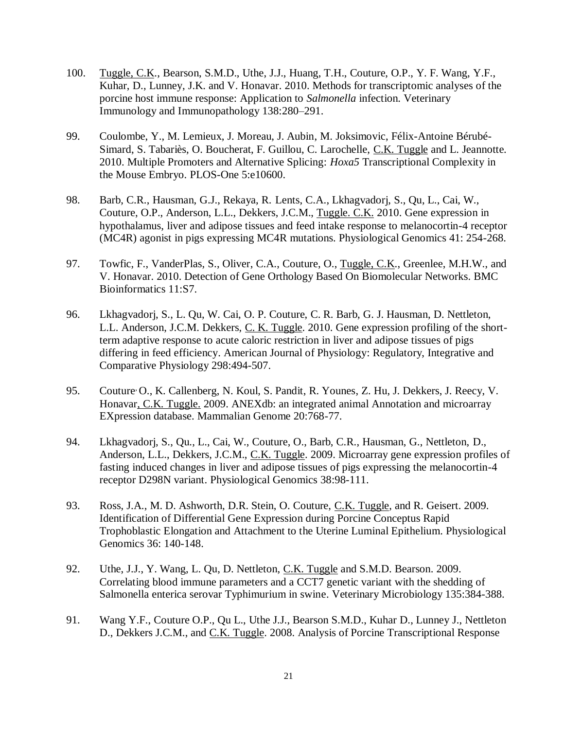- 100. Tuggle, C.K., Bearson, S.M.D., Uthe, J.J., Huang, T.H., Couture, O.P., Y. F. Wang, Y.F., Kuhar, D., Lunney, J.K. and V. Honavar. 2010. Methods for transcriptomic analyses of the porcine host immune response: Application to *Salmonella* infection. Veterinary Immunology and Immunopathology 138:280–291.
- 99. Coulombe, Y., M. Lemieux, J. Moreau, J. Aubin, M. Joksimovic, Félix-Antoine Bérubé-Simard, S. Tabariès, O. Boucherat, F. Guillou, C. Larochelle, C.K. Tuggle and L. Jeannotte. 2010. Multiple Promoters and Alternative Splicing: *Hoxa5* Transcriptional Complexity in the Mouse Embryo. PLOS-One 5:e10600.
- 98. Barb, C.R., Hausman, G.J., Rekaya, R. Lents, C.A., Lkhagvadorj, S., Qu, L., Cai, W., Couture, O.P., Anderson, L.L., Dekkers, J.C.M., Tuggle. C.K. 2010. Gene expression in hypothalamus, liver and adipose tissues and feed intake response to melanocortin-4 receptor (MC4R) agonist in pigs expressing MC4R mutations. Physiological Genomics 41: 254-268.
- 97. Towfic, F., VanderPlas, S., Oliver, C.A., Couture, O., Tuggle, C.K., Greenlee, M.H.W., and V. Honavar. 2010. Detection of Gene Orthology Based On Biomolecular Networks. BMC Bioinformatics 11:S7.
- 96. Lkhagvadorj, S., L. Qu, W. Cai, O. P. Couture, C. R. Barb, G. J. Hausman, D. Nettleton, L.L. Anderson, J.C.M. Dekkers, C. K. Tuggle. 2010. Gene expression profiling of the shortterm adaptive response to acute caloric restriction in liver and adipose tissues of pigs differing in feed efficiency. American Journal of Physiology: Regulatory, Integrative and Comparative Physiology 298:494-507.
- 95. Couture O., K. Callenberg, N. Koul, S. Pandit, R. Younes, Z. Hu, J. Dekkers, J. Reecy, V. Honavar, C.K. Tuggle. 2009. ANEXdb: an integrated animal Annotation and microarray EXpression database. Mammalian Genome 20:768-77.
- 94. Lkhagvadorj, S., Qu., L., Cai, W., Couture, O., Barb, C.R., Hausman, G., Nettleton, D., Anderson, L.L., Dekkers, J.C.M., C.K. Tuggle. 2009. Microarray gene expression profiles of fasting induced changes in liver and adipose tissues of pigs expressing the melanocortin-4 receptor D298N variant. Physiological Genomics 38:98-111.
- 93. Ross, J.A., M. D. Ashworth, D.R. Stein, O. Couture, C.K. Tuggle, and R. Geisert. 2009. Identification of Differential Gene Expression during Porcine Conceptus Rapid Trophoblastic Elongation and Attachment to the Uterine Luminal Epithelium. Physiological Genomics 36: 140-148.
- 92. Uthe, J.J., Y. Wang, L. Qu, D. Nettleton, C.K. Tuggle and S.M.D. Bearson. 2009. Correlating blood immune parameters and a CCT7 genetic variant with the shedding of Salmonella enterica serovar Typhimurium in swine. Veterinary Microbiology 135:384-388.
- 91. Wang Y.F., Couture O.P., Qu L., Uthe J.J., Bearson S.M.D., Kuhar D., Lunney J., Nettleton D., Dekkers J.C.M., and C.K. Tuggle. 2008. Analysis of Porcine Transcriptional Response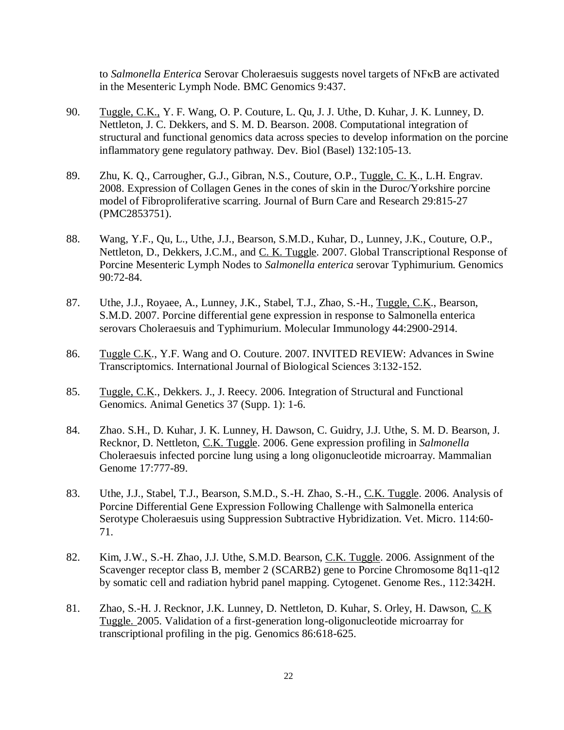to *Salmonella Enterica* Serovar Choleraesuis suggests novel targets of NF<sub>K</sub>B are activated in the Mesenteric Lymph Node. BMC Genomics 9:437.

- 90. Tuggle, C.K., Y. F. Wang, O. P. Couture, L. Qu, J. J. Uthe, D. Kuhar, J. K. Lunney, D. Nettleton, J. C. Dekkers, and S. M. D. Bearson. 2008. Computational integration of structural and functional genomics data across species to develop information on the porcine inflammatory gene regulatory pathway. Dev. Biol (Basel) 132:105-13.
- 89. Zhu, K. Q., Carrougher, G.J., Gibran, N.S., Couture, O.P., Tuggle, C. K., L.H. Engrav. 2008. Expression of Collagen Genes in the cones of skin in the Duroc/Yorkshire porcine model of Fibroproliferative scarring. Journal of Burn Care and Research 29:815-27 (PMC2853751).
- 88. Wang, Y.F., Qu, L., Uthe, J.J., Bearson, S.M.D., Kuhar, D., Lunney, J.K., Couture, O.P., Nettleton, D., Dekkers, J.C.M., and C. K. Tuggle. 2007. Global Transcriptional Response of Porcine Mesenteric Lymph Nodes to *Salmonella enterica* serovar Typhimurium. Genomics 90:72-84.
- 87. Uthe, J.J., Royaee, A., Lunney, J.K., Stabel, T.J., Zhao, S.-H., Tuggle, C.K., Bearson, S.M.D. 2007. Porcine differential gene expression in response to Salmonella enterica serovars Choleraesuis and Typhimurium. Molecular Immunology 44:2900-2914.
- 86. Tuggle C.K., Y.F. Wang and O. Couture. 2007. INVITED REVIEW: Advances in Swine Transcriptomics. International Journal of Biological Sciences 3:132-152.
- 85. Tuggle, C.K., Dekkers. J., J. Reecy. 2006. Integration of Structural and Functional Genomics. Animal Genetics 37 (Supp. 1): 1-6.
- 84. Zhao. S.H., D. Kuhar, J. K. Lunney, H. Dawson, C. Guidry, J.J. Uthe, S. M. D. Bearson, J. Recknor, D. Nettleton, C.K. Tuggle. 2006. Gene expression profiling in *Salmonella*  Choleraesuis infected porcine lung using a long oligonucleotide microarray. Mammalian Genome 17:777-89.
- 83. Uthe, J.J., Stabel, T.J., Bearson, S.M.D., S.-H. Zhao, S.-H., C.K. Tuggle. 2006. Analysis of Porcine Differential Gene Expression Following Challenge with Salmonella enterica Serotype Choleraesuis using Suppression Subtractive Hybridization. Vet. Micro. 114:60- 71.
- 82. Kim, J.W., S.-H. Zhao, J.J. Uthe, S.M.D. Bearson, C.K. Tuggle. 2006. Assignment of the Scavenger receptor class B, member 2 (SCARB2) gene to Porcine Chromosome 8q11-q12 by somatic cell and radiation hybrid panel mapping. Cytogenet. Genome Res., 112:342H.
- 81. Zhao, S.-H. J. Recknor, J.K. Lunney, D. Nettleton, D. Kuhar, S. Orley, H. Dawson, C. K Tuggle. 2005. Validation of a first-generation long-oligonucleotide microarray for transcriptional profiling in the pig. Genomics 86:618-625.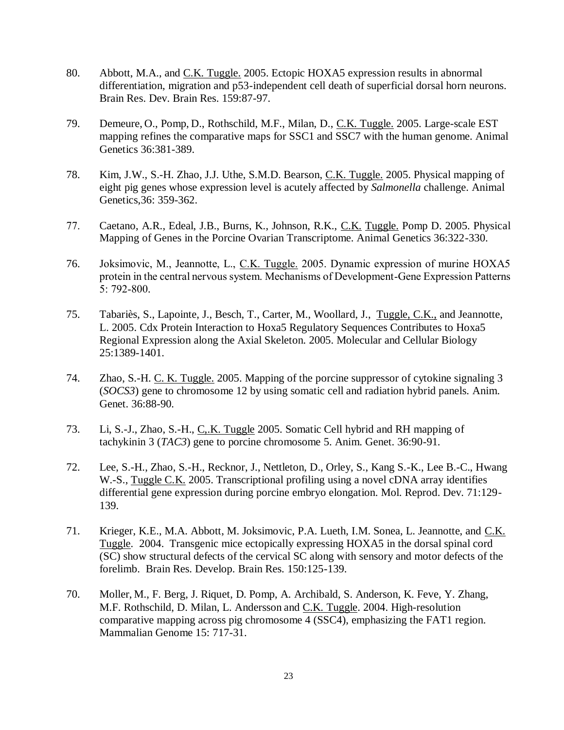- 80. Abbott, M.A., and C.K. Tuggle. 2005. Ectopic HOXA5 expression results in abnormal differentiation, migration and p53-independent cell death of superficial dorsal horn neurons. Brain Res. Dev. Brain Res. 159:87-97.
- 79. Demeure, O., Pomp, D., Rothschild, M.F., Milan, D., C.K. Tuggle. 2005. Large-scale EST mapping refines the comparative maps for SSC1 and SSC7 with the human genome. Animal Genetics 36:381-389.
- 78. Kim, J.W., S.-H. Zhao, J.J. Uthe, S.M.D. Bearson, C.K. Tuggle. 2005. Physical mapping of eight pig genes whose expression level is acutely affected by *Salmonella* challenge. Animal Genetics,36: 359-362.
- 77. Caetano, A.R., Edeal, J.B., Burns, K., Johnson, R.K., C.K. Tuggle. Pomp D. 2005. Physical Mapping of Genes in the Porcine Ovarian Transcriptome. Animal Genetics 36:322-330.
- 76. Joksimovic, M., Jeannotte, L., C.K. Tuggle. 2005. Dynamic expression of murine HOXA5 protein in the central nervous system. Mechanisms of Development-Gene Expression Patterns 5: 792-800.
- 75. Tabariès, S., Lapointe, J., Besch, T., Carter, M., Woollard, J., Tuggle, C.K., and Jeannotte, L. 2005. Cdx Protein Interaction to Hoxa5 Regulatory Sequences Contributes to Hoxa5 Regional Expression along the Axial Skeleton. 2005. Molecular and Cellular Biology 25:1389-1401.
- 74. Zhao, S.-H. C. K. Tuggle. 2005. Mapping of the porcine suppressor of cytokine signaling 3 (*SOCS3*) gene to chromosome 12 by using somatic cell and radiation hybrid panels. Anim. Genet. 36:88-90.
- 73. Li, S.-J., Zhao, S.-H., C,.K. Tuggle 2005. Somatic Cell hybrid and RH mapping of tachykinin 3 (*TAC3*) gene to porcine chromosome 5. Anim. Genet. 36:90-91.
- 72. Lee, S.-H., Zhao, S.-H., Recknor, J., Nettleton, D., Orley, S., Kang S.-K., Lee B.-C., Hwang W.-S., Tuggle C.K. 2005. Transcriptional profiling using a novel cDNA array identifies differential gene expression during porcine embryo elongation. Mol. Reprod. Dev. 71:129- 139.
- 71. Krieger, K.E., M.A. Abbott, M. Joksimovic, P.A. Lueth, I.M. Sonea, L. Jeannotte, and C.K. Tuggle. 2004. Transgenic mice ectopically expressing HOXA5 in the dorsal spinal cord (SC) show structural defects of the cervical SC along with sensory and motor defects of the forelimb. Brain Res. Develop. Brain Res. 150:125-139.
- 70. Moller, M., F. Berg, J. Riquet, D. Pomp, A. Archibald, S. Anderson, K. Feve, Y. Zhang, M.F. Rothschild, D. Milan, L. Andersson and C.K. Tuggle. 2004. High-resolution comparative mapping across pig chromosome 4 (SSC4), emphasizing the FAT1 region. Mammalian Genome 15: 717-31.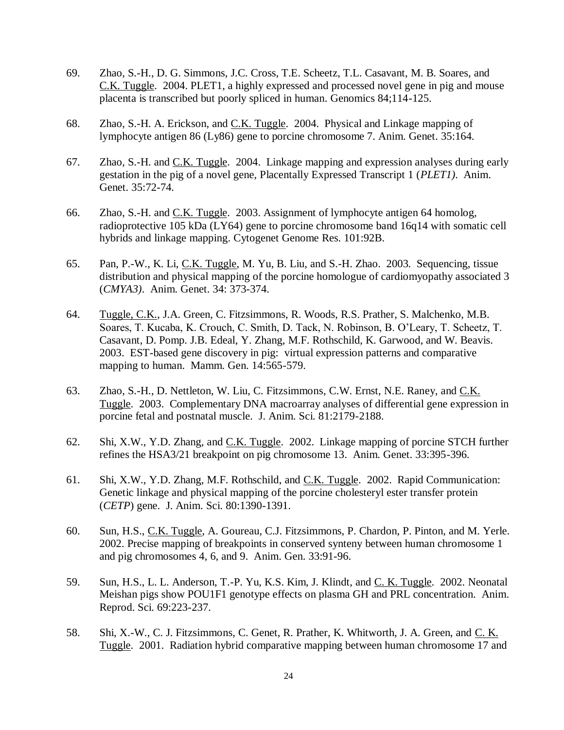- 69. Zhao, S.-H., D. G. Simmons, J.C. Cross, T.E. Scheetz, T.L. Casavant, M. B. Soares, and C.K. Tuggle. 2004. PLET1, a highly expressed and processed novel gene in pig and mouse placenta is transcribed but poorly spliced in human. Genomics 84;114-125.
- 68. Zhao, S.-H. A. Erickson, and C.K. Tuggle. 2004. Physical and Linkage mapping of lymphocyte antigen 86 (Ly86) gene to porcine chromosome 7. Anim. Genet. 35:164.
- 67. Zhao, S.-H. and C.K. Tuggle. 2004. Linkage mapping and expression analyses during early gestation in the pig of a novel gene, Placentally Expressed Transcript 1 (*PLET1)*. Anim. Genet. 35:72-74.
- 66. Zhao, S.-H. and C.K. Tuggle. 2003. Assignment of lymphocyte antigen 64 homolog, radioprotective 105 kDa (LY64) gene to porcine chromosome band 16q14 with somatic cell hybrids and linkage mapping. Cytogenet Genome Res. 101:92B.
- 65. Pan, P.-W., K. Li, C.K. Tuggle, M. Yu, B. Liu, and S.-H. Zhao. 2003. Sequencing, tissue distribution and physical mapping of the porcine homologue of cardiomyopathy associated 3 (*CMYA3)*. Anim. Genet. 34: 373-374.
- 64. Tuggle, C.K., J.A. Green, C. Fitzsimmons, R. Woods, R.S. Prather, S. Malchenko, M.B. Soares, T. Kucaba, K. Crouch, C. Smith, D. Tack, N. Robinson, B. O'Leary, T. Scheetz, T. Casavant, D. Pomp. J.B. Edeal, Y. Zhang, M.F. Rothschild, K. Garwood, and W. Beavis. 2003. EST-based gene discovery in pig: virtual expression patterns and comparative mapping to human. Mamm. Gen. 14:565-579.
- 63. Zhao, S.-H., D. Nettleton, W. Liu, C. Fitzsimmons, C.W. Ernst, N.E. Raney, and C.K. Tuggle. 2003. Complementary DNA macroarray analyses of differential gene expression in porcine fetal and postnatal muscle. J. Anim. Sci. 81:2179-2188.
- 62. Shi, X.W., Y.D. Zhang, and C.K. Tuggle. 2002. Linkage mapping of porcine STCH further refines the HSA3/21 breakpoint on pig chromosome 13. Anim. Genet. 33:395-396.
- 61. Shi, X.W., Y.D. Zhang, M.F. Rothschild, and C.K. Tuggle. 2002. Rapid Communication: Genetic linkage and physical mapping of the porcine cholesteryl ester transfer protein (*CETP*) gene. J. Anim. Sci. 80:1390-1391.
- 60. Sun, H.S., C.K. Tuggle, A. Goureau, C.J. Fitzsimmons, P. Chardon, P. Pinton, and M. Yerle. 2002. Precise mapping of breakpoints in conserved synteny between human chromosome 1 and pig chromosomes 4, 6, and 9. Anim. Gen. 33:91-96.
- 59. Sun, H.S., L. L. Anderson, T.-P. Yu, K.S. Kim, J. Klindt, and C. K. Tuggle. 2002. Neonatal Meishan pigs show POU1F1 genotype effects on plasma GH and PRL concentration. Anim. Reprod. Sci. 69:223-237.
- 58. Shi, X.-W., C. J. Fitzsimmons, C. Genet, R. Prather, K. Whitworth, J. A. Green, and C. K. Tuggle. 2001. Radiation hybrid comparative mapping between human chromosome 17 and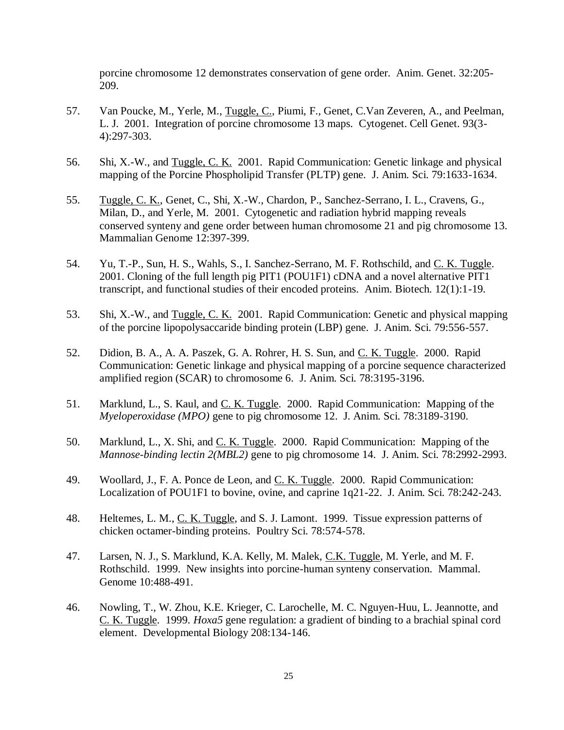porcine chromosome 12 demonstrates conservation of gene order. Anim. Genet. 32:205- 209.

- 57. Van Poucke, M., Yerle, M., Tuggle, C., Piumi, F., Genet, C. Van Zeveren, A., and Peelman, L. J. 2001. Integration of porcine chromosome 13 maps. Cytogenet. Cell Genet. 93(3- 4):297-303.
- 56. Shi, X.-W., and Tuggle, C. K. 2001. Rapid Communication: Genetic linkage and physical mapping of the Porcine Phospholipid Transfer (PLTP) gene. J. Anim. Sci. 79:1633-1634.
- 55. Tuggle, C. K., Genet, C., Shi, X.-W., Chardon, P., Sanchez-Serrano, I. L., Cravens, G., Milan, D., and Yerle, M. 2001. Cytogenetic and radiation hybrid mapping reveals conserved synteny and gene order between human chromosome 21 and pig chromosome 13. Mammalian Genome 12:397-399.
- 54. Yu, T.-P., Sun, H. S., Wahls, S., I. Sanchez-Serrano, M. F. Rothschild, and C. K. Tuggle. 2001. Cloning of the full length pig PIT1 (POU1F1) cDNA and a novel alternative PIT1 transcript, and functional studies of their encoded proteins. Anim. Biotech. 12(1):1-19.
- 53. Shi, X.-W., and Tuggle, C. K. 2001. Rapid Communication: Genetic and physical mapping of the porcine lipopolysaccaride binding protein (LBP) gene. J. Anim. Sci. 79:556-557.
- 52. Didion, B. A., A. A. Paszek, G. A. Rohrer, H. S. Sun, and C. K. Tuggle. 2000. Rapid Communication: Genetic linkage and physical mapping of a porcine sequence characterized amplified region (SCAR) to chromosome 6. J. Anim. Sci. 78:3195-3196.
- 51. Marklund, L., S. Kaul, and C. K. Tuggle. 2000. Rapid Communication: Mapping of the *Myeloperoxidase (MPO)* gene to pig chromosome 12. J. Anim. Sci. 78:3189-3190.
- 50. Marklund, L., X. Shi, and C. K. Tuggle. 2000. Rapid Communication: Mapping of the *Mannose-binding lectin 2(MBL2)* gene to pig chromosome 14. J. Anim. Sci. 78:2992-2993.
- 49. Woollard, J., F. A. Ponce de Leon, and <u>C. K. Tuggle</u>. 2000. Rapid Communication: Localization of POU1F1 to bovine, ovine, and caprine 1q21-22. J. Anim. Sci. 78:242-243.
- 48. Heltemes, L. M., C. K. Tuggle, and S. J. Lamont. 1999. Tissue expression patterns of chicken octamer-binding proteins. Poultry Sci. 78:574-578.
- 47. Larsen, N. J., S. Marklund, K.A. Kelly, M. Malek, C.K. Tuggle, M. Yerle, and M. F. Rothschild. 1999. New insights into porcine-human synteny conservation. Mammal. Genome 10:488-491.
- 46. Nowling, T., W. Zhou, K.E. Krieger, C. Larochelle, M. C. Nguyen-Huu, L. Jeannotte, and C. K. Tuggle. 1999. *Hoxa5* gene regulation: a gradient of binding to a brachial spinal cord element. Developmental Biology 208:134-146.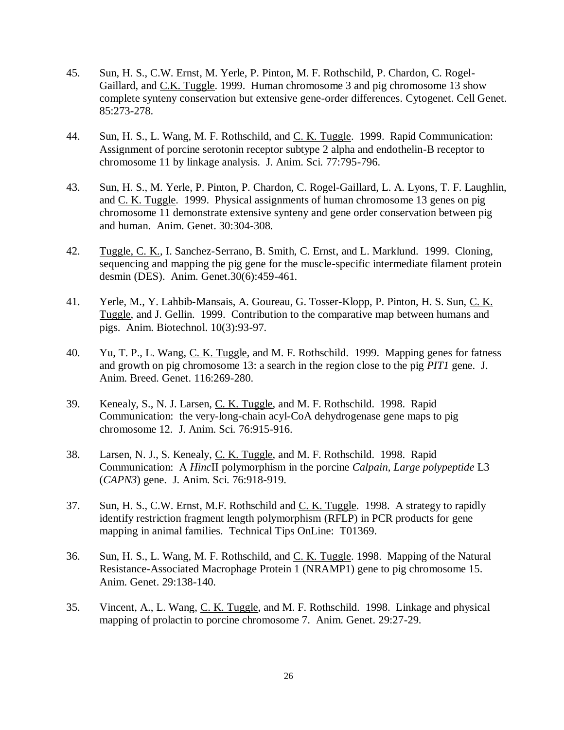- 45. Sun, H. S., C.W. Ernst, M. Yerle, P. Pinton, M. F. Rothschild, P. Chardon, C. Rogel-Gaillard, and C.K. Tuggle. 1999. Human chromosome 3 and pig chromosome 13 show complete synteny conservation but extensive gene-order differences. Cytogenet. Cell Genet. 85:273-278.
- 44. Sun, H. S., L. Wang, M. F. Rothschild, and C. K. Tuggle. 1999. Rapid Communication: Assignment of porcine serotonin receptor subtype 2 alpha and endothelin-B receptor to chromosome 11 by linkage analysis. J. Anim. Sci. 77:795-796.
- 43. Sun, H. S., M. Yerle, P. Pinton, P. Chardon, C. Rogel-Gaillard, L. A. Lyons, T. F. Laughlin, and C. K. Tuggle. 1999. Physical assignments of human chromosome 13 genes on pig chromosome 11 demonstrate extensive synteny and gene order conservation between pig and human. Anim. Genet. 30:304-308.
- 42. Tuggle, C. K., I. Sanchez-Serrano, B. Smith, C. Ernst, and L. Marklund. 1999. Cloning, sequencing and mapping the pig gene for the muscle-specific intermediate filament protein desmin (DES). Anim. Genet.30(6):459-461.
- 41. Yerle, M., Y. Lahbib-Mansais, A. Goureau, G. Tosser-Klopp, P. Pinton, H. S. Sun, C. K. Tuggle, and J. Gellin. 1999. Contribution to the comparative map between humans and pigs. Anim. Biotechnol. 10(3):93-97.
- 40. Yu, T. P., L. Wang, C. K. Tuggle, and M. F. Rothschild. 1999. Mapping genes for fatness and growth on pig chromosome 13: a search in the region close to the pig *PIT1* gene. J. Anim. Breed. Genet. 116:269-280.
- 39. Kenealy, S., N. J. Larsen, C. K. Tuggle, and M. F. Rothschild. 1998. Rapid Communication: the very-long-chain acyl-CoA dehydrogenase gene maps to pig chromosome 12. J. Anim. Sci. 76:915-916.
- 38. Larsen, N. J., S. Kenealy, C. K. Tuggle, and M. F. Rothschild. 1998. Rapid Communication: A *Hinc*II polymorphism in the porcine *Calpain, Large polypeptide* L3 (*CAPN3*) gene. J. Anim. Sci. 76:918-919.
- 37. Sun, H. S., C.W. Ernst, M.F. Rothschild and C. K. Tuggle. 1998. A strategy to rapidly identify restriction fragment length polymorphism (RFLP) in PCR products for gene mapping in animal families. Technical Tips OnLine: T01369.
- 36. Sun, H. S., L. Wang, M. F. Rothschild, and C. K. Tuggle. 1998. Mapping of the Natural Resistance-Associated Macrophage Protein 1 (NRAMP1) gene to pig chromosome 15. Anim. Genet. 29:138-140.
- 35. Vincent, A., L. Wang, C. K. Tuggle, and M. F. Rothschild. 1998. Linkage and physical mapping of prolactin to porcine chromosome 7. Anim. Genet. 29:27-29.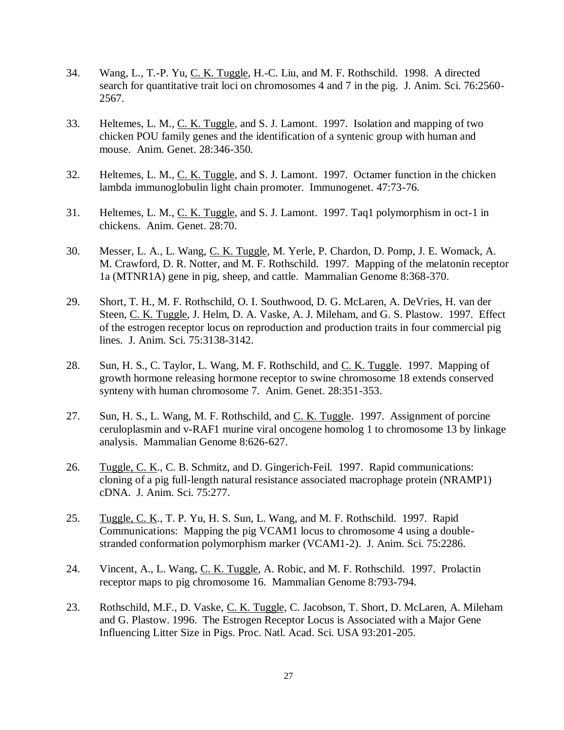- 34. Wang, L., T.-P. Yu, C. K. Tuggle, H.-C. Liu, and M. F. Rothschild. 1998. A directed search for quantitative trait loci on chromosomes 4 and 7 in the pig. J. Anim. Sci. 76:2560-2567.
- 33. Heltemes, L. M., C. K. Tuggle, and S. J. Lamont. 1997. Isolation and mapping of two chicken POU family genes and the identification of a syntenic group with human and mouse. Anim. Genet. 28:346-350.
- 32. Heltemes, L. M., C. K. Tuggle, and S. J. Lamont. 1997. Octamer function in the chicken lambda immunoglobulin light chain promoter. Immunogenet. 47:73-76.
- 31. Heltemes, L. M., C. K. Tuggle, and S. J. Lamont. 1997. Taq1 polymorphism in oct-1 in chickens. Anim. Genet. 28:70.
- 30. Messer, L. A., L. Wang, C. K. Tuggle, M. Yerle, P. Chardon, D. Pomp, J. E. Womack, A. M. Crawford, D. R. Notter, and M. F. Rothschild. 1997. Mapping of the melatonin receptor 1a (MTNR1A) gene in pig, sheep, and cattle. Mammalian Genome 8:368-370.
- 29. Short, T. H., M. F. Rothschild, O. I. Southwood, D. G. McLaren, A. DeVries, H. van der Steen, C. K. Tuggle, J. Helm, D. A. Vaske, A. J. Mileham, and G. S. Plastow. 1997. Effect of the estrogen receptor locus on reproduction and production traits in four commercial pig lines. J. Anim. Sci. 75:3138-3142.
- 28. Sun, H. S., C. Taylor, L. Wang, M. F. Rothschild, and C. K. Tuggle. 1997. Mapping of growth hormone releasing hormone receptor to swine chromosome 18 extends conserved synteny with human chromosome 7. Anim. Genet. 28:351-353.
- 27. Sun, H. S., L. Wang, M. F. Rothschild, and C. K. Tuggle. 1997. Assignment of porcine ceruloplasmin and v-RAF1 murine viral oncogene homolog 1 to chromosome 13 by linkage analysis. Mammalian Genome 8:626-627.
- 26. Tuggle, C. K., C. B. Schmitz, and D. Gingerich-Feil. 1997. Rapid communications: cloning of a pig full-length natural resistance associated macrophage protein (NRAMP1) cDNA. J. Anim. Sci. 75:277.
- 25. Tuggle, C. K., T. P. Yu, H. S. Sun, L. Wang, and M. F. Rothschild. 1997. Rapid Communications: Mapping the pig VCAM1 locus to chromosome 4 using a doublestranded conformation polymorphism marker (VCAM1-2). J. Anim. Sci. 75:2286.
- 24. Vincent, A., L. Wang, C. K. Tuggle, A. Robic, and M. F. Rothschild. 1997. Prolactin receptor maps to pig chromosome 16. Mammalian Genome 8:793-794.
- 23. Rothschild, M.F., D. Vaske, C. K. Tuggle, C. Jacobson, T. Short, D. McLaren, A. Mileham and G. Plastow. 1996. The Estrogen Receptor Locus is Associated with a Major Gene Influencing Litter Size in Pigs. Proc. Natl. Acad. Sci. USA 93:201-205.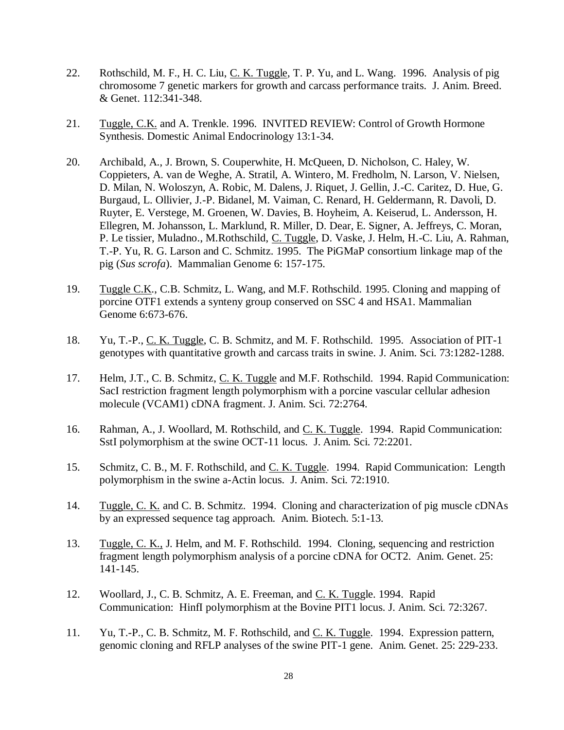- 22. Rothschild, M. F., H. C. Liu, C. K. Tuggle, T. P. Yu, and L. Wang. 1996. Analysis of pig chromosome 7 genetic markers for growth and carcass performance traits. J. Anim. Breed. & Genet. 112:341-348.
- 21. Tuggle, C.K. and A. Trenkle. 1996. INVITED REVIEW: Control of Growth Hormone Synthesis. Domestic Animal Endocrinology 13:1-34.
- 20. Archibald, A., J. Brown, S. Couperwhite, H. McQueen, D. Nicholson, C. Haley, W. Coppieters, A. van de Weghe, A. Stratil, A. Wintero, M. Fredholm, N. Larson, V. Nielsen, D. Milan, N. Woloszyn, A. Robic, M. Dalens, J. Riquet, J. Gellin, J.-C. Caritez, D. Hue, G. Burgaud, L. Ollivier, J.-P. Bidanel, M. Vaiman, C. Renard, H. Geldermann, R. Davoli, D. Ruyter, E. Verstege, M. Groenen, W. Davies, B. Hoyheim, A. Keiserud, L. Andersson, H. Ellegren, M. Johansson, L. Marklund, R. Miller, D. Dear, E. Signer, A. Jeffreys, C. Moran, P. Le tissier, Muladno., M.Rothschild, C. Tuggle, D. Vaske, J. Helm, H.-C. Liu, A. Rahman, T.-P. Yu, R. G. Larson and C. Schmitz. 1995. The PiGMaP consortium linkage map of the pig (*Sus scrofa*). Mammalian Genome 6: 157-175.
- 19. Tuggle C.K., C.B. Schmitz, L. Wang, and M.F. Rothschild. 1995. Cloning and mapping of porcine OTF1 extends a synteny group conserved on SSC 4 and HSA1. Mammalian Genome 6:673-676.
- 18. Yu, T.-P., C. K. Tuggle, C. B. Schmitz, and M. F. Rothschild. 1995. Association of PIT-1 genotypes with quantitative growth and carcass traits in swine. J. Anim. Sci. 73:1282-1288.
- 17. Helm, J.T., C. B. Schmitz, C. K. Tuggle and M.F. Rothschild. 1994. Rapid Communication: SacI restriction fragment length polymorphism with a porcine vascular cellular adhesion molecule (VCAM1) cDNA fragment. J. Anim. Sci. 72:2764.
- 16. Rahman, A., J. Woollard, M. Rothschild, and C. K. Tuggle. 1994. Rapid Communication: SstI polymorphism at the swine OCT-11 locus. J. Anim. Sci. 72:2201.
- 15. Schmitz, C. B., M. F. Rothschild, and C. K. Tuggle. 1994. Rapid Communication: Length polymorphism in the swine a-Actin locus. J. Anim. Sci. 72:1910.
- 14. Tuggle, C. K. and C. B. Schmitz. 1994. Cloning and characterization of pig muscle cDNAs by an expressed sequence tag approach. Anim. Biotech. 5:1-13.
- 13. Tuggle, C. K., J. Helm, and M. F. Rothschild. 1994. Cloning, sequencing and restriction fragment length polymorphism analysis of a porcine cDNA for OCT2. Anim. Genet. 25: 141-145.
- 12. Woollard, J., C. B. Schmitz, A. E. Freeman, and C. K. Tuggle. 1994. Rapid Communication: HinfI polymorphism at the Bovine PIT1 locus. J. Anim. Sci. 72:3267.
- 11. Yu, T.-P., C. B. Schmitz, M. F. Rothschild, and C. K. Tuggle. 1994. Expression pattern, genomic cloning and RFLP analyses of the swine PIT-1 gene. Anim. Genet. 25: 229-233.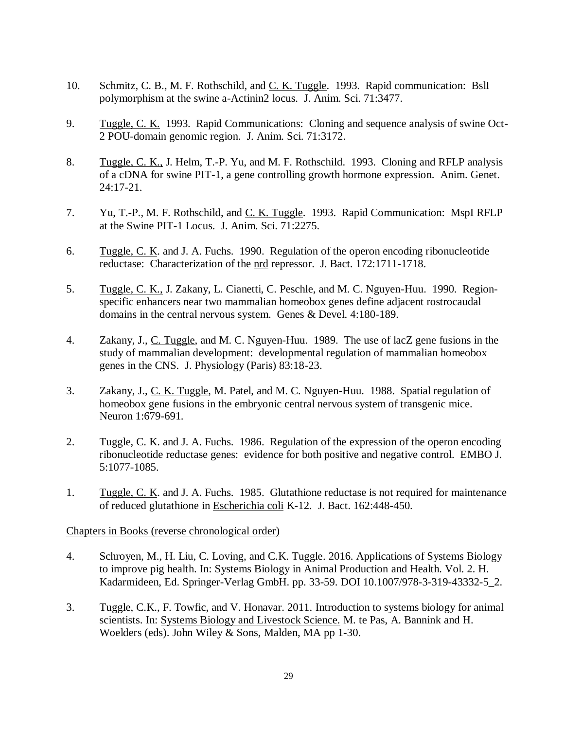- 10. Schmitz, C. B., M. F. Rothschild, and <u>C. K. Tuggle</u>. 1993. Rapid communication: BslI polymorphism at the swine a-Actinin2 locus. J. Anim. Sci. 71:3477.
- 9. Tuggle, C. K. 1993. Rapid Communications: Cloning and sequence analysis of swine Oct-2 POU-domain genomic region. J. Anim. Sci. 71:3172.
- 8. Tuggle, C. K., J. Helm, T.-P. Yu, and M. F. Rothschild. 1993. Cloning and RFLP analysis of a cDNA for swine PIT-1, a gene controlling growth hormone expression. Anim. Genet. 24:17-21.
- 7. Yu, T.-P., M. F. Rothschild, and C. K. Tuggle. 1993. Rapid Communication: MspI RFLP at the Swine PIT-1 Locus. J. Anim. Sci. 71:2275.
- 6. Tuggle, C. K. and J. A. Fuchs. 1990. Regulation of the operon encoding ribonucleotide reductase: Characterization of the nrd repressor. J. Bact. 172:1711-1718.
- 5. Tuggle, C. K., J. Zakany, L. Cianetti, C. Peschle, and M. C. Nguyen-Huu. 1990. Regionspecific enhancers near two mammalian homeobox genes define adjacent rostrocaudal domains in the central nervous system. Genes & Devel. 4:180-189.
- 4. Zakany, J., C. Tuggle, and M. C. Nguyen-Huu. 1989. The use of lacZ gene fusions in the study of mammalian development: developmental regulation of mammalian homeobox genes in the CNS. J. Physiology (Paris) 83:18-23.
- 3. Zakany, J., C. K. Tuggle, M. Patel, and M. C. Nguyen-Huu. 1988. Spatial regulation of homeobox gene fusions in the embryonic central nervous system of transgenic mice. Neuron 1:679-691.
- 2. Tuggle, C. K. and J. A. Fuchs. 1986. Regulation of the expression of the operon encoding ribonucleotide reductase genes: evidence for both positive and negative control. EMBO J. 5:1077-1085.
- 1. Tuggle, C. K. and J. A. Fuchs. 1985. Glutathione reductase is not required for maintenance of reduced glutathione in Escherichia coli K-12. J. Bact. 162:448-450.

## Chapters in Books (reverse chronological order)

- 4. Schroyen, M., H. Liu, C. Loving, and C.K. Tuggle. 2016. Applications of Systems Biology to improve pig health. In: Systems Biology in Animal Production and Health. Vol. 2. H. Kadarmideen, Ed. Springer-Verlag GmbH. pp. 33-59. DOI 10.1007/978-3-319-43332-5\_2.
- 3. Tuggle, C.K., F. Towfic, and V. Honavar. 2011. Introduction to systems biology for animal scientists. In: Systems Biology and Livestock Science. M. te Pas, A. Bannink and H. Woelders (eds). John Wiley & Sons, Malden, MA pp 1-30.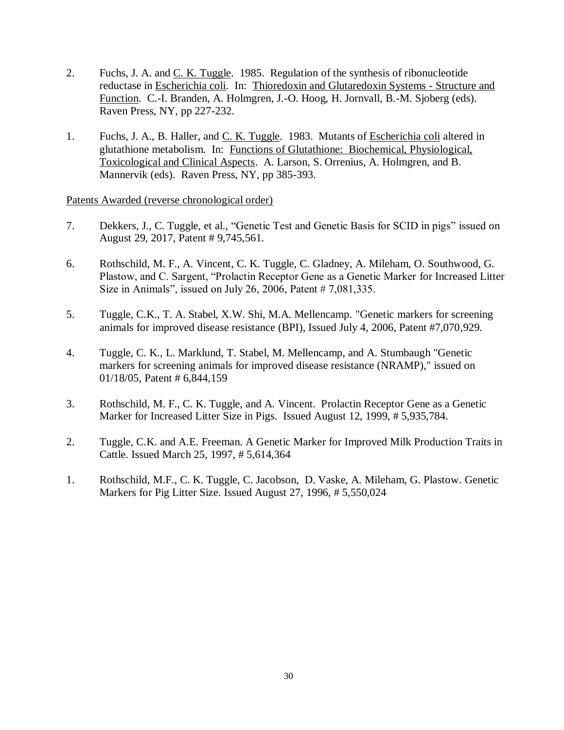- 2. Fuchs, J. A. and <u>C. K. Tuggle</u>. 1985. Regulation of the synthesis of ribonucleotide reductase in Escherichia coli. In: Thioredoxin and Glutaredoxin Systems - Structure and Function. C.-I. Branden, A. Holmgren, J.-O. Hoog, H. Jornvall, B.-M. Sjoberg (eds). Raven Press, NY, pp 227-232.
- 1. Fuchs, J. A., B. Haller, and C. K. Tuggle. 1983. Mutants of Escherichia coli altered in glutathione metabolism. In: Functions of Glutathione: Biochemical, Physiological, Toxicological and Clinical Aspects. A. Larson, S. Orrenius, A. Holmgren, and B. Mannervik (eds). Raven Press, NY, pp 385-393.

Patents Awarded (reverse chronological order)

- 7. Dekkers, J., C. Tuggle, et al., "Genetic Test and Genetic Basis for SCID in pigs" issued on August 29, 2017, Patent # 9,745,561.
- 6. Rothschild, M. F., A. Vincent, C. K. Tuggle, C. Gladney, A. Mileham, O. Southwood, G. Plastow, and C. Sargent, "Prolactin Receptor Gene as a Genetic Marker for Increased Litter Size in Animals", issued on July 26, 2006, Patent # 7,081,335.
- 5. Tuggle, C.K., T. A. Stabel, X.W. Shi, M.A. Mellencamp. "Genetic markers for screening animals for improved disease resistance (BPI), Issued July 4, 2006, Patent #7,070,929.
- 4. Tuggle, C. K., L. Marklund, T. Stabel, M. Mellencamp, and A. Stumbaugh "Genetic markers for screening animals for improved disease resistance (NRAMP)," issued on 01/18/05, Patent # 6,844,159
- 3. Rothschild, M. F., C. K. Tuggle, and A. Vincent. Prolactin Receptor Gene as a Genetic Marker for Increased Litter Size in Pigs. Issued August 12, 1999, # 5,935,784.
- 2. Tuggle, C.K. and A.E. Freeman. A Genetic Marker for Improved Milk Production Traits in Cattle. Issued March 25, 1997, # 5,614,364
- 1. Rothschild, M.F., C. K. Tuggle, C. Jacobson, D. Vaske, A. Mileham, G. Plastow. Genetic Markers for Pig Litter Size. Issued August 27, 1996, # 5,550,024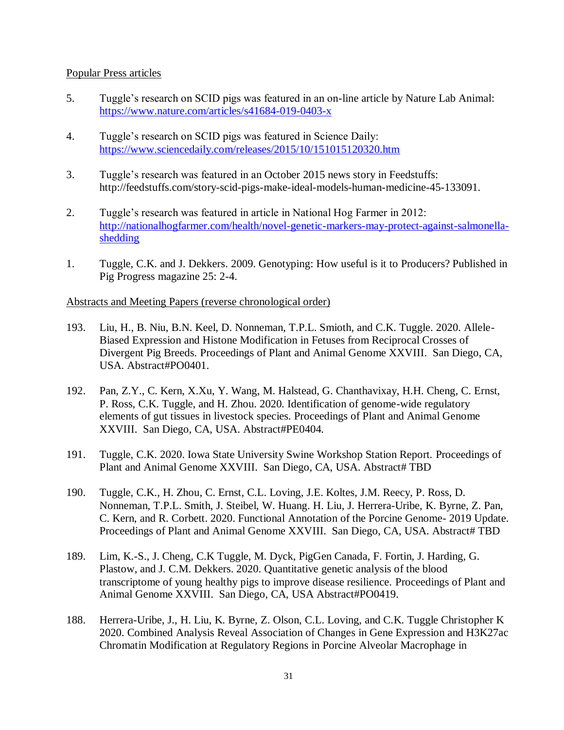## Popular Press articles

- 5. Tuggle's research on SCID pigs was featured in an on-line article by Nature Lab Animal: <https://www.nature.com/articles/s41684-019-0403-x>
- 4. Tuggle's research on SCID pigs was featured in Science Daily: <https://www.sciencedaily.com/releases/2015/10/151015120320.htm>
- 3. Tuggle's research was featured in an October 2015 news story in Feedstuffs: http://feedstuffs.com/story-scid-pigs-make-ideal-models-human-medicine-45-133091.
- 2. Tuggle's research was featured in article in National Hog Farmer in 2012: [http://nationalhogfarmer.com/health/novel-genetic-markers-may-protect-against-salmonella](http://nationalhogfarmer.com/health/novel-genetic-markers-may-protect-against-salmonella-shedding)[shedding](http://nationalhogfarmer.com/health/novel-genetic-markers-may-protect-against-salmonella-shedding)
- 1. Tuggle, C.K. and J. Dekkers. 2009. Genotyping: How useful is it to Producers? Published in Pig Progress magazine 25: 2-4.

## Abstracts and Meeting Papers (reverse chronological order)

- 193. Liu, H., B. Niu, B.N. Keel, D. Nonneman, T.P.L. Smioth, and C.K. Tuggle. 2020. Allele-Biased Expression and Histone Modification in Fetuses from Reciprocal Crosses of Divergent Pig Breeds. Proceedings of Plant and Animal Genome XXVIII. San Diego, CA, USA. Abstract#PO0401.
- 192. Pan, Z.Y., C. Kern, X.Xu, Y. Wang, M. Halstead, G. Chanthavixay, H.H. Cheng, C. Ernst, P. Ross, C.K. Tuggle, and H. Zhou. 2020. Identification of genome-wide regulatory elements of gut tissues in livestock species. Proceedings of Plant and Animal Genome XXVIII. San Diego, CA, USA. Abstract#PE0404.
- 191. Tuggle, C.K. 2020. Iowa State University Swine Workshop Station Report. Proceedings of Plant and Animal Genome XXVIII. San Diego, CA, USA. Abstract# TBD
- 190. Tuggle, C.K., H. Zhou, C. Ernst, C.L. Loving, J.E. Koltes, J.M. Reecy, P. Ross, D. Nonneman, T.P.L. Smith, J. Steibel, W. Huang. H. Liu, J. Herrera-Uribe, K. Byrne, Z. Pan, C. Kern, and R. Corbett. 2020. Functional Annotation of the Porcine Genome- 2019 Update. Proceedings of Plant and Animal Genome XXVIII. San Diego, CA, USA. Abstract# TBD
- 189. Lim, K.-S., J. Cheng, C.K Tuggle, M. Dyck, PigGen Canada, F. Fortin, J. Harding, G. Plastow, and J. C.M. Dekkers. 2020. Quantitative genetic analysis of the blood transcriptome of young healthy pigs to improve disease resilience. Proceedings of Plant and Animal Genome XXVIII. San Diego, CA, USA Abstract#PO0419.
- 188. Herrera-Uribe, J., H. Liu, K. Byrne, Z. Olson, C.L. Loving, and C.K. Tuggle Christopher K 2020. Combined Analysis Reveal Association of Changes in Gene Expression and H3K27ac Chromatin Modification at Regulatory Regions in Porcine Alveolar Macrophage in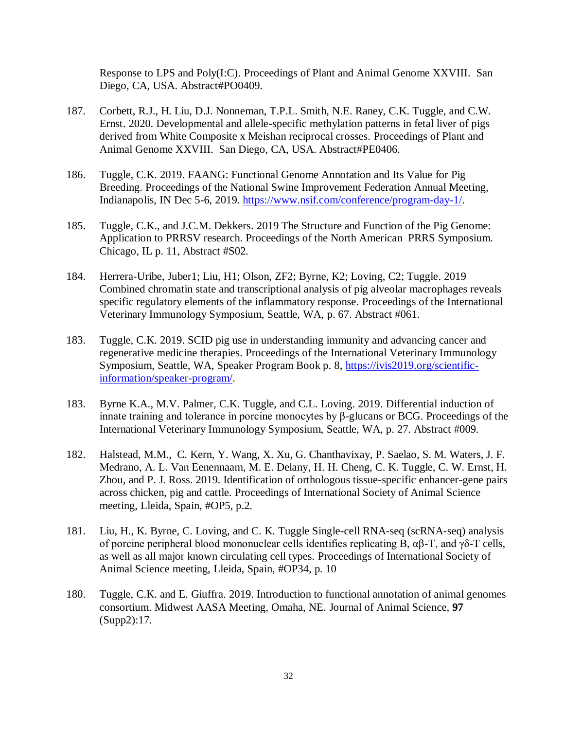Response to LPS and Poly(I:C). Proceedings of Plant and Animal Genome XXVIII. San Diego, CA, USA. Abstract#PO0409.

- 187. Corbett, R.J., H. Liu, D.J. Nonneman, T.P.L. Smith, N.E. Raney, C.K. Tuggle, and C.W. Ernst. 2020. Developmental and allele-specific methylation patterns in fetal liver of pigs derived from White Composite x Meishan reciprocal crosses. Proceedings of Plant and Animal Genome XXVIII. San Diego, CA, USA. Abstract#PE0406.
- 186. Tuggle, C.K. 2019. FAANG: Functional Genome Annotation and Its Value for Pig Breeding. Proceedings of the National Swine Improvement Federation Annual Meeting, Indianapolis, IN Dec 5-6, 2019. [https://www.nsif.com/conference/program-day-1/.](https://www.nsif.com/conference/program-day-1/)
- 185. Tuggle, C.K., and J.C.M. Dekkers. 2019 The Structure and Function of the Pig Genome: Application to PRRSV research. Proceedings of the North American PRRS Symposium. Chicago, IL p. 11, Abstract #S02.
- 184. Herrera-Uribe, Juber1; Liu, H1; Olson, ZF2; Byrne, K2; Loving, C2; Tuggle. 2019 Combined chromatin state and transcriptional analysis of pig alveolar macrophages reveals specific regulatory elements of the inflammatory response. Proceedings of the International Veterinary Immunology Symposium, Seattle, WA, p. 67. Abstract #061.
- 183. Tuggle, C.K. 2019. SCID pig use in understanding immunity and advancing cancer and regenerative medicine therapies. Proceedings of the International Veterinary Immunology Symposium, Seattle, WA, Speaker Program Book p. 8, [https://ivis2019.org/scientific](https://ivis2019.org/scientific-information/speaker-program/)[information/speaker-program/.](https://ivis2019.org/scientific-information/speaker-program/)
- 183. Byrne K.A., M.V. Palmer, C.K. Tuggle, and C.L. Loving. 2019. Differential induction of innate training and tolerance in porcine monocytes by β-glucans or BCG. Proceedings of the International Veterinary Immunology Symposium, Seattle, WA, p. 27. Abstract #009.
- 182. Halstead, M.M., C. Kern, Y. Wang, X. Xu, G. Chanthavixay, P. Saelao, S. M. Waters, J. F. Medrano, A. L. Van Eenennaam, M. E. Delany, H. H. Cheng, C. K. Tuggle, C. W. Ernst, H. Zhou, and P. J. Ross. 2019. Identification of orthologous tissue-specific enhancer-gene pairs across chicken, pig and cattle. Proceedings of International Society of Animal Science meeting, Lleida, Spain, #OP5, p.2.
- 181. Liu, H., K. Byrne, C. Loving, and C. K. Tuggle Single-cell RNA-seq (scRNA-seq) analysis of porcine peripheral blood mononuclear cells identifies replicating B, αβ-T, and γδ-T cells, as well as all major known circulating cell types. Proceedings of International Society of Animal Science meeting, Lleida, Spain, #OP34, p. 10
- 180. Tuggle, C.K. and E. Giuffra. 2019. Introduction to functional annotation of animal genomes consortium. Midwest AASA Meeting, Omaha, NE. Journal of Animal Science, **97** (Supp2):17.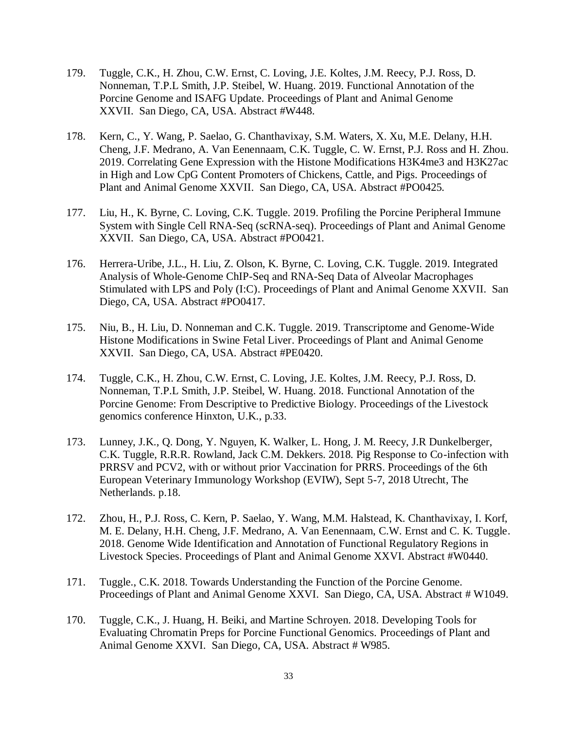- 179. Tuggle, C.K., H. Zhou, C.W. Ernst, C. Loving, J.E. Koltes, J.M. Reecy, P.J. Ross, D. Nonneman, T.P.L Smith, J.P. Steibel, W. Huang. 2019. Functional Annotation of the Porcine Genome and ISAFG Update. Proceedings of Plant and Animal Genome XXVII. San Diego, CA, USA. Abstract #W448.
- 178. Kern, C., Y. Wang, P. Saelao, G. Chanthavixay, S.M. Waters, X. Xu, M.E. Delany, H.H. Cheng, J.F. Medrano, A. Van Eenennaam, C.K. Tuggle, C. W. Ernst, P.J. Ross and H. Zhou. 2019. Correlating Gene Expression with the Histone Modifications H3K4me3 and H3K27ac in High and Low CpG Content Promoters of Chickens, Cattle, and Pigs. Proceedings of Plant and Animal Genome XXVII. San Diego, CA, USA. Abstract #PO0425.
- 177. Liu, H., K. Byrne, C. Loving, C.K. Tuggle. 2019. Profiling the Porcine Peripheral Immune System with Single Cell RNA-Seq (scRNA-seq). Proceedings of Plant and Animal Genome XXVII. San Diego, CA, USA. Abstract #PO0421.
- 176. Herrera-Uribe, J.L., H. Liu, Z. Olson, K. Byrne, C. Loving, C.K. Tuggle. 2019. Integrated Analysis of Whole-Genome ChIP-Seq and RNA-Seq Data of Alveolar Macrophages Stimulated with LPS and Poly (I:C). Proceedings of Plant and Animal Genome XXVII. San Diego, CA, USA. Abstract #PO0417.
- 175. Niu, B., H. Liu, D. Nonneman and C.K. Tuggle. 2019. Transcriptome and Genome-Wide Histone Modifications in Swine Fetal Liver. Proceedings of Plant and Animal Genome XXVII. San Diego, CA, USA. Abstract #PE0420.
- 174. Tuggle, C.K., H. Zhou, C.W. Ernst, C. Loving, J.E. Koltes, J.M. Reecy, P.J. Ross, D. Nonneman, T.P.L Smith, J.P. Steibel, W. Huang. 2018. Functional Annotation of the Porcine Genome: From Descriptive to Predictive Biology. Proceedings of the Livestock genomics conference Hinxton, U.K., p.33.
- 173. Lunney, J.K., Q. Dong, Y. Nguyen, K. Walker, L. Hong, J. M. Reecy, J.R Dunkelberger, C.K. Tuggle, R.R.R. Rowland, Jack C.M. Dekkers. 2018. Pig Response to Co-infection with PRRSV and PCV2, with or without prior Vaccination for PRRS. Proceedings of the 6th European Veterinary Immunology Workshop (EVIW), Sept 5-7, 2018 Utrecht, The Netherlands. p.18.
- 172. Zhou, H., P.J. Ross, C. Kern, P. Saelao, Y. Wang, M.M. Halstead, K. Chanthavixay, I. Korf, M. E. Delany, H.H. Cheng, J.F. Medrano, A. Van Eenennaam, C.W. Ernst and C. K. Tuggle. 2018. Genome Wide Identification and Annotation of Functional Regulatory Regions in Livestock Species. Proceedings of Plant and Animal Genome XXVI. Abstract #W0440.
- 171. Tuggle., C.K. 2018. Towards Understanding the Function of the Porcine Genome. Proceedings of Plant and Animal Genome XXVI. San Diego, CA, USA. Abstract # W1049.
- 170. Tuggle, C.K., J. Huang, H. Beiki, and Martine Schroyen. 2018. Developing Tools for Evaluating Chromatin Preps for Porcine Functional Genomics. Proceedings of Plant and Animal Genome XXVI. San Diego, CA, USA. Abstract # W985.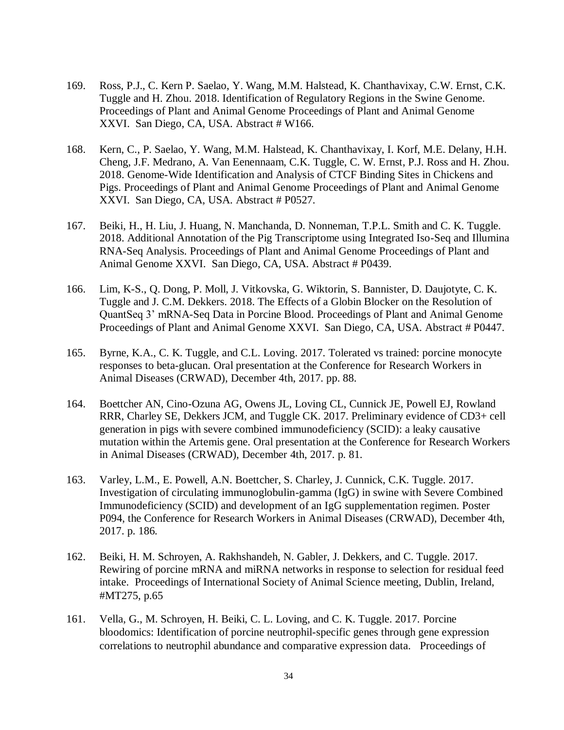- 169. Ross, P.J., C. Kern P. Saelao, Y. Wang, M.M. Halstead, K. Chanthavixay, C.W. Ernst, C.K. Tuggle and H. Zhou. 2018. Identification of Regulatory Regions in the Swine Genome. Proceedings of Plant and Animal Genome Proceedings of Plant and Animal Genome XXVI. San Diego, CA, USA. Abstract # W166.
- 168. Kern, C., P. Saelao, Y. Wang, M.M. Halstead, K. Chanthavixay, I. Korf, M.E. Delany, H.H. Cheng, J.F. Medrano, A. Van Eenennaam, C.K. Tuggle, C. W. Ernst, P.J. Ross and H. Zhou. 2018. Genome-Wide Identification and Analysis of CTCF Binding Sites in Chickens and Pigs. Proceedings of Plant and Animal Genome Proceedings of Plant and Animal Genome XXVI. San Diego, CA, USA. Abstract # P0527.
- 167. Beiki, H., H. Liu, J. Huang, N. Manchanda, D. Nonneman, T.P.L. Smith and C. K. Tuggle. 2018. Additional Annotation of the Pig Transcriptome using Integrated Iso-Seq and Illumina RNA-Seq Analysis. Proceedings of Plant and Animal Genome Proceedings of Plant and Animal Genome XXVI. San Diego, CA, USA. Abstract # P0439.
- 166. Lim, K-S., Q. Dong, P. Moll, J. Vitkovska, G. Wiktorin, S. Bannister, D. Daujotyte, C. K. Tuggle and J. C.M. Dekkers. 2018. The Effects of a Globin Blocker on the Resolution of QuantSeq 3' mRNA-Seq Data in Porcine Blood. Proceedings of Plant and Animal Genome Proceedings of Plant and Animal Genome XXVI. San Diego, CA, USA. Abstract # P0447.
- 165. Byrne, K.A., C. K. Tuggle, and C.L. Loving. 2017. Tolerated vs trained: porcine monocyte responses to beta-glucan. Oral presentation at the Conference for Research Workers in Animal Diseases (CRWAD), December 4th, 2017. pp. 88.
- 164. Boettcher AN, Cino-Ozuna AG, Owens JL, Loving CL, Cunnick JE, Powell EJ, Rowland RRR, Charley SE, Dekkers JCM, and Tuggle CK. 2017. Preliminary evidence of CD3+ cell generation in pigs with severe combined immunodeficiency (SCID): a leaky causative mutation within the Artemis gene. Oral presentation at the Conference for Research Workers in Animal Diseases (CRWAD), December 4th, 2017. p. 81.
- 163. Varley, L.M., E. Powell, A.N. Boettcher, S. Charley, J. Cunnick, C.K. Tuggle. 2017. Investigation of circulating immunoglobulin-gamma (IgG) in swine with Severe Combined Immunodeficiency (SCID) and development of an IgG supplementation regimen. Poster P094, the Conference for Research Workers in Animal Diseases (CRWAD), December 4th, 2017. p. 186.
- 162. Beiki, H. M. Schroyen, A. Rakhshandeh, N. Gabler, J. Dekkers, and C. Tuggle. 2017. Rewiring of porcine mRNA and miRNA networks in response to selection for residual feed intake. Proceedings of International Society of Animal Science meeting, Dublin, Ireland, #MT275, p.65
- 161. Vella, G., M. Schroyen, H. Beiki, C. L. Loving, and C. K. Tuggle. 2017. Porcine bloodomics: Identification of porcine neutrophil-specific genes through gene expression correlations to neutrophil abundance and comparative expression data. Proceedings of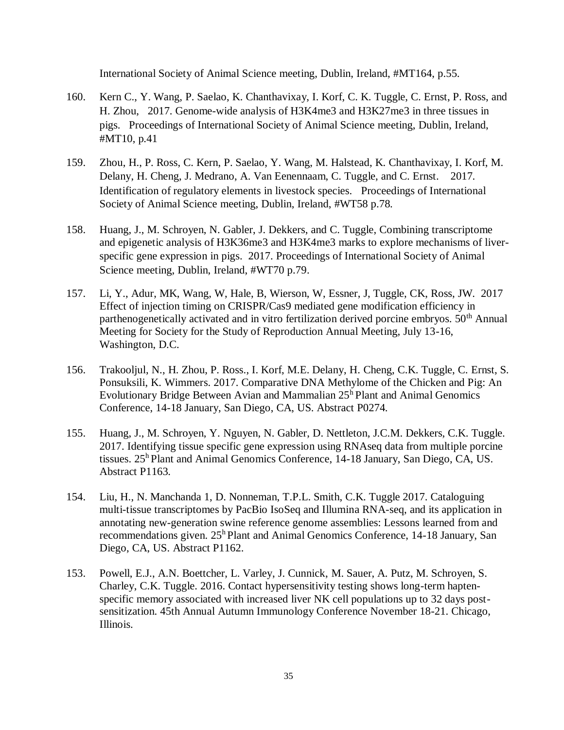International Society of Animal Science meeting, Dublin, Ireland, #MT164, p.55.

- 160. Kern C., Y. Wang, P. Saelao, K. Chanthavixay, I. Korf, C. K. Tuggle, C. Ernst, P. Ross, and H. Zhou, 2017. Genome-wide analysis of H3K4me3 and H3K27me3 in three tissues in pigs. Proceedings of International Society of Animal Science meeting, Dublin, Ireland, #MT10, p.41
- 159. Zhou, H., P. Ross, C. Kern, P. Saelao, Y. Wang, M. Halstead, K. Chanthavixay, I. Korf, M. Delany, H. Cheng, J. Medrano, A. Van Eenennaam, C. Tuggle, and C. Ernst. 2017. Identification of regulatory elements in livestock species. Proceedings of International Society of Animal Science meeting, Dublin, Ireland, #WT58 p.78.
- 158. Huang, J., M. Schroyen, N. Gabler, J. Dekkers, and C. Tuggle, Combining transcriptome and epigenetic analysis of H3K36me3 and H3K4me3 marks to explore mechanisms of liverspecific gene expression in pigs. 2017. Proceedings of International Society of Animal Science meeting, Dublin, Ireland, #WT70 p.79.
- 157. Li, Y., Adur, MK, Wang, W, Hale, B, Wierson, W, Essner, J, Tuggle, CK, Ross, JW. 2017 Effect of injection timing on CRISPR/Cas9 mediated gene modification efficiency in parthenogenetically activated and in vitro fertilization derived porcine embryos. 50<sup>th</sup> Annual Meeting for Society for the Study of Reproduction Annual Meeting, July 13-16, Washington, D.C.
- 156. Trakooljul, N., H. Zhou, P. Ross., I. Korf, M.E. Delany, H. Cheng, C.K. Tuggle, C. Ernst, S. Ponsuksili, K. Wimmers. 2017. Comparative DNA Methylome of the Chicken and Pig: An Evolutionary Bridge Between Avian and Mammalian  $25<sup>h</sup>$  Plant and Animal Genomics Conference, 14-18 January, San Diego, CA, US. Abstract P0274.
- 155. Huang, J., M. Schroyen, Y. Nguyen, N. Gabler, D. Nettleton, J.C.M. Dekkers, C.K. Tuggle. 2017. Identifying tissue specific gene expression using RNAseq data from multiple porcine tissues. 25<sup>h</sup> Plant and Animal Genomics Conference, 14-18 January, San Diego, CA, US. Abstract P1163.
- 154. Liu, H., N. Manchanda 1, D. Nonneman, T.P.L. Smith, C.K. Tuggle 2017. Cataloguing multi-tissue transcriptomes by PacBio IsoSeq and Illumina RNA-seq, and its application in annotating new-generation swine reference genome assemblies: Lessons learned from and recommendations given. 25<sup>h</sup> Plant and Animal Genomics Conference, 14-18 January, San Diego, CA, US. Abstract P1162.
- 153. Powell, E.J., A.N. Boettcher, L. Varley, J. Cunnick, M. Sauer, A. Putz, M. Schroyen, S. Charley, C.K. Tuggle. 2016. Contact hypersensitivity testing shows long-term haptenspecific memory associated with increased liver NK cell populations up to 32 days postsensitization. 45th Annual Autumn Immunology Conference November 18-21. Chicago, Illinois.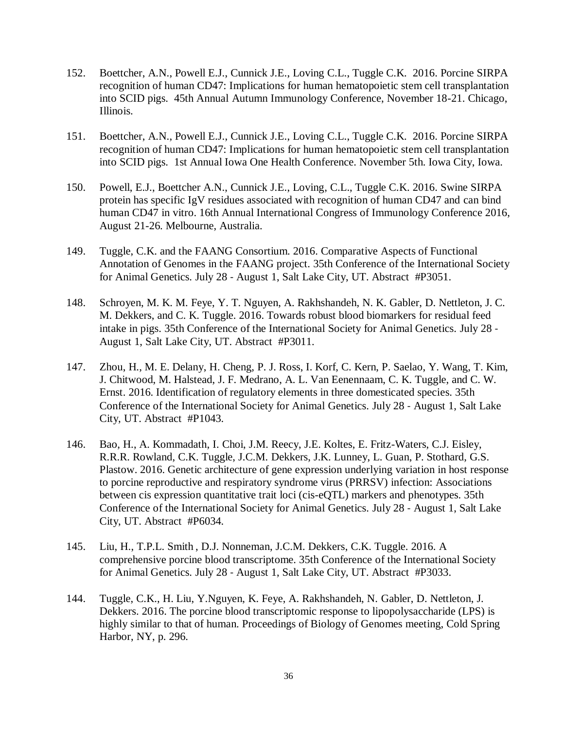- 152. Boettcher, A.N., Powell E.J., Cunnick J.E., Loving C.L., Tuggle C.K. 2016. Porcine SIRPA recognition of human CD47: Implications for human hematopoietic stem cell transplantation into SCID pigs. 45th Annual Autumn Immunology Conference, November 18-21. Chicago, Illinois.
- 151. Boettcher, A.N., Powell E.J., Cunnick J.E., Loving C.L., Tuggle C.K. 2016. Porcine SIRPA recognition of human CD47: Implications for human hematopoietic stem cell transplantation into SCID pigs. 1st Annual Iowa One Health Conference. November 5th. Iowa City, Iowa.
- 150. Powell, E.J., Boettcher A.N., Cunnick J.E., Loving, C.L., Tuggle C.K. 2016. Swine SIRPA protein has specific IgV residues associated with recognition of human CD47 and can bind human CD47 in vitro. 16th Annual International Congress of Immunology Conference 2016, August 21-26. Melbourne, Australia.
- 149. Tuggle, C.K. and the FAANG Consortium. 2016. Comparative Aspects of Functional Annotation of Genomes in the FAANG project. 35th Conference of the International Society for Animal Genetics. July 28 ‐ August 1, Salt Lake City, UT. Abstract #P3051.
- 148. Schroyen, M. K. M. Feye, Y. T. Nguyen, A. Rakhshandeh, N. K. Gabler, D. Nettleton, J. C. M. Dekkers, and C. K. Tuggle. 2016. Towards robust blood biomarkers for residual feed intake in pigs. 35th Conference of the International Society for Animal Genetics. July 28 ‐ August 1, Salt Lake City, UT. Abstract #P3011.
- 147. Zhou, H., M. E. Delany, H. Cheng, P. J. Ross, I. Korf, C. Kern, P. Saelao, Y. Wang, T. Kim, J. Chitwood, M. Halstead, J. F. Medrano, A. L. Van Eenennaam, C. K. Tuggle, and C. W. Ernst. 2016. Identification of regulatory elements in three domesticated species. 35th Conference of the International Society for Animal Genetics. July 28 ‐ August 1, Salt Lake City, UT. Abstract #P1043.
- 146. Bao, H., A. Kommadath, I. Choi, J.M. Reecy, J.E. Koltes, E. Fritz-Waters, C.J. Eisley, R.R.R. Rowland, C.K. Tuggle, J.C.M. Dekkers, J.K. Lunney, L. Guan, P. Stothard, G.S. Plastow. 2016. Genetic architecture of gene expression underlying variation in host response to porcine reproductive and respiratory syndrome virus (PRRSV) infection: Associations between cis expression quantitative trait loci (cis-eQTL) markers and phenotypes. 35th Conference of the International Society for Animal Genetics. July 28 ‐ August 1, Salt Lake City, UT. Abstract #P6034.
- 145. Liu, H., T.P.L. Smith , D.J. Nonneman, J.C.M. Dekkers, C.K. Tuggle. 2016. A comprehensive porcine blood transcriptome. 35th Conference of the International Society for Animal Genetics. July 28 ‐ August 1, Salt Lake City, UT. Abstract #P3033.
- 144. Tuggle, C.K., H. Liu, Y.Nguyen, K. Feye, A. Rakhshandeh, N. Gabler, D. Nettleton, J. Dekkers. 2016. The porcine blood transcriptomic response to lipopolysaccharide (LPS) is highly similar to that of human. Proceedings of Biology of Genomes meeting, Cold Spring Harbor, NY, p. 296.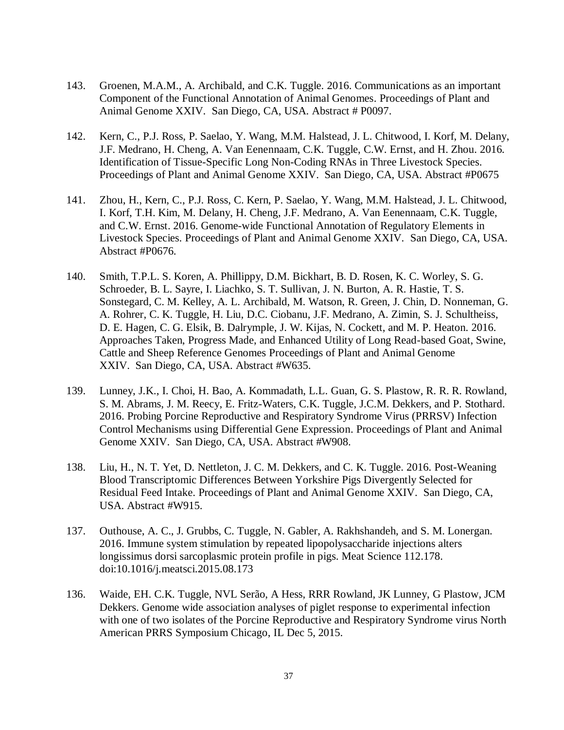- 143. Groenen, M.A.M., A. Archibald, and C.K. Tuggle. 2016. Communications as an important Component of the Functional Annotation of Animal Genomes. Proceedings of Plant and Animal Genome XXIV. San Diego, CA, USA. Abstract # P0097.
- 142. Kern, C., P.J. Ross, P. Saelao, Y. Wang, M.M. Halstead, J. L. Chitwood, I. Korf, M. Delany, J.F. Medrano, H. Cheng, A. Van Eenennaam, C.K. Tuggle, C.W. Ernst, and H. Zhou. 2016. Identification of Tissue-Specific Long Non-Coding RNAs in Three Livestock Species. Proceedings of Plant and Animal Genome XXIV. San Diego, CA, USA. Abstract #P0675
- 141. Zhou, H., Kern, C., P.J. Ross, C. Kern, P. Saelao, Y. Wang, M.M. Halstead, J. L. Chitwood, I. Korf, T.H. Kim, M. Delany, H. Cheng, J.F. Medrano, A. Van Eenennaam, C.K. Tuggle, and C.W. Ernst. 2016. Genome-wide Functional Annotation of Regulatory Elements in Livestock Species. Proceedings of Plant and Animal Genome XXIV. San Diego, CA, USA. Abstract #P0676.
- 140. Smith, T.P.L. S. Koren, A. Phillippy, D.M. Bickhart, B. D. Rosen, K. C. Worley, S. G. Schroeder, B. L. Sayre, I. Liachko, S. T. Sullivan, J. N. Burton, A. R. Hastie, T. S. Sonstegard, C. M. Kelley, A. L. Archibald, M. Watson, R. Green, J. Chin, D. Nonneman, G. A. Rohrer, C. K. Tuggle, H. Liu, D.C. Ciobanu, J.F. Medrano, A. Zimin, S. J. Schultheiss, D. E. Hagen, C. G. Elsik, B. Dalrymple, J. W. Kijas, N. Cockett, and M. P. Heaton. 2016. Approaches Taken, Progress Made, and Enhanced Utility of Long Read-based Goat, Swine, Cattle and Sheep Reference Genomes Proceedings of Plant and Animal Genome XXIV. San Diego, CA, USA. Abstract #W635.
- 139. Lunney, J.K., I. Choi, H. Bao, A. Kommadath, L.L. Guan, G. S. Plastow, R. R. R. Rowland, S. M. Abrams, J. M. Reecy, E. Fritz-Waters, C.K. Tuggle, J.C.M. Dekkers, and P. Stothard. 2016. Probing Porcine Reproductive and Respiratory Syndrome Virus (PRRSV) Infection Control Mechanisms using Differential Gene Expression. Proceedings of Plant and Animal Genome XXIV. San Diego, CA, USA. Abstract #W908.
- 138. Liu, H., N. T. Yet, D. Nettleton, J. C. M. Dekkers, and C. K. Tuggle. 2016. Post-Weaning Blood Transcriptomic Differences Between Yorkshire Pigs Divergently Selected for Residual Feed Intake. Proceedings of Plant and Animal Genome XXIV. San Diego, CA, USA. Abstract #W915.
- 137. Outhouse, A. C., J. Grubbs, C. Tuggle, N. Gabler, A. Rakhshandeh, and S. M. Lonergan. 2016. Immune system stimulation by repeated lipopolysaccharide injections alters longissimus dorsi sarcoplasmic protein profile in pigs. Meat Science 112.178. doi:10.1016/j.meatsci.2015.08.173
- 136. Waide, EH. C.K. Tuggle, NVL Serão, A Hess, RRR Rowland, JK Lunney, G Plastow, JCM Dekkers. Genome wide association analyses of piglet response to experimental infection with one of two isolates of the Porcine Reproductive and Respiratory Syndrome virus North American PRRS Symposium Chicago, IL Dec 5, 2015.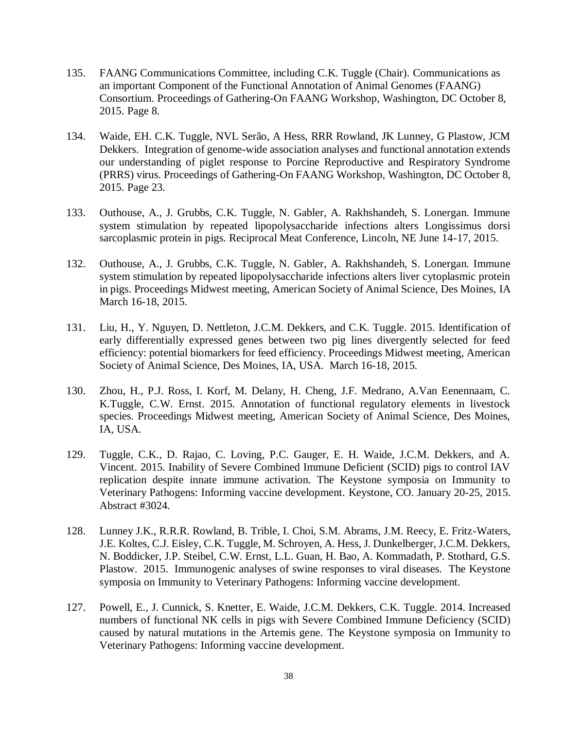- 135. FAANG Communications Committee, including C.K. Tuggle (Chair). Communications as an important Component of the Functional Annotation of Animal Genomes (FAANG) Consortium. Proceedings of Gathering-On FAANG Workshop, Washington, DC October 8, 2015. Page 8.
- 134. Waide, EH. C.K. Tuggle, NVL Serão, A Hess, RRR Rowland, JK Lunney, G Plastow, JCM Dekkers. Integration of genome-wide association analyses and functional annotation extends our understanding of piglet response to Porcine Reproductive and Respiratory Syndrome (PRRS) virus. Proceedings of Gathering-On FAANG Workshop, Washington, DC October 8, 2015. Page 23.
- 133. Outhouse, A., J. Grubbs, C.K. Tuggle, N. Gabler, A. Rakhshandeh, S. Lonergan. Immune system stimulation by repeated lipopolysaccharide infections alters Longissimus dorsi sarcoplasmic protein in pigs. Reciprocal Meat Conference, Lincoln, NE June 14-17, 2015.
- 132. Outhouse, A., J. Grubbs, C.K. Tuggle, N. Gabler, A. Rakhshandeh, S. Lonergan. Immune system stimulation by repeated lipopolysaccharide infections alters liver cytoplasmic protein in pigs. Proceedings Midwest meeting, American Society of Animal Science, Des Moines, IA March 16-18, 2015.
- 131. Liu, H., Y. Nguyen, D. Nettleton, J.C.M. Dekkers, and C.K. Tuggle. 2015. Identification of early differentially expressed genes between two pig lines divergently selected for feed efficiency: potential biomarkers for feed efficiency. Proceedings Midwest meeting, American Society of Animal Science, Des Moines, IA, USA. March 16-18, 2015.
- 130. Zhou, H., P.J. Ross, I. Korf, M. Delany, H. Cheng, J.F. Medrano, A.Van Eenennaam, C. K.Tuggle, C.W. Ernst. 2015. Annotation of functional regulatory elements in livestock species. Proceedings Midwest meeting, American Society of Animal Science, Des Moines, IA, USA.
- 129. Tuggle, C.K., D. Rajao, C. Loving, P.C. Gauger, E. H. Waide, J.C.M. Dekkers, and A. Vincent. 2015. Inability of Severe Combined Immune Deficient (SCID) pigs to control IAV replication despite innate immune activation. The Keystone symposia on Immunity to Veterinary Pathogens: Informing vaccine development. Keystone, CO. January 20-25, 2015. Abstract #3024.
- 128. Lunney J.K., R.R.R. Rowland, B. Trible, I. Choi, S.M. Abrams, J.M. Reecy, E. Fritz-Waters, J.E. Koltes, C.J. Eisley, C.K. Tuggle, M. Schroyen, A. Hess, J. Dunkelberger, J.C.M. Dekkers, N. Boddicker, J.P. Steibel, C.W. Ernst, L.L. Guan, H. Bao, A. Kommadath, P. Stothard, G.S. Plastow. 2015. Immunogenic analyses of swine responses to viral diseases. The Keystone symposia on Immunity to Veterinary Pathogens: Informing vaccine development.
- 127. Powell, E., J. Cunnick, S. Knetter, E. Waide, J.C.M. Dekkers, C.K. Tuggle. 2014. Increased numbers of functional NK cells in pigs with Severe Combined Immune Deficiency (SCID) caused by natural mutations in the Artemis gene. The Keystone symposia on Immunity to Veterinary Pathogens: Informing vaccine development.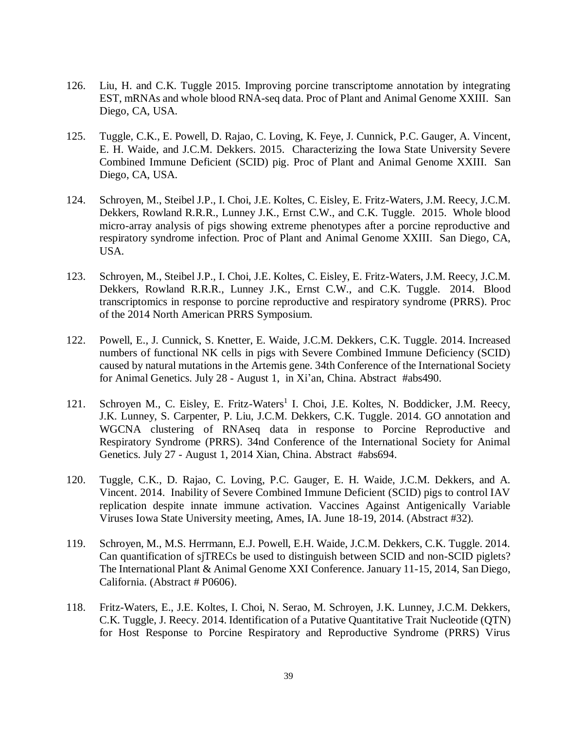- 126. Liu, H. and C.K. Tuggle 2015. Improving porcine transcriptome annotation by integrating EST, mRNAs and whole blood RNA-seq data. Proc of Plant and Animal Genome XXIII. San Diego, CA, USA.
- 125. Tuggle, C.K., E. Powell, D. Rajao, C. Loving, K. Feye, J. Cunnick, P.C. Gauger, A. Vincent, E. H. Waide, and J.C.M. Dekkers. 2015. Characterizing the Iowa State University Severe Combined Immune Deficient (SCID) pig. Proc of Plant and Animal Genome XXIII. San Diego, CA, USA.
- 124. Schroyen, M., Steibel J.P., I. Choi, J.E. Koltes, C. Eisley, E. Fritz-Waters, J.M. Reecy, J.C.M. Dekkers, Rowland R.R.R., Lunney J.K., Ernst C.W., and C.K. Tuggle. 2015. Whole blood micro-array analysis of pigs showing extreme phenotypes after a porcine reproductive and respiratory syndrome infection. Proc of Plant and Animal Genome XXIII. San Diego, CA, USA.
- 123. Schroyen, M., Steibel J.P., I. Choi, J.E. Koltes, C. Eisley, E. Fritz-Waters, J.M. Reecy, J.C.M. Dekkers, Rowland R.R.R., Lunney J.K., Ernst C.W., and C.K. Tuggle. 2014. Blood transcriptomics in response to porcine reproductive and respiratory syndrome (PRRS). Proc of the 2014 North American PRRS Symposium.
- 122. Powell, E., J. Cunnick, S. Knetter, E. Waide, J.C.M. Dekkers, C.K. Tuggle. 2014. Increased numbers of functional NK cells in pigs with Severe Combined Immune Deficiency (SCID) caused by natural mutations in the Artemis gene. 34th Conference of the International Society for Animal Genetics. July 28 ‐ August 1, in Xi'an, China. Abstract #abs490.
- 121. Schroyen M., C. Eisley, E. Fritz-Waters<sup>1</sup> I. Choi, J.E. Koltes, N. Boddicker, J.M. Reecy, J.K. Lunney, S. Carpenter, P. Liu, J.C.M. Dekkers, C.K. Tuggle. 2014. GO annotation and WGCNA clustering of RNAseq data in response to Porcine Reproductive and Respiratory Syndrome (PRRS). 34nd Conference of the International Society for Animal Genetics. July 27 - August 1, 2014 Xian, China. Abstract #abs694.
- 120. Tuggle, C.K., D. Rajao, C. Loving, P.C. Gauger, E. H. Waide, J.C.M. Dekkers, and A. Vincent. 2014. Inability of Severe Combined Immune Deficient (SCID) pigs to control IAV replication despite innate immune activation. Vaccines Against Antigenically Variable Viruses Iowa State University meeting, Ames, IA. June 18-19, 2014. (Abstract #32).
- 119. Schroyen, M., M.S. Herrmann, E.J. Powell, E.H. Waide, J.C.M. Dekkers, C.K. Tuggle. 2014. Can quantification of sjTRECs be used to distinguish between SCID and non-SCID piglets? The International Plant & Animal Genome XXI Conference. January 11-15, 2014, San Diego, California. (Abstract # P0606).
- 118. Fritz-Waters, E., J.E. Koltes, I. Choi, N. Serao, M. Schroyen, J.K. Lunney, J.C.M. Dekkers, C.K. Tuggle, J. Reecy. 2014. Identification of a Putative Quantitative Trait Nucleotide (QTN) for Host Response to Porcine Respiratory and Reproductive Syndrome (PRRS) Virus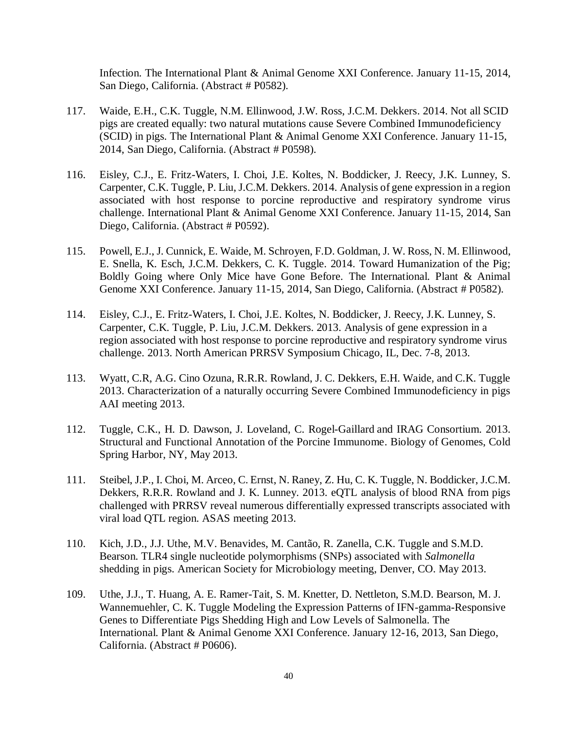Infection. The International Plant & Animal Genome XXI Conference. January 11-15, 2014, San Diego, California. (Abstract # P0582).

- 117. Waide, E.H., C.K. Tuggle, N.M. Ellinwood, J.W. Ross, J.C.M. Dekkers. 2014. Not all SCID pigs are created equally: two natural mutations cause Severe Combined Immunodeficiency (SCID) in pigs. The International Plant & Animal Genome XXI Conference. January 11-15, 2014, San Diego, California. (Abstract # P0598).
- 116. Eisley, C.J., E. Fritz-Waters, I. Choi, J.E. Koltes, N. Boddicker, J. Reecy, J.K. Lunney, S. Carpenter, C.K. Tuggle, P. Liu, J.C.M. Dekkers. 2014. Analysis of gene expression in a region associated with host response to porcine reproductive and respiratory syndrome virus challenge. International Plant & Animal Genome XXI Conference. January 11-15, 2014, San Diego, California. (Abstract # P0592).
- 115. Powell, E.J., J. Cunnick, E. Waide, M. Schroyen, F.D. Goldman, J. W. Ross, N. M. Ellinwood, E. Snella, K. Esch, J.C.M. Dekkers, C. K. Tuggle. 2014. Toward Humanization of the Pig; Boldly Going where Only Mice have Gone Before. The International. Plant & Animal Genome XXI Conference. January 11-15, 2014, San Diego, California. (Abstract # P0582).
- 114. Eisley, C.J., E. Fritz-Waters, I. Choi, J.E. Koltes, N. Boddicker, J. Reecy, J.K. Lunney, S. Carpenter, C.K. Tuggle, P. Liu, J.C.M. Dekkers. 2013. Analysis of gene expression in a region associated with host response to porcine reproductive and respiratory syndrome virus challenge. 2013. North American PRRSV Symposium Chicago, IL, Dec. 7-8, 2013.
- 113. Wyatt, C.R, A.G. Cino Ozuna, R.R.R. Rowland, J. C. Dekkers, E.H. Waide, and C.K. Tuggle 2013. Characterization of a naturally occurring Severe Combined Immunodeficiency in pigs AAI meeting 2013.
- 112. Tuggle, C.K., H. D. Dawson, J. Loveland, C. Rogel-Gaillard and IRAG Consortium. 2013. Structural and Functional Annotation of the Porcine Immunome. Biology of Genomes, Cold Spring Harbor, NY, May 2013.
- 111. Steibel, J.P., I. Choi, M. Arceo, C. Ernst, N. Raney, Z. Hu, C. K. Tuggle, N. Boddicker, J.C.M. Dekkers, R.R.R. Rowland and J. K. Lunney. 2013. eQTL analysis of blood RNA from pigs challenged with PRRSV reveal numerous differentially expressed transcripts associated with viral load QTL region. ASAS meeting 2013.
- 110. Kich, J.D., J.J. Uthe, M.V. Benavides, M. Cantão, R. Zanella, C.K. Tuggle and S.M.D. Bearson. TLR4 single nucleotide polymorphisms (SNPs) associated with *Salmonella* shedding in pigs. American Society for Microbiology meeting, Denver, CO. May 2013.
- 109. Uthe, J.J., T. Huang, A. E. Ramer-Tait, S. M. Knetter, D. Nettleton, S.M.D. Bearson, M. J. Wannemuehler, C. K. Tuggle Modeling the Expression Patterns of IFN-gamma-Responsive Genes to Differentiate Pigs Shedding High and Low Levels of Salmonella. The International. Plant & Animal Genome XXI Conference. January 12-16, 2013, San Diego, California. (Abstract # P0606).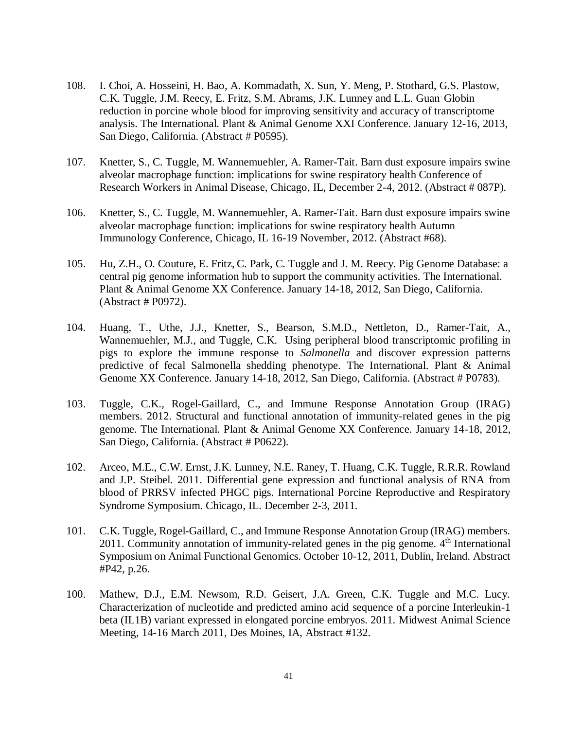- 108. I. Choi, A. Hosseini, H. Bao, A. Kommadath, X. Sun, Y. Meng, P. Stothard, G.S. Plastow, C.K. Tuggle, J.M. Reecy, E. Fritz, S.M. Abrams, J.K. Lunney and L.L. Guan. Globin reduction in porcine whole blood for improving sensitivity and accuracy of transcriptome analysis. The International. Plant & Animal Genome XXI Conference. January 12-16, 2013, San Diego, California. (Abstract # P0595).
- 107. Knetter, S., C. Tuggle, M. Wannemuehler, A. Ramer-Tait. Barn dust exposure impairs swine alveolar macrophage function: implications for swine respiratory health Conference of Research Workers in Animal Disease, Chicago, IL, December 2-4, 2012. (Abstract # 087P).
- 106. Knetter, S., C. Tuggle, M. Wannemuehler, A. Ramer-Tait. Barn dust exposure impairs swine alveolar macrophage function: implications for swine respiratory health Autumn Immunology Conference, Chicago, IL 16-19 November, 2012. (Abstract #68).
- 105. Hu, Z.H., O. Couture, E. Fritz, C. Park, C. Tuggle and J. M. Reecy. Pig Genome Database: a central pig genome information hub to support the community activities. The International. Plant & Animal Genome XX Conference. January 14-18, 2012, San Diego, California. (Abstract # P0972).
- 104. Huang, T., Uthe, J.J., Knetter, S., Bearson, S.M.D., Nettleton, D., Ramer-Tait, A., Wannemuehler, M.J., and Tuggle, C.K. Using peripheral blood transcriptomic profiling in pigs to explore the immune response to *Salmonella* and discover expression patterns predictive of fecal Salmonella shedding phenotype. The International. Plant & Animal Genome XX Conference. January 14-18, 2012, San Diego, California. (Abstract # P0783).
- 103. Tuggle, C.K., Rogel-Gaillard, C., and Immune Response Annotation Group (IRAG) members. 2012. Structural and functional annotation of immunity-related genes in the pig genome. The International. Plant & Animal Genome XX Conference. January 14-18, 2012, San Diego, California. (Abstract # P0622).
- 102. Arceo, M.E., C.W. Ernst, J.K. Lunney, N.E. Raney, T. Huang, C.K. Tuggle, R.R.R. Rowland and J.P. Steibel. 2011. Differential gene expression and functional analysis of RNA from blood of PRRSV infected PHGC pigs. International Porcine Reproductive and Respiratory Syndrome Symposium. Chicago, IL. December 2-3, 2011.
- 101. C.K. Tuggle, Rogel-Gaillard, C., and Immune Response Annotation Group (IRAG) members. 2011. Community annotation of immunity-related genes in the pig genome. 4<sup>th</sup> International Symposium on Animal Functional Genomics. October 10-12, 2011, Dublin, Ireland. Abstract #P42, p.26.
- 100. Mathew, D.J., E.M. Newsom, R.D. Geisert, J.A. Green, C.K. Tuggle and M.C. Lucy. Characterization of nucleotide and predicted amino acid sequence of a porcine Interleukin-1 beta (IL1B) variant expressed in elongated porcine embryos. 2011. Midwest Animal Science Meeting, 14-16 March 2011, Des Moines, IA, Abstract #132.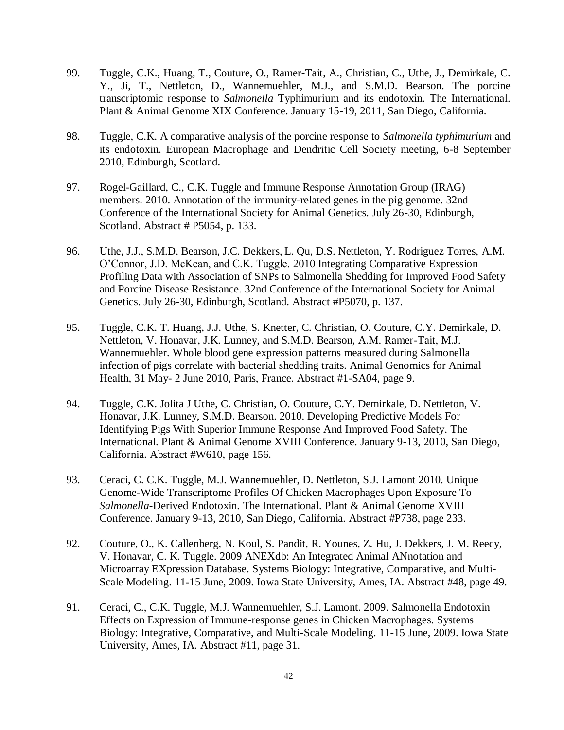- 99. Tuggle, C.K., Huang, T., Couture, O., Ramer-Tait, A., Christian, C., Uthe, J., Demirkale, C. Y., Ji, T., Nettleton, D., Wannemuehler, M.J., and S.M.D. Bearson. The porcine transcriptomic response to *Salmonella* Typhimurium and its endotoxin. The International. Plant & Animal Genome XIX Conference. January 15-19, 2011, San Diego, California.
- 98. Tuggle, C.K. A comparative analysis of the porcine response to *Salmonella typhimurium* and its endotoxin. European Macrophage and Dendritic Cell Society meeting, 6-8 September 2010, Edinburgh, Scotland.
- 97. Rogel-Gaillard, C., C.K. Tuggle and Immune Response Annotation Group (IRAG) members. 2010. Annotation of the immunity-related genes in the pig genome. 32nd Conference of the International Society for Animal Genetics. July 26-30, Edinburgh, Scotland. Abstract # P5054, p. 133.
- 96. Uthe, J.J., S.M.D. Bearson, J.C. Dekkers, L. Qu, D.S. Nettleton, Y. Rodriguez Torres, A.M. O'Connor, J.D. McKean, and C.K. Tuggle. 2010 Integrating Comparative Expression Profiling Data with Association of SNPs to Salmonella Shedding for Improved Food Safety and Porcine Disease Resistance. 32nd Conference of the International Society for Animal Genetics. July 26-30, Edinburgh, Scotland. Abstract #P5070, p. 137.
- 95. Tuggle, C.K. T. Huang, J.J. Uthe, S. Knetter, C. Christian, O. Couture, C.Y. Demirkale, D. Nettleton, V. Honavar, J.K. Lunney, and S.M.D. Bearson, A.M. Ramer-Tait, M.J. Wannemuehler. Whole blood gene expression patterns measured during Salmonella infection of pigs correlate with bacterial shedding traits. Animal Genomics for Animal Health, 31 May- 2 June 2010, Paris, France. Abstract #1-SA04, page 9.
- 94. Tuggle, C.K. Jolita J Uthe, C. Christian, O. Couture, C.Y. Demirkale, D. Nettleton, V. Honavar, J.K. Lunney, S.M.D. Bearson. 2010. Developing Predictive Models For Identifying Pigs With Superior Immune Response And Improved Food Safety. The International. Plant & Animal Genome XVIII Conference. January 9-13, 2010, San Diego, California. Abstract #W610, page 156.
- 93. Ceraci, C. C.K. Tuggle, M.J. Wannemuehler, D. Nettleton, S.J. Lamont 2010. Unique Genome-Wide Transcriptome Profiles Of Chicken Macrophages Upon Exposure To *Salmonella*-Derived Endotoxin. The International. Plant & Animal Genome XVIII Conference. January 9-13, 2010, San Diego, California. Abstract #P738, page 233.
- 92. Couture, O., K. Callenberg, N. Koul, S. Pandit, R. Younes, Z. Hu, J. Dekkers, J. M. Reecy, V. Honavar, C. K. Tuggle. 2009 ANEXdb: An Integrated Animal ANnotation and Microarray EXpression Database. Systems Biology: Integrative, Comparative, and Multi-Scale Modeling. 11-15 June, 2009. Iowa State University, Ames, IA. Abstract #48, page 49.
- 91. Ceraci, C., C.K. Tuggle, M.J. Wannemuehler, S.J. Lamont. 2009. Salmonella Endotoxin Effects on Expression of Immune-response genes in Chicken Macrophages. Systems Biology: Integrative, Comparative, and Multi-Scale Modeling. 11-15 June, 2009. Iowa State University, Ames, IA. Abstract #11, page 31.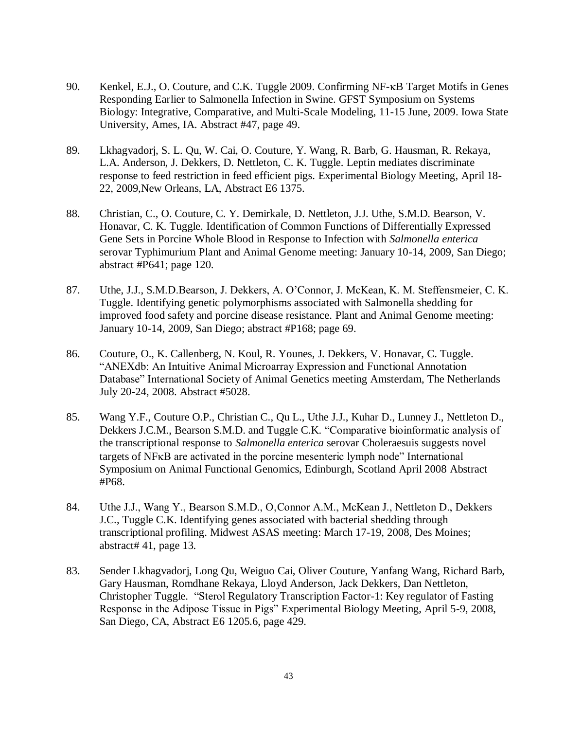- 90. Kenkel, E.J., O. Couture, and C.K. Tuggle 2009. Confirming NF- $\kappa$ B Target Motifs in Genes Responding Earlier to Salmonella Infection in Swine. GFST Symposium on Systems Biology: Integrative, Comparative, and Multi-Scale Modeling, 11-15 June, 2009. Iowa State University, Ames, IA. Abstract #47, page 49.
- 89. Lkhagvadorj, S. L. Qu, W. Cai, O. Couture, Y. Wang, R. Barb, G. Hausman, R. Rekaya, L.A. Anderson, J. Dekkers, D. Nettleton, C. K. Tuggle. Leptin mediates discriminate response to feed restriction in feed efficient pigs. Experimental Biology Meeting, April 18- 22, 2009,New Orleans, LA, Abstract E6 1375.
- 88. Christian, C., O. Couture, C. Y. Demirkale, D. Nettleton, J.J. Uthe, S.M.D. Bearson, V. Honavar, C. K. Tuggle. Identification of Common Functions of Differentially Expressed Gene Sets in Porcine Whole Blood in Response to Infection with *Salmonella enterica* serovar Typhimurium Plant and Animal Genome meeting: January 10-14, 2009, San Diego; abstract #P641; page 120.
- 87. Uthe, J.J., S.M.D.Bearson, J. Dekkers, A. O'Connor, J. McKean, K. M. Steffensmeier, C. K. Tuggle. Identifying genetic polymorphisms associated with Salmonella shedding for improved food safety and porcine disease resistance. Plant and Animal Genome meeting: January 10-14, 2009, San Diego; abstract #P168; page 69.
- 86. Couture, O., K. Callenberg, N. Koul, R. Younes, J. Dekkers, V. Honavar, C. Tuggle. "ANEXdb: An Intuitive Animal Microarray Expression and Functional Annotation Database" International Society of Animal Genetics meeting Amsterdam, The Netherlands July 20-24, 2008. Abstract #5028.
- 85. Wang Y.F., Couture O.P., Christian C., Qu L., Uthe J.J., Kuhar D., Lunney J., Nettleton D., Dekkers J.C.M., Bearson S.M.D. and Tuggle C.K. "Comparative bioinformatic analysis of the transcriptional response to *Salmonella enterica* serovar Choleraesuis suggests novel targets of NF<sub>K</sub>B are activated in the porcine mesenteric lymph node" International Symposium on Animal Functional Genomics, Edinburgh, Scotland April 2008 Abstract #P68.
- 84. Uthe J.J., Wang Y., Bearson S.M.D., O, Connor A.M., McKean J., Nettleton D., Dekkers J.C., Tuggle C.K. Identifying genes associated with bacterial shedding through transcriptional profiling. Midwest ASAS meeting: March 17-19, 2008, Des Moines; abstract# 41, page 13.
- 83. Sender Lkhagvadorj, Long Qu, Weiguo Cai, Oliver Couture, Yanfang Wang, Richard Barb, Gary Hausman, Romdhane Rekaya, Lloyd Anderson, Jack Dekkers, Dan Nettleton, Christopher Tuggle. "Sterol Regulatory Transcription Factor-1: Key regulator of Fasting Response in the Adipose Tissue in Pigs" Experimental Biology Meeting, April 5-9, 2008, San Diego, CA, Abstract E6 1205.6, page 429.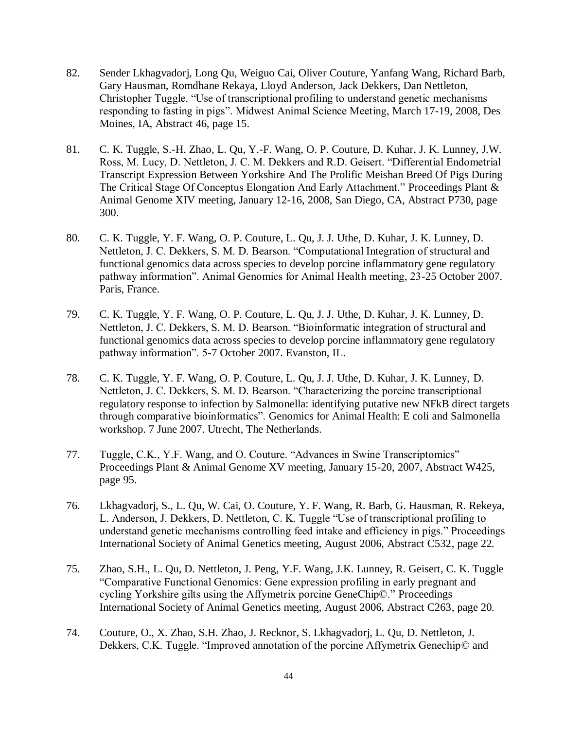- 82. Sender Lkhagvadorj, Long Qu, Weiguo Cai, Oliver Couture, Yanfang Wang, Richard Barb, Gary Hausman, Romdhane Rekaya, Lloyd Anderson, Jack Dekkers, Dan Nettleton, Christopher Tuggle. "Use of transcriptional profiling to understand genetic mechanisms responding to fasting in pigs". Midwest Animal Science Meeting, March 17-19, 2008, Des Moines, IA, Abstract 46, page 15.
- 81. C. K. Tuggle, S.-H. Zhao, L. Qu, Y.-F. Wang, O. P. Couture, D. Kuhar, J. K. Lunney, J.W. Ross, M. Lucy, D. Nettleton, J. C. M. Dekkers and R.D. Geisert. "Differential Endometrial Transcript Expression Between Yorkshire And The Prolific Meishan Breed Of Pigs During The Critical Stage Of Conceptus Elongation And Early Attachment." Proceedings Plant & Animal Genome XIV meeting, January 12-16, 2008, San Diego, CA, Abstract P730, page 300.
- 80. C. K. Tuggle, Y. F. Wang, O. P. Couture, L. Qu, J. J. Uthe, D. Kuhar, J. K. Lunney, D. Nettleton, J. C. Dekkers, S. M. D. Bearson. "Computational Integration of structural and functional genomics data across species to develop porcine inflammatory gene regulatory pathway information". Animal Genomics for Animal Health meeting, 23-25 October 2007. Paris, France.
- 79. C. K. Tuggle, Y. F. Wang, O. P. Couture, L. Qu, J. J. Uthe, D. Kuhar, J. K. Lunney, D. Nettleton, J. C. Dekkers, S. M. D. Bearson. "Bioinformatic integration of structural and functional genomics data across species to develop porcine inflammatory gene regulatory pathway information". 5-7 October 2007. Evanston, IL.
- 78. C. K. Tuggle, Y. F. Wang, O. P. Couture, L. Qu, J. J. Uthe, D. Kuhar, J. K. Lunney, D. Nettleton, J. C. Dekkers, S. M. D. Bearson. "Characterizing the porcine transcriptional regulatory response to infection by Salmonella: identifying putative new NFkB direct targets through comparative bioinformatics". Genomics for Animal Health: E coli and Salmonella workshop. 7 June 2007. Utrecht, The Netherlands.
- 77. Tuggle, C.K., Y.F. Wang, and O. Couture. "Advances in Swine Transcriptomics" Proceedings Plant & Animal Genome XV meeting, January 15-20, 2007, Abstract W425, page 95.
- 76. Lkhagvadorj, S., L. Qu, W. Cai, O. Couture, Y. F. Wang, R. Barb, G. Hausman, R. Rekeya, L. Anderson, J. Dekkers, D. Nettleton, C. K. Tuggle "Use of transcriptional profiling to understand genetic mechanisms controlling feed intake and efficiency in pigs." Proceedings International Society of Animal Genetics meeting, August 2006, Abstract C532, page 22.
- 75. Zhao, S.H., L. Qu, D. Nettleton, J. Peng, Y.F. Wang, J.K. Lunney, R. Geisert, C. K. Tuggle "Comparative Functional Genomics: Gene expression profiling in early pregnant and cycling Yorkshire gilts using the Affymetrix porcine GeneChip©." Proceedings International Society of Animal Genetics meeting, August 2006, Abstract C263, page 20.
- 74. Couture, O., X. Zhao, S.H. Zhao, J. Recknor, S. Lkhagvadorj, L. Qu, D. Nettleton, J. Dekkers, C.K. Tuggle. "Improved annotation of the porcine Affymetrix Genechip© and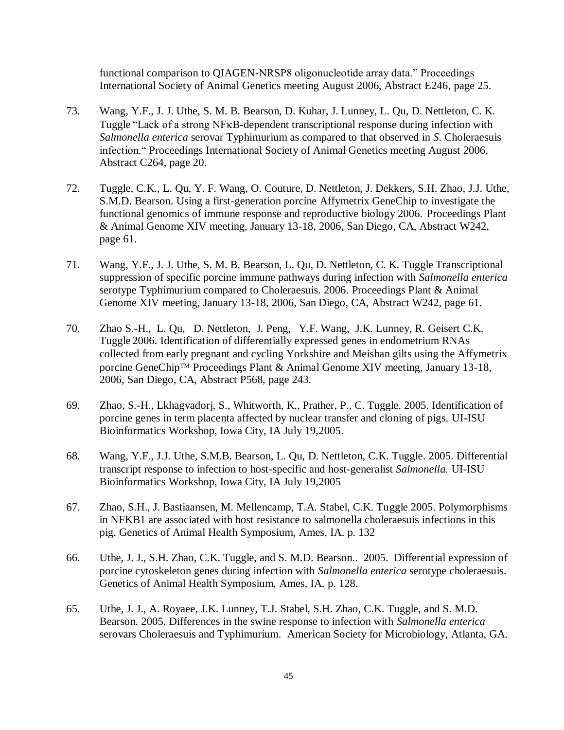functional comparison to QIAGEN-NRSP8 oligonucleotide array data." Proceedings International Society of Animal Genetics meeting August 2006, Abstract E246, page 25.

- 73. Wang, Y.F., J. J. Uthe, S. M. B. Bearson, D. Kuhar, J. Lunney, L. Qu, D. Nettleton, C. K. Tuggle "Lack of a strong NF<sub>K</sub>B-dependent transcriptional response during infection with *Salmonella enterica* serovar Typhimurium as compared to that observed in *S*. Choleraesuis infection." Proceedings International Society of Animal Genetics meeting August 2006, Abstract C264, page 20.
- 72. Tuggle, C.K., L. Qu, Y. F. Wang, O. Couture, D. Nettleton, J. Dekkers, S.H. Zhao, J.J. Uthe, S.M.D. Bearson. Using a first-generation porcine Affymetrix GeneChip to investigate the functional genomics of immune response and reproductive biology 2006. Proceedings Plant & Animal Genome XIV meeting, January 13-18, 2006, San Diego, CA, Abstract W242, page 61.
- 71. Wang, Y.F., J. J. Uthe, S. M. B. Bearson, L. Qu, D. Nettleton, C. K. Tuggle Transcriptional suppression of specific porcine immune pathways during infection with *Salmonella enterica* serotype Typhimurium compared to Choleraesuis. 2006. Proceedings Plant & Animal Genome XIV meeting, January 13-18, 2006, San Diego, CA, Abstract W242, page 61.
- 70. Zhao S.-H., L. Qu, D. Nettleton, J. Peng, Y.F. Wang, J.K. Lunney, R. Geisert C.K. Tuggle 2006. Identification of differentially expressed genes in endometrium RNAs collected from early pregnant and cycling Yorkshire and Meishan gilts using the Affymetrix porcine GeneChip™ Proceedings Plant & Animal Genome XIV meeting, January 13-18, 2006, San Diego, CA, Abstract P568, page 243.
- 69. Zhao, S.-H., Lkhagvadorj, S., Whitworth, K., Prather, P., C. Tuggle. 2005. Identification of porcine genes in term placenta affected by nuclear transfer and cloning of pigs. UI-ISU Bioinformatics Workshop, Iowa City, IA July 19,2005.
- 68. Wang, Y.F., J.J. Uthe, S.M.B. Bearson, L. Qu, D. Nettleton, C.K. Tuggle. 2005. Differential transcript response to infection to host-specific and host-generalist *Salmonella.* UI-ISU Bioinformatics Workshop, Iowa City, IA July 19,2005
- 67. Zhao, S.H., J. Bastiaansen, M. Mellencamp, T.A. Stabel, C.K. Tuggle 2005. Polymorphisms in NFKB1 are associated with host resistance to salmonella choleraesuis infections in this pig. Genetics of Animal Health Symposium, Ames, IA. p. 132
- 66. Uthe, J. J., S.H. Zhao, C.K. Tuggle, and S. M.D. Bearson.. 2005. Differential expression of porcine cytoskeleton genes during infection with *Salmonella enterica* serotype choleraesuis. Genetics of Animal Health Symposium, Ames, IA. p. 128.
- 65. Uthe, J. J., A. Royaee, J.K. Lunney, T.J. Stabel, S.H. Zhao, C.K. Tuggle, and S. M.D. Bearson. 2005. Differences in the swine response to infection with *Salmonella enterica* serovars Choleraesuis and Typhimurium. American Society for Microbiology, Atlanta, GA.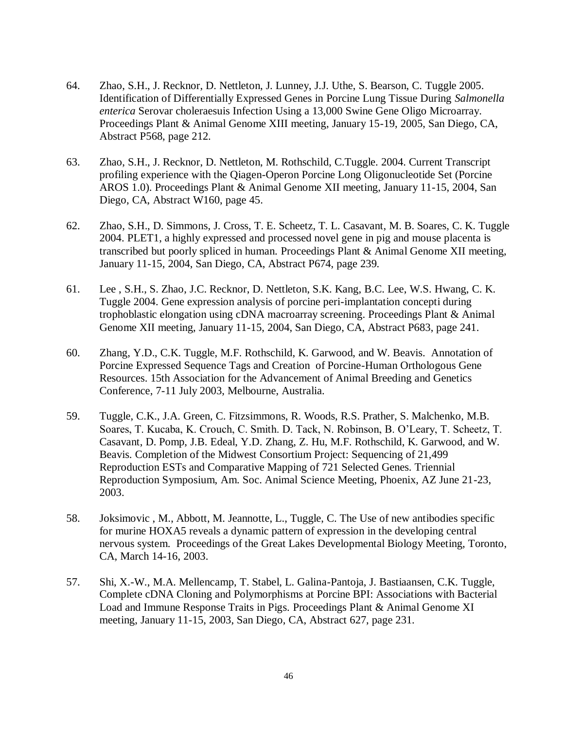- 64. Zhao, S.H., J. Recknor, D. Nettleton, J. Lunney, J.J. Uthe, S. Bearson, C. Tuggle 2005. Identification of Differentially Expressed Genes in Porcine Lung Tissue During *Salmonella enterica* Serovar choleraesuis Infection Using a 13,000 Swine Gene Oligo Microarray. Proceedings Plant & Animal Genome XIII meeting, January 15-19, 2005, San Diego, CA, Abstract P568, page 212.
- 63. Zhao, S.H., J. Recknor, D. Nettleton, M. Rothschild, C.Tuggle. 2004. Current Transcript profiling experience with the Qiagen-Operon Porcine Long Oligonucleotide Set (Porcine AROS 1.0). Proceedings Plant & Animal Genome XII meeting, January 11-15, 2004, San Diego, CA, Abstract W160, page 45.
- 62. Zhao, S.H., D. Simmons, J. Cross, T. E. Scheetz, T. L. Casavant, M. B. Soares, C. K. Tuggle 2004. PLET1, a highly expressed and processed novel gene in pig and mouse placenta is transcribed but poorly spliced in human. Proceedings Plant & Animal Genome XII meeting, January 11-15, 2004, San Diego, CA, Abstract P674, page 239.
- 61. Lee , S.H., S. Zhao, J.C. Recknor, D. Nettleton, S.K. Kang, B.C. Lee, W.S. Hwang, C. K. Tuggle 2004. Gene expression analysis of porcine peri-implantation concepti during trophoblastic elongation using cDNA macroarray screening. Proceedings Plant & Animal Genome XII meeting, January 11-15, 2004, San Diego, CA, Abstract P683, page 241.
- 60. Zhang, Y.D., C.K. Tuggle, M.F. Rothschild, K. Garwood, and W. Beavis. Annotation of Porcine Expressed Sequence Tags and Creation of Porcine-Human Orthologous Gene Resources. 15th Association for the Advancement of Animal Breeding and Genetics Conference, 7-11 July 2003, Melbourne, Australia.
- 59. Tuggle, C.K., J.A. Green, C. Fitzsimmons, R. Woods, R.S. Prather, S. Malchenko, M.B. Soares, T. Kucaba, K. Crouch, C. Smith. D. Tack, N. Robinson, B. O'Leary, T. Scheetz, T. Casavant, D. Pomp, J.B. Edeal, Y.D. Zhang, Z. Hu, M.F. Rothschild, K. Garwood, and W. Beavis. Completion of the Midwest Consortium Project: Sequencing of 21,499 Reproduction ESTs and Comparative Mapping of 721 Selected Genes. Triennial Reproduction Symposium, Am. Soc. Animal Science Meeting, Phoenix, AZ June 21-23, 2003.
- 58. Joksimovic , M., Abbott, M. Jeannotte, L., Tuggle, C. The Use of new antibodies specific for murine HOXA5 reveals a dynamic pattern of expression in the developing central nervous system. Proceedings of the Great Lakes Developmental Biology Meeting, Toronto, CA, March 14-16, 2003.
- 57. Shi, X.-W., M.A. Mellencamp, T. Stabel, L. Galina-Pantoja, J. Bastiaansen, C.K. Tuggle, Complete cDNA Cloning and Polymorphisms at Porcine BPI: Associations with Bacterial Load and Immune Response Traits in Pigs. Proceedings Plant & Animal Genome XI meeting, January 11-15, 2003, San Diego, CA, Abstract 627, page 231.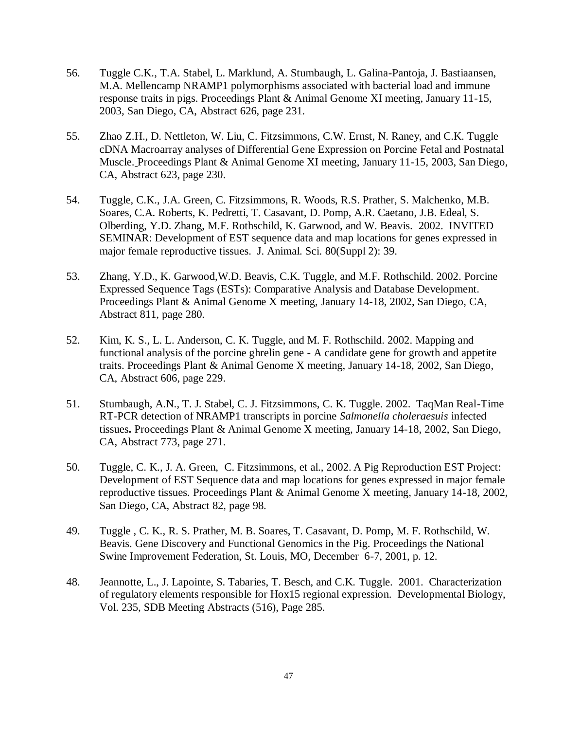- 56. Tuggle C.K., T.A. Stabel, L. Marklund, A. Stumbaugh, L. Galina-Pantoja, J. Bastiaansen, M.A. Mellencamp NRAMP1 polymorphisms associated with bacterial load and immune response traits in pigs. Proceedings Plant & Animal Genome XI meeting, January 11-15, 2003, San Diego, CA, Abstract 626, page 231.
- 55. Zhao Z.H., D. Nettleton, W. Liu, C. Fitzsimmons, C.W. Ernst, N. Raney, and C.K. Tuggle cDNA Macroarray analyses of Differential Gene Expression on Porcine Fetal and Postnatal Muscle. Proceedings Plant & Animal Genome XI meeting, January 11-15, 2003, San Diego, CA, Abstract 623, page 230.
- 54. Tuggle, C.K., J.A. Green, C. Fitzsimmons, R. Woods, R.S. Prather, S. Malchenko, M.B. Soares, C.A. Roberts, K. Pedretti, T. Casavant, D. Pomp, A.R. Caetano, J.B. Edeal, S. Olberding, Y.D. Zhang, M.F. Rothschild, K. Garwood, and W. Beavis. 2002. INVITED SEMINAR: Development of EST sequence data and map locations for genes expressed in major female reproductive tissues. J. Animal. Sci. 80(Suppl 2): 39.
- 53. Zhang, Y.D., K. Garwood,W.D. Beavis, C.K. Tuggle, and M.F. Rothschild. 2002. Porcine Expressed Sequence Tags (ESTs): Comparative Analysis and Database Development. Proceedings Plant & Animal Genome X meeting, January 14-18, 2002, San Diego, CA, Abstract 811, page 280.
- 52. Kim, K. S., L. L. Anderson, C. K. Tuggle, and M. F. Rothschild. 2002. Mapping and functional analysis of the porcine ghrelin gene - A candidate gene for growth and appetite traits. Proceedings Plant & Animal Genome X meeting, January 14-18, 2002, San Diego, CA, Abstract 606, page 229.
- 51. Stumbaugh, A.N., T. J. Stabel, C. J. Fitzsimmons, C. K. Tuggle. 2002. TaqMan Real-Time RT-PCR detection of NRAMP1 transcripts in porcine *Salmonella choleraesuis* infected tissues**.** Proceedings Plant & Animal Genome X meeting, January 14-18, 2002, San Diego, CA, Abstract 773, page 271.
- 50. Tuggle, C. K., J. A. Green, C. Fitzsimmons, et al., 2002. A Pig Reproduction EST Project: Development of EST Sequence data and map locations for genes expressed in major female reproductive tissues. Proceedings Plant & Animal Genome X meeting, January 14-18, 2002, San Diego, CA, Abstract 82, page 98.
- 49. Tuggle , C. K., R. S. Prather, M. B. Soares, T. Casavant, D. Pomp, M. F. Rothschild, W. Beavis. Gene Discovery and Functional Genomics in the Pig. Proceedings the National Swine Improvement Federation, St. Louis, MO, December 6-7, 2001, p. 12.
- 48. Jeannotte, L., J. Lapointe, S. Tabaries, T. Besch, and C.K. Tuggle. 2001. Characterization of regulatory elements responsible for Hox15 regional expression. Developmental Biology, Vol. 235, SDB Meeting Abstracts (516), Page 285.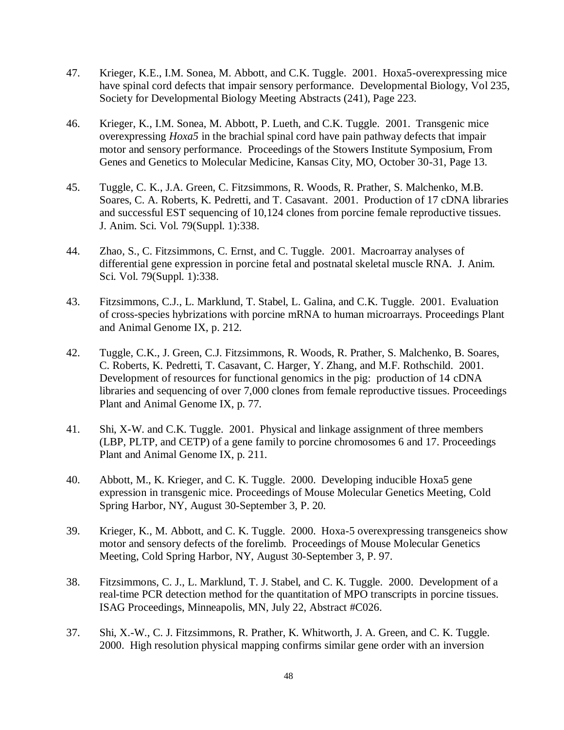- 47. Krieger, K.E., I.M. Sonea, M. Abbott, and C.K. Tuggle. 2001. Hoxa5-overexpressing mice have spinal cord defects that impair sensory performance. Developmental Biology, Vol 235, Society for Developmental Biology Meeting Abstracts (241), Page 223.
- 46. Krieger, K., I.M. Sonea, M. Abbott, P. Lueth, and C.K. Tuggle. 2001. Transgenic mice overexpressing *Hoxa5* in the brachial spinal cord have pain pathway defects that impair motor and sensory performance. Proceedings of the Stowers Institute Symposium, From Genes and Genetics to Molecular Medicine, Kansas City, MO, October 30-31, Page 13.
- 45. Tuggle, C. K., J.A. Green, C. Fitzsimmons, R. Woods, R. Prather, S. Malchenko, M.B. Soares, C. A. Roberts, K. Pedretti, and T. Casavant. 2001. Production of 17 cDNA libraries and successful EST sequencing of 10,124 clones from porcine female reproductive tissues. J. Anim. Sci. Vol. 79(Suppl. 1):338.
- 44. Zhao, S., C. Fitzsimmons, C. Ernst, and C. Tuggle. 2001. Macroarray analyses of differential gene expression in porcine fetal and postnatal skeletal muscle RNA. J. Anim. Sci. Vol. 79(Suppl. 1):338.
- 43. Fitzsimmons, C.J., L. Marklund, T. Stabel, L. Galina, and C.K. Tuggle. 2001. Evaluation of cross-species hybrizations with porcine mRNA to human microarrays. Proceedings Plant and Animal Genome IX, p. 212.
- 42. Tuggle, C.K., J. Green, C.J. Fitzsimmons, R. Woods, R. Prather, S. Malchenko, B. Soares, C. Roberts, K. Pedretti, T. Casavant, C. Harger, Y. Zhang, and M.F. Rothschild. 2001. Development of resources for functional genomics in the pig: production of 14 cDNA libraries and sequencing of over 7,000 clones from female reproductive tissues. Proceedings Plant and Animal Genome IX, p. 77.
- 41. Shi, X-W. and C.K. Tuggle. 2001. Physical and linkage assignment of three members (LBP, PLTP, and CETP) of a gene family to porcine chromosomes 6 and 17. Proceedings Plant and Animal Genome IX, p. 211.
- 40. Abbott, M., K. Krieger, and C. K. Tuggle. 2000. Developing inducible Hoxa5 gene expression in transgenic mice. Proceedings of Mouse Molecular Genetics Meeting, Cold Spring Harbor, NY, August 30-September 3, P. 20.
- 39. Krieger, K., M. Abbott, and C. K. Tuggle. 2000. Hoxa-5 overexpressing transgeneics show motor and sensory defects of the forelimb. Proceedings of Mouse Molecular Genetics Meeting, Cold Spring Harbor, NY, August 30-September 3, P. 97.
- 38. Fitzsimmons, C. J., L. Marklund, T. J. Stabel, and C. K. Tuggle. 2000. Development of a real-time PCR detection method for the quantitation of MPO transcripts in porcine tissues. ISAG Proceedings, Minneapolis, MN, July 22, Abstract #C026.
- 37. Shi, X.-W., C. J. Fitzsimmons, R. Prather, K. Whitworth, J. A. Green, and C. K. Tuggle. 2000. High resolution physical mapping confirms similar gene order with an inversion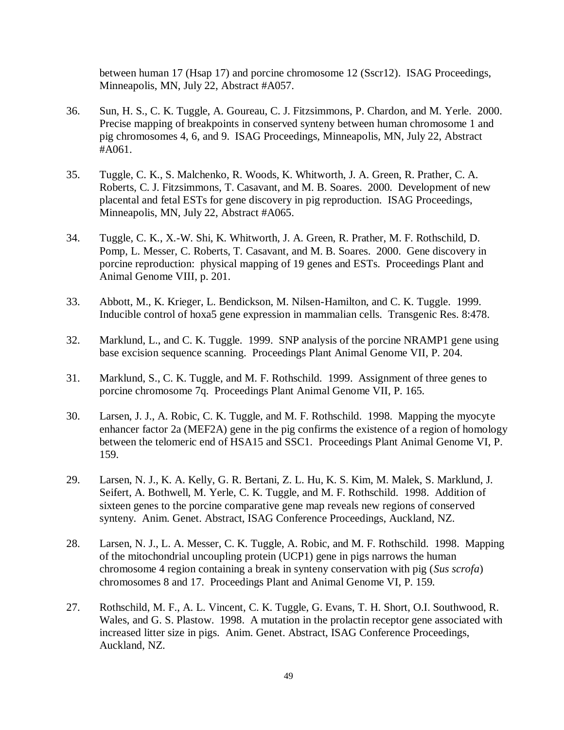between human 17 (Hsap 17) and porcine chromosome 12 (Sscr12). ISAG Proceedings, Minneapolis, MN, July 22, Abstract #A057.

- 36. Sun, H. S., C. K. Tuggle, A. Goureau, C. J. Fitzsimmons, P. Chardon, and M. Yerle. 2000. Precise mapping of breakpoints in conserved synteny between human chromosome 1 and pig chromosomes 4, 6, and 9. ISAG Proceedings, Minneapolis, MN, July 22, Abstract #A061.
- 35. Tuggle, C. K., S. Malchenko, R. Woods, K. Whitworth, J. A. Green, R. Prather, C. A. Roberts, C. J. Fitzsimmons, T. Casavant, and M. B. Soares. 2000. Development of new placental and fetal ESTs for gene discovery in pig reproduction. ISAG Proceedings, Minneapolis, MN, July 22, Abstract #A065.
- 34. Tuggle, C. K., X.-W. Shi, K. Whitworth, J. A. Green, R. Prather, M. F. Rothschild, D. Pomp, L. Messer, C. Roberts, T. Casavant, and M. B. Soares. 2000. Gene discovery in porcine reproduction: physical mapping of 19 genes and ESTs. Proceedings Plant and Animal Genome VIII, p. 201.
- 33. Abbott, M., K. Krieger, L. Bendickson, M. Nilsen-Hamilton, and C. K. Tuggle. 1999. Inducible control of hoxa5 gene expression in mammalian cells. Transgenic Res. 8:478.
- 32. Marklund, L., and C. K. Tuggle. 1999. SNP analysis of the porcine NRAMP1 gene using base excision sequence scanning. Proceedings Plant Animal Genome VII, P. 204.
- 31. Marklund, S., C. K. Tuggle, and M. F. Rothschild. 1999. Assignment of three genes to porcine chromosome 7q. Proceedings Plant Animal Genome VII, P. 165.
- 30. Larsen, J. J., A. Robic, C. K. Tuggle, and M. F. Rothschild. 1998. Mapping the myocyte enhancer factor 2a (MEF2A) gene in the pig confirms the existence of a region of homology between the telomeric end of HSA15 and SSC1. Proceedings Plant Animal Genome VI, P. 159.
- 29. Larsen, N. J., K. A. Kelly, G. R. Bertani, Z. L. Hu, K. S. Kim, M. Malek, S. Marklund, J. Seifert, A. Bothwell, M. Yerle, C. K. Tuggle, and M. F. Rothschild. 1998. Addition of sixteen genes to the porcine comparative gene map reveals new regions of conserved synteny. Anim. Genet. Abstract, ISAG Conference Proceedings, Auckland, NZ.
- 28. Larsen, N. J., L. A. Messer, C. K. Tuggle, A. Robic, and M. F. Rothschild. 1998. Mapping of the mitochondrial uncoupling protein (UCP1) gene in pigs narrows the human chromosome 4 region containing a break in synteny conservation with pig (*Sus scrofa*) chromosomes 8 and 17. Proceedings Plant and Animal Genome VI, P. 159.
- 27. Rothschild, M. F., A. L. Vincent, C. K. Tuggle, G. Evans, T. H. Short, O.I. Southwood, R. Wales, and G. S. Plastow. 1998. A mutation in the prolactin receptor gene associated with increased litter size in pigs. Anim. Genet. Abstract, ISAG Conference Proceedings, Auckland, NZ.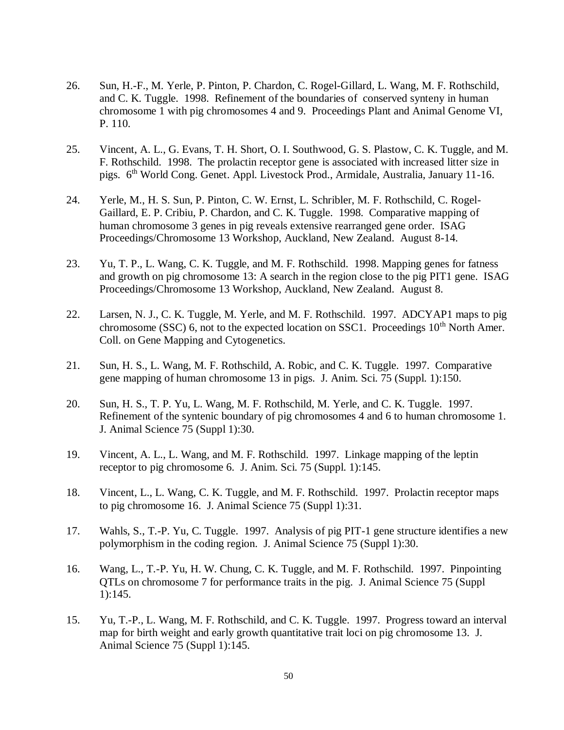- 26. Sun, H.-F., M. Yerle, P. Pinton, P. Chardon, C. Rogel-Gillard, L. Wang, M. F. Rothschild, and C. K. Tuggle. 1998. Refinement of the boundaries of conserved synteny in human chromosome 1 with pig chromosomes 4 and 9. Proceedings Plant and Animal Genome VI, P. 110.
- 25. Vincent, A. L., G. Evans, T. H. Short, O. I. Southwood, G. S. Plastow, C. K. Tuggle, and M. F. Rothschild. 1998. The prolactin receptor gene is associated with increased litter size in pigs. 6th World Cong. Genet. Appl. Livestock Prod., Armidale, Australia, January 11-16.
- 24. Yerle, M., H. S. Sun, P. Pinton, C. W. Ernst, L. Schribler, M. F. Rothschild, C. Rogel-Gaillard, E. P. Cribiu, P. Chardon, and C. K. Tuggle. 1998. Comparative mapping of human chromosome 3 genes in pig reveals extensive rearranged gene order. ISAG Proceedings/Chromosome 13 Workshop, Auckland, New Zealand. August 8-14.
- 23. Yu, T. P., L. Wang, C. K. Tuggle, and M. F. Rothschild. 1998. Mapping genes for fatness and growth on pig chromosome 13: A search in the region close to the pig PIT1 gene. ISAG Proceedings/Chromosome 13 Workshop, Auckland, New Zealand. August 8.
- 22. Larsen, N. J., C. K. Tuggle, M. Yerle, and M. F. Rothschild. 1997. ADCYAP1 maps to pig chromosome (SSC) 6, not to the expected location on SSC1. Proceedings  $10<sup>th</sup>$  North Amer. Coll. on Gene Mapping and Cytogenetics.
- 21. Sun, H. S., L. Wang, M. F. Rothschild, A. Robic, and C. K. Tuggle. 1997. Comparative gene mapping of human chromosome 13 in pigs. J. Anim. Sci. 75 (Suppl. 1):150.
- 20. Sun, H. S., T. P. Yu, L. Wang, M. F. Rothschild, M. Yerle, and C. K. Tuggle. 1997. Refinement of the syntenic boundary of pig chromosomes 4 and 6 to human chromosome 1. J. Animal Science 75 (Suppl 1):30.
- 19. Vincent, A. L., L. Wang, and M. F. Rothschild. 1997. Linkage mapping of the leptin receptor to pig chromosome 6. J. Anim. Sci. 75 (Suppl. 1):145.
- 18. Vincent, L., L. Wang, C. K. Tuggle, and M. F. Rothschild. 1997. Prolactin receptor maps to pig chromosome 16. J. Animal Science 75 (Suppl 1):31.
- 17. Wahls, S., T.-P. Yu, C. Tuggle. 1997. Analysis of pig PIT-1 gene structure identifies a new polymorphism in the coding region. J. Animal Science 75 (Suppl 1):30.
- 16. Wang, L., T.-P. Yu, H. W. Chung, C. K. Tuggle, and M. F. Rothschild. 1997. Pinpointing QTLs on chromosome 7 for performance traits in the pig. J. Animal Science 75 (Suppl 1):145.
- 15. Yu, T.-P., L. Wang, M. F. Rothschild, and C. K. Tuggle. 1997. Progress toward an interval map for birth weight and early growth quantitative trait loci on pig chromosome 13. J. Animal Science 75 (Suppl 1):145.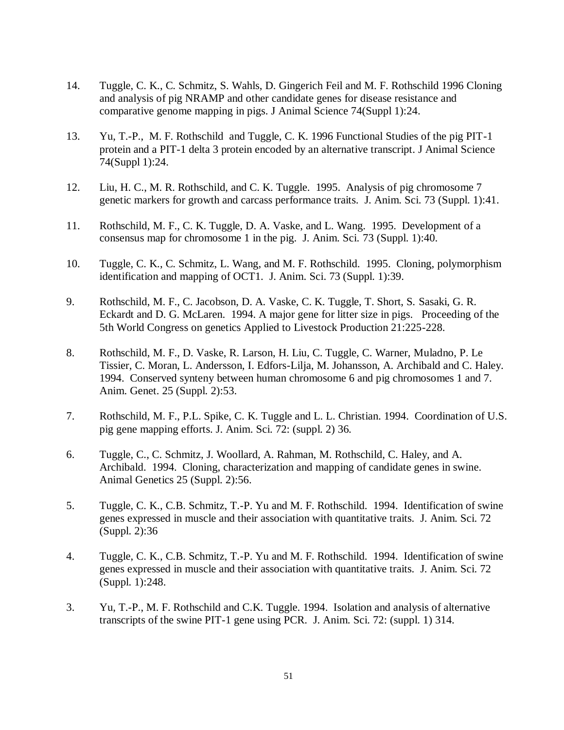- 14. Tuggle, C. K., C. Schmitz, S. Wahls, D. Gingerich Feil and M. F. Rothschild 1996 Cloning and analysis of pig NRAMP and other candidate genes for disease resistance and comparative genome mapping in pigs. J Animal Science 74(Suppl 1):24.
- 13. Yu, T.-P., M. F. Rothschild and Tuggle, C. K. 1996 Functional Studies of the pig PIT-1 protein and a PIT-1 delta 3 protein encoded by an alternative transcript. J Animal Science 74(Suppl 1):24.
- 12. Liu, H. C., M. R. Rothschild, and C. K. Tuggle. 1995. Analysis of pig chromosome 7 genetic markers for growth and carcass performance traits. J. Anim. Sci. 73 (Suppl. 1):41.
- 11. Rothschild, M. F., C. K. Tuggle, D. A. Vaske, and L. Wang. 1995. Development of a consensus map for chromosome 1 in the pig. J. Anim. Sci. 73 (Suppl. 1):40.
- 10. Tuggle, C. K., C. Schmitz, L. Wang, and M. F. Rothschild. 1995. Cloning, polymorphism identification and mapping of OCT1. J. Anim. Sci. 73 (Suppl. 1):39.
- 9. Rothschild, M. F., C. Jacobson, D. A. Vaske, C. K. Tuggle, T. Short, S. Sasaki, G. R. Eckardt and D. G. McLaren. 1994. A major gene for litter size in pigs. Proceeding of the 5th World Congress on genetics Applied to Livestock Production 21:225-228.
- 8. Rothschild, M. F., D. Vaske, R. Larson, H. Liu, C. Tuggle, C. Warner, Muladno, P. Le Tissier, C. Moran, L. Andersson, I. Edfors-Lilja, M. Johansson, A. Archibald and C. Haley. 1994. Conserved synteny between human chromosome 6 and pig chromosomes 1 and 7. Anim. Genet. 25 (Suppl. 2):53.
- 7. Rothschild, M. F., P.L. Spike, C. K. Tuggle and L. L. Christian. 1994. Coordination of U.S. pig gene mapping efforts. J. Anim. Sci. 72: (suppl. 2) 36.
- 6. Tuggle, C., C. Schmitz, J. Woollard, A. Rahman, M. Rothschild, C. Haley, and A. Archibald. 1994. Cloning, characterization and mapping of candidate genes in swine. Animal Genetics 25 (Suppl. 2):56.
- 5. Tuggle, C. K., C.B. Schmitz, T.-P. Yu and M. F. Rothschild. 1994. Identification of swine genes expressed in muscle and their association with quantitative traits. J. Anim. Sci. 72 (Suppl. 2):36
- 4. Tuggle, C. K., C.B. Schmitz, T.-P. Yu and M. F. Rothschild. 1994. Identification of swine genes expressed in muscle and their association with quantitative traits. J. Anim. Sci. 72 (Suppl. 1):248.
- 3. Yu, T.-P., M. F. Rothschild and C.K. Tuggle. 1994. Isolation and analysis of alternative transcripts of the swine PIT-1 gene using PCR. J. Anim. Sci. 72: (suppl. 1) 314.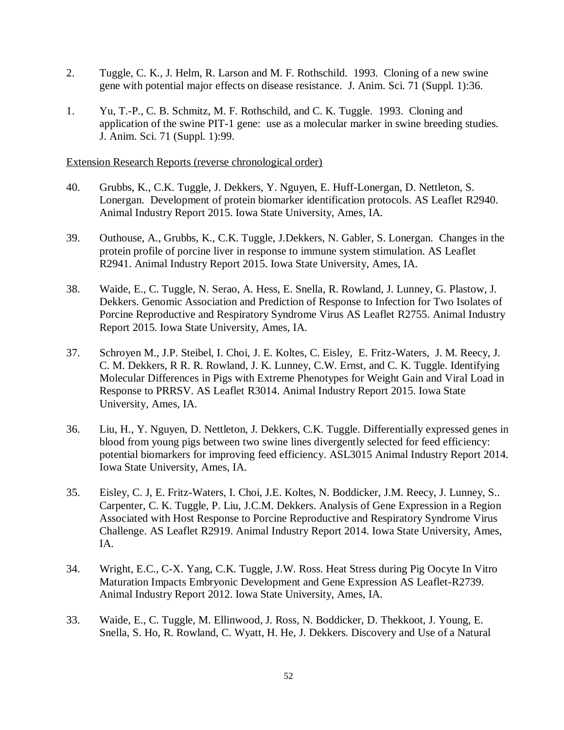- 2. Tuggle, C. K., J. Helm, R. Larson and M. F. Rothschild. 1993. Cloning of a new swine gene with potential major effects on disease resistance. J. Anim. Sci. 71 (Suppl. 1):36.
- 1. Yu, T.-P., C. B. Schmitz, M. F. Rothschild, and C. K. Tuggle. 1993. Cloning and application of the swine PIT-1 gene: use as a molecular marker in swine breeding studies. J. Anim. Sci. 71 (Suppl. 1):99.

Extension Research Reports (reverse chronological order)

- 40. Grubbs, K., C.K. Tuggle, J. Dekkers, Y. Nguyen, E. Huff-Lonergan, D. Nettleton, S. Lonergan. Development of protein biomarker identification protocols. AS Leaflet R2940. Animal Industry Report 2015. Iowa State University, Ames, IA.
- 39. Outhouse, A., Grubbs, K., C.K. Tuggle, J.Dekkers, N. Gabler, S. Lonergan. Changes in the protein profile of porcine liver in response to immune system stimulation. AS Leaflet R2941. Animal Industry Report 2015. Iowa State University, Ames, IA.
- 38. Waide, E., C. Tuggle, N. Serao, A. Hess, E. Snella, R. Rowland, J. Lunney, G. Plastow, J. Dekkers. Genomic Association and Prediction of Response to Infection for Two Isolates of Porcine Reproductive and Respiratory Syndrome Virus AS Leaflet R2755. Animal Industry Report 2015. Iowa State University, Ames, IA.
- 37. Schroyen M., J.P. Steibel, I. Choi, J. E. Koltes, C. Eisley, E. Fritz-Waters, J. M. Reecy, J. C. M. Dekkers, R R. R. Rowland, J. K. Lunney, C.W. Ernst, and C. K. Tuggle. Identifying Molecular Differences in Pigs with Extreme Phenotypes for Weight Gain and Viral Load in Response to PRRSV. AS Leaflet R3014. Animal Industry Report 2015. Iowa State University, Ames, IA.
- 36. Liu, H., Y. Nguyen, D. Nettleton, J. Dekkers, C.K. Tuggle. Differentially expressed genes in blood from young pigs between two swine lines divergently selected for feed efficiency: potential biomarkers for improving feed efficiency. ASL3015 Animal Industry Report 2014. Iowa State University, Ames, IA.
- 35. Eisley, C. J, E. Fritz-Waters, I. Choi, J.E. Koltes, N. Boddicker, J.M. Reecy, J. Lunney, S.. Carpenter, C. K. Tuggle, P. Liu, J.C.M. Dekkers. Analysis of Gene Expression in a Region Associated with Host Response to Porcine Reproductive and Respiratory Syndrome Virus Challenge. AS Leaflet R2919. Animal Industry Report 2014. Iowa State University, Ames, IA.
- 34. Wright, E.C., C-X. Yang, C.K. Tuggle, J.W. Ross. Heat Stress during Pig Oocyte In Vitro Maturation Impacts Embryonic Development and Gene Expression AS Leaflet-R2739. Animal Industry Report 2012. Iowa State University, Ames, IA.
- 33. Waide, E., C. Tuggle, M. Ellinwood, J. Ross, N. Boddicker, D. Thekkoot, J. Young, E. Snella, S. Ho, R. Rowland, C. Wyatt, H. He, J. Dekkers. Discovery and Use of a Natural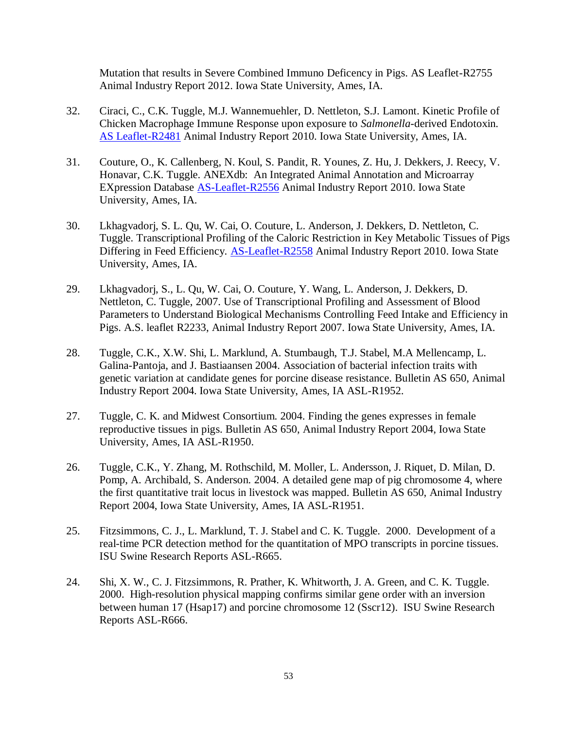Mutation that results in Severe Combined Immuno Deficency in Pigs. AS Leaflet-R2755 Animal Industry Report 2012. Iowa State University, Ames, IA.

- 32. Ciraci, C., C.K. Tuggle, M.J. Wannemuehler, D. Nettleton, S.J. Lamont. Kinetic Profile of Chicken Macrophage Immune Response upon exposure to *Salmonella*-derived Endotoxin. [AS Leaflet-R2481](http://www.ans.iastate.edu/report/air/2010pdf/R2481.pdf) Animal Industry Report 2010. Iowa State University, Ames, IA.
- 31. Couture, O., K. Callenberg, N. Koul, S. Pandit, R. Younes, Z. Hu, J. Dekkers, J. Reecy, V. Honavar, C.K. Tuggle. ANEXdb: An Integrated Animal Annotation and Microarray EXpression Database [AS-Leaflet-R2556](http://www.ans.iastate.edu/report/air/2010pdf/R2556.pdf) Animal Industry Report 2010. Iowa State University, Ames, IA.
- 30. Lkhagvadorj, S. L. Qu, W. Cai, O. Couture, L. Anderson, J. Dekkers, D. Nettleton, C. Tuggle. Transcriptional Profiling of the Caloric Restriction in Key Metabolic Tissues of Pigs Differing in Feed Efficiency. [AS-Leaflet-R2558](http://www.ans.iastate.edu/report/air/2010pdf/R2558.pdf) Animal Industry Report 2010. Iowa State University, Ames, IA.
- 29. Lkhagvadorj, S., L. Qu, W. Cai, O. Couture, Y. Wang, L. Anderson, J. Dekkers, D. Nettleton, C. Tuggle, 2007. Use of Transcriptional Profiling and Assessment of Blood Parameters to Understand Biological Mechanisms Controlling Feed Intake and Efficiency in Pigs. A.S. leaflet R2233, Animal Industry Report 2007. Iowa State University, Ames, IA.
- 28. Tuggle, C.K., X.W. Shi, L. Marklund, A. Stumbaugh, T.J. Stabel, M.A Mellencamp, L. Galina-Pantoja, and J. Bastiaansen 2004. Association of bacterial infection traits with genetic variation at candidate genes for porcine disease resistance. Bulletin AS 650, Animal Industry Report 2004. Iowa State University, Ames, IA ASL-R1952.
- 27. Tuggle, C. K. and Midwest Consortium. 2004. Finding the genes expresses in female reproductive tissues in pigs. Bulletin AS 650, Animal Industry Report 2004, Iowa State University, Ames, IA ASL-R1950.
- 26. Tuggle, C.K., Y. Zhang, M. Rothschild, M. Moller, L. Andersson, J. Riquet, D. Milan, D. Pomp, A. Archibald, S. Anderson. 2004. A detailed gene map of pig chromosome 4, where the first quantitative trait locus in livestock was mapped. Bulletin AS 650, Animal Industry Report 2004, Iowa State University, Ames, IA ASL-R1951.
- 25. Fitzsimmons, C. J., L. Marklund, T. J. Stabel and C. K. Tuggle. 2000. Development of a real-time PCR detection method for the quantitation of MPO transcripts in porcine tissues. ISU Swine Research Reports ASL-R665.
- 24. Shi, X. W., C. J. Fitzsimmons, R. Prather, K. Whitworth, J. A. Green, and C. K. Tuggle. 2000. High-resolution physical mapping confirms similar gene order with an inversion between human 17 (Hsap17) and porcine chromosome 12 (Sscr12). ISU Swine Research Reports ASL-R666.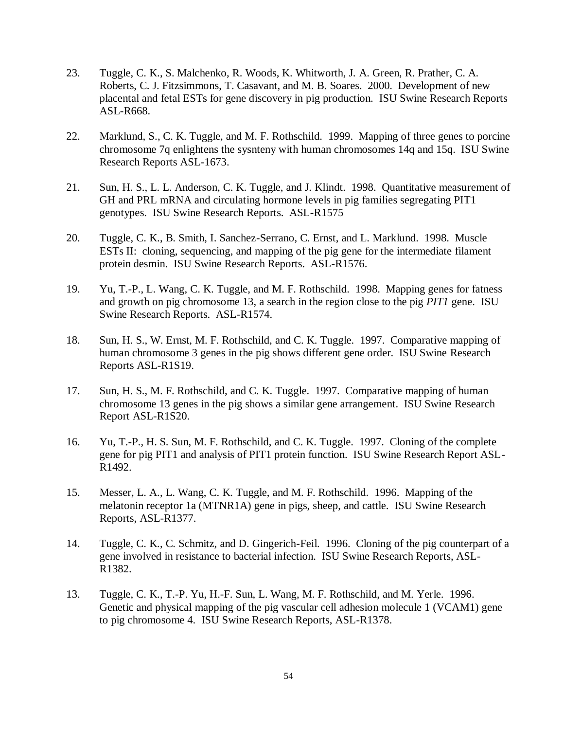- 23. Tuggle, C. K., S. Malchenko, R. Woods, K. Whitworth, J. A. Green, R. Prather, C. A. Roberts, C. J. Fitzsimmons, T. Casavant, and M. B. Soares. 2000. Development of new placental and fetal ESTs for gene discovery in pig production. ISU Swine Research Reports ASL-R668.
- 22. Marklund, S., C. K. Tuggle, and M. F. Rothschild. 1999. Mapping of three genes to porcine chromosome 7q enlightens the sysnteny with human chromosomes 14q and 15q. ISU Swine Research Reports ASL-1673.
- 21. Sun, H. S., L. L. Anderson, C. K. Tuggle, and J. Klindt. 1998. Quantitative measurement of GH and PRL mRNA and circulating hormone levels in pig families segregating PIT1 genotypes. ISU Swine Research Reports. ASL-R1575
- 20. Tuggle, C. K., B. Smith, I. Sanchez-Serrano, C. Ernst, and L. Marklund. 1998. Muscle ESTs II: cloning, sequencing, and mapping of the pig gene for the intermediate filament protein desmin. ISU Swine Research Reports. ASL-R1576.
- 19. Yu, T.-P., L. Wang, C. K. Tuggle, and M. F. Rothschild. 1998. Mapping genes for fatness and growth on pig chromosome 13, a search in the region close to the pig *PIT1* gene. ISU Swine Research Reports. ASL-R1574.
- 18. Sun, H. S., W. Ernst, M. F. Rothschild, and C. K. Tuggle. 1997. Comparative mapping of human chromosome 3 genes in the pig shows different gene order. ISU Swine Research Reports ASL-R1S19.
- 17. Sun, H. S., M. F. Rothschild, and C. K. Tuggle. 1997. Comparative mapping of human chromosome 13 genes in the pig shows a similar gene arrangement. ISU Swine Research Report ASL-R1S20.
- 16. Yu, T.-P., H. S. Sun, M. F. Rothschild, and C. K. Tuggle. 1997. Cloning of the complete gene for pig PIT1 and analysis of PIT1 protein function. ISU Swine Research Report ASL-R1492.
- 15. Messer, L. A., L. Wang, C. K. Tuggle, and M. F. Rothschild. 1996. Mapping of the melatonin receptor 1a (MTNR1A) gene in pigs, sheep, and cattle. ISU Swine Research Reports, ASL-R1377.
- 14. Tuggle, C. K., C. Schmitz, and D. Gingerich-Feil. 1996. Cloning of the pig counterpart of a gene involved in resistance to bacterial infection. ISU Swine Research Reports, ASL-R1382.
- 13. Tuggle, C. K., T.-P. Yu, H.-F. Sun, L. Wang, M. F. Rothschild, and M. Yerle. 1996. Genetic and physical mapping of the pig vascular cell adhesion molecule 1 (VCAM1) gene to pig chromosome 4. ISU Swine Research Reports, ASL-R1378.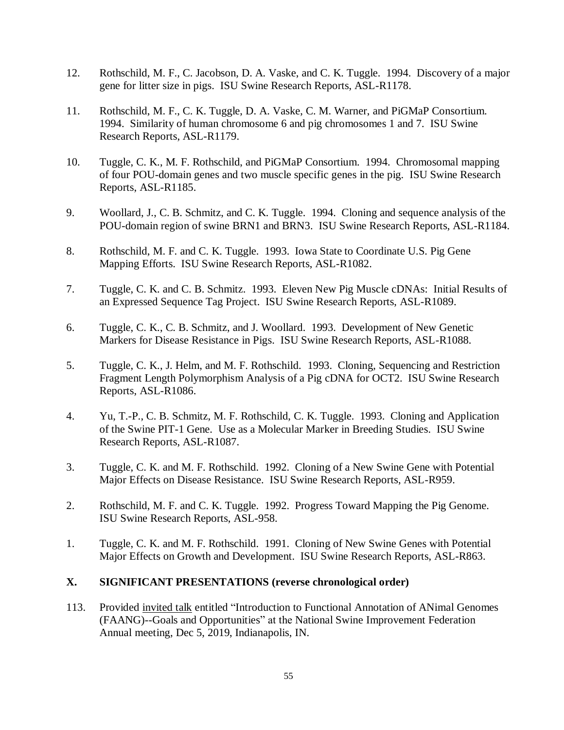- 12. Rothschild, M. F., C. Jacobson, D. A. Vaske, and C. K. Tuggle. 1994. Discovery of a major gene for litter size in pigs. ISU Swine Research Reports, ASL-R1178.
- 11. Rothschild, M. F., C. K. Tuggle, D. A. Vaske, C. M. Warner, and PiGMaP Consortium. 1994. Similarity of human chromosome 6 and pig chromosomes 1 and 7. ISU Swine Research Reports, ASL-R1179.
- 10. Tuggle, C. K., M. F. Rothschild, and PiGMaP Consortium. 1994. Chromosomal mapping of four POU-domain genes and two muscle specific genes in the pig. ISU Swine Research Reports, ASL-R1185.
- 9. Woollard, J., C. B. Schmitz, and C. K. Tuggle. 1994. Cloning and sequence analysis of the POU-domain region of swine BRN1 and BRN3. ISU Swine Research Reports, ASL-R1184.
- 8. Rothschild, M. F. and C. K. Tuggle. 1993. Iowa State to Coordinate U.S. Pig Gene Mapping Efforts. ISU Swine Research Reports, ASL-R1082.
- 7. Tuggle, C. K. and C. B. Schmitz. 1993. Eleven New Pig Muscle cDNAs: Initial Results of an Expressed Sequence Tag Project. ISU Swine Research Reports, ASL-R1089.
- 6. Tuggle, C. K., C. B. Schmitz, and J. Woollard. 1993. Development of New Genetic Markers for Disease Resistance in Pigs. ISU Swine Research Reports, ASL-R1088.
- 5. Tuggle, C. K., J. Helm, and M. F. Rothschild. 1993. Cloning, Sequencing and Restriction Fragment Length Polymorphism Analysis of a Pig cDNA for OCT2. ISU Swine Research Reports, ASL-R1086.
- 4. Yu, T.-P., C. B. Schmitz, M. F. Rothschild, C. K. Tuggle. 1993. Cloning and Application of the Swine PIT-1 Gene. Use as a Molecular Marker in Breeding Studies. ISU Swine Research Reports, ASL-R1087.
- 3. Tuggle, C. K. and M. F. Rothschild. 1992. Cloning of a New Swine Gene with Potential Major Effects on Disease Resistance. ISU Swine Research Reports, ASL-R959.
- 2. Rothschild, M. F. and C. K. Tuggle. 1992. Progress Toward Mapping the Pig Genome. ISU Swine Research Reports, ASL-958.
- 1. Tuggle, C. K. and M. F. Rothschild. 1991. Cloning of New Swine Genes with Potential Major Effects on Growth and Development. ISU Swine Research Reports, ASL-R863.

## **X. SIGNIFICANT PRESENTATIONS (reverse chronological order)**

113. Provided invited talk entitled "Introduction to Functional Annotation of ANimal Genomes (FAANG)--Goals and Opportunities" at the National Swine Improvement Federation Annual meeting, Dec 5, 2019, Indianapolis, IN.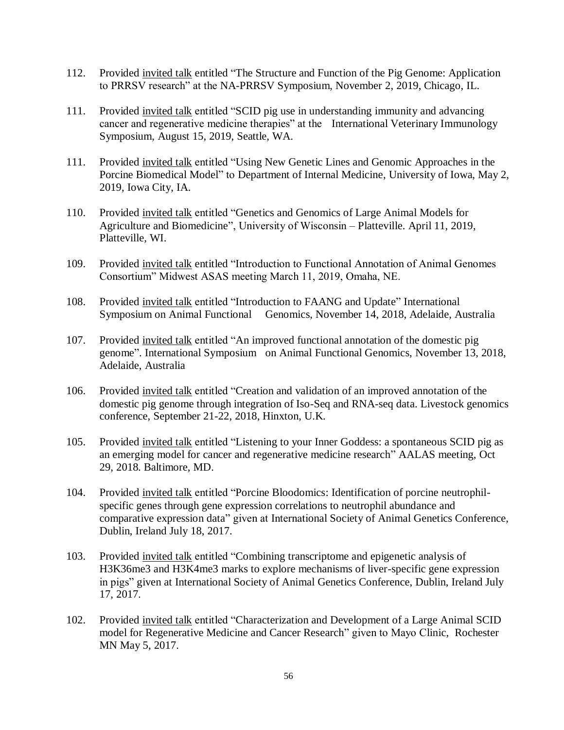- 112. Provided invited talk entitled "The Structure and Function of the Pig Genome: Application to PRRSV research" at the NA-PRRSV Symposium, November 2, 2019, Chicago, IL.
- 111. Provided invited talk entitled "SCID pig use in understanding immunity and advancing cancer and regenerative medicine therapies" at the International Veterinary Immunology Symposium, August 15, 2019, Seattle, WA.
- 111. Provided invited talk entitled "Using New Genetic Lines and Genomic Approaches in the Porcine Biomedical Model" to Department of Internal Medicine, University of Iowa, May 2, 2019, Iowa City, IA.
- 110. Provided invited talk entitled "Genetics and Genomics of Large Animal Models for Agriculture and Biomedicine", University of Wisconsin – Platteville. April 11, 2019, Platteville, WI.
- 109. Provided invited talk entitled "Introduction to Functional Annotation of Animal Genomes Consortium" Midwest ASAS meeting March 11, 2019, Omaha, NE.
- 108. Provided invited talk entitled "Introduction to FAANG and Update" International Symposium on Animal Functional Genomics, November 14, 2018, Adelaide, Australia
- 107. Provided invited talk entitled "An improved functional annotation of the domestic pig genome". International Symposium on Animal Functional Genomics, November 13, 2018, Adelaide, Australia
- 106. Provided invited talk entitled "Creation and validation of an improved annotation of the domestic pig genome through integration of Iso-Seq and RNA-seq data. Livestock genomics conference, September 21-22, 2018, Hinxton, U.K.
- 105. Provided invited talk entitled "Listening to your Inner Goddess: a spontaneous SCID pig as an emerging model for cancer and regenerative medicine research" AALAS meeting, Oct 29, 2018. Baltimore, MD.
- 104. Provided invited talk entitled "Porcine Bloodomics: Identification of porcine neutrophilspecific genes through gene expression correlations to neutrophil abundance and comparative expression data" given at International Society of Animal Genetics Conference, Dublin, Ireland July 18, 2017.
- 103. Provided invited talk entitled "Combining transcriptome and epigenetic analysis of H3K36me3 and H3K4me3 marks to explore mechanisms of liver-specific gene expression in pigs" given at International Society of Animal Genetics Conference, Dublin, Ireland July 17, 2017.
- 102. Provided invited talk entitled "Characterization and Development of a Large Animal SCID model for Regenerative Medicine and Cancer Research" given to Mayo Clinic, Rochester MN May 5, 2017.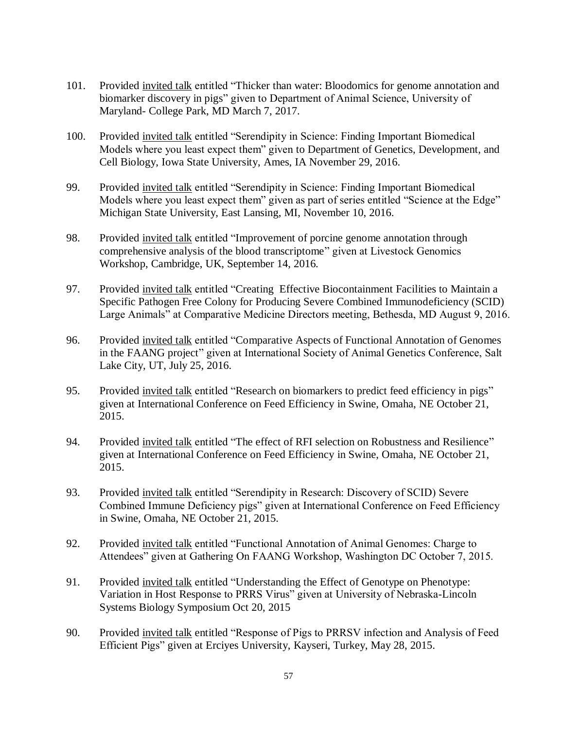- 101. Provided invited talk entitled "Thicker than water: Bloodomics for genome annotation and biomarker discovery in pigs" given to Department of Animal Science, University of Maryland- College Park, MD March 7, 2017.
- 100. Provided invited talk entitled "Serendipity in Science: Finding Important Biomedical Models where you least expect them" given to Department of Genetics, Development, and Cell Biology, Iowa State University, Ames, IA November 29, 2016.
- 99. Provided invited talk entitled "Serendipity in Science: Finding Important Biomedical Models where you least expect them" given as part of series entitled "Science at the Edge" Michigan State University, East Lansing, MI, November 10, 2016.
- 98. Provided invited talk entitled "Improvement of porcine genome annotation through comprehensive analysis of the blood transcriptome" given at Livestock Genomics Workshop, Cambridge, UK, September 14, 2016.
- 97. Provided invited talk entitled "Creating Effective Biocontainment Facilities to Maintain a Specific Pathogen Free Colony for Producing Severe Combined Immunodeficiency (SCID) Large Animals" at Comparative Medicine Directors meeting, Bethesda, MD August 9, 2016.
- 96. Provided invited talk entitled "Comparative Aspects of Functional Annotation of Genomes in the FAANG project" given at International Society of Animal Genetics Conference, Salt Lake City, UT, July 25, 2016.
- 95. Provided invited talk entitled "Research on biomarkers to predict feed efficiency in pigs" given at International Conference on Feed Efficiency in Swine, Omaha, NE October 21, 2015.
- 94. Provided invited talk entitled "The effect of RFI selection on Robustness and Resilience" given at International Conference on Feed Efficiency in Swine, Omaha, NE October 21, 2015.
- 93. Provided invited talk entitled "Serendipity in Research: Discovery of SCID) Severe Combined Immune Deficiency pigs" given at International Conference on Feed Efficiency in Swine, Omaha, NE October 21, 2015.
- 92. Provided invited talk entitled "Functional Annotation of Animal Genomes: Charge to Attendees" given at Gathering On FAANG Workshop, Washington DC October 7, 2015.
- 91. Provided invited talk entitled "Understanding the Effect of Genotype on Phenotype: Variation in Host Response to PRRS Virus" given at University of Nebraska-Lincoln Systems Biology Symposium Oct 20, 2015
- 90. Provided invited talk entitled "Response of Pigs to PRRSV infection and Analysis of Feed Efficient Pigs" given at Erciyes University, Kayseri, Turkey, May 28, 2015.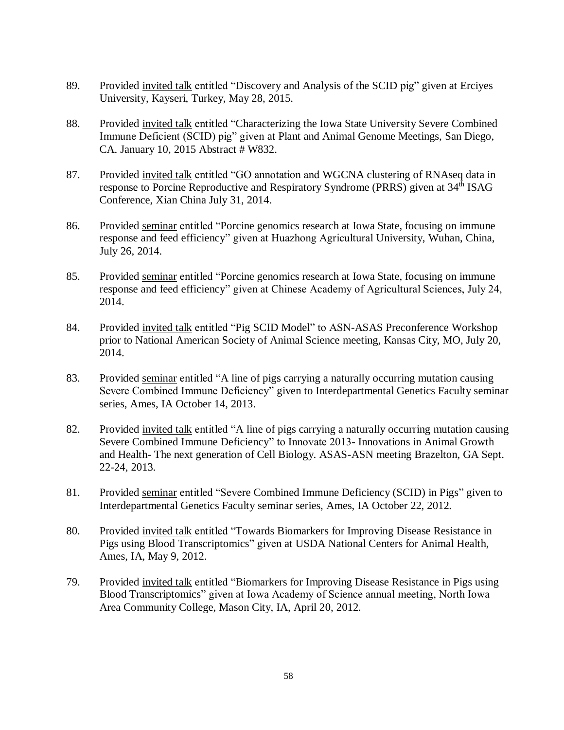- 89. Provided invited talk entitled "Discovery and Analysis of the SCID pig" given at Erciyes University, Kayseri, Turkey, May 28, 2015.
- 88. Provided invited talk entitled "Characterizing the Iowa State University Severe Combined Immune Deficient (SCID) pig" given at Plant and Animal Genome Meetings, San Diego, CA. January 10, 2015 Abstract # W832.
- 87. Provided invited talk entitled "GO annotation and WGCNA clustering of RNAseq data in response to Porcine Reproductive and Respiratory Syndrome (PRRS) given at 34<sup>th</sup> ISAG Conference, Xian China July 31, 2014.
- 86. Provided seminar entitled "Porcine genomics research at Iowa State, focusing on immune response and feed efficiency" given at Huazhong Agricultural University, Wuhan, China, July 26, 2014.
- 85. Provided seminar entitled "Porcine genomics research at Iowa State, focusing on immune response and feed efficiency" given at Chinese Academy of Agricultural Sciences, July 24, 2014.
- 84. Provided invited talk entitled "Pig SCID Model" to ASN-ASAS Preconference Workshop prior to National American Society of Animal Science meeting, Kansas City, MO, July 20, 2014.
- 83. Provided seminar entitled "A line of pigs carrying a naturally occurring mutation causing Severe Combined Immune Deficiency" given to Interdepartmental Genetics Faculty seminar series, Ames, IA October 14, 2013.
- 82. Provided invited talk entitled "A line of pigs carrying a naturally occurring mutation causing Severe Combined Immune Deficiency" to Innovate 2013- Innovations in Animal Growth and Health- The next generation of Cell Biology. ASAS-ASN meeting Brazelton, GA Sept. 22-24, 2013.
- 81. Provided seminar entitled "Severe Combined Immune Deficiency (SCID) in Pigs" given to Interdepartmental Genetics Faculty seminar series, Ames, IA October 22, 2012.
- 80. Provided invited talk entitled "Towards Biomarkers for Improving Disease Resistance in Pigs using Blood Transcriptomics" given at USDA National Centers for Animal Health, Ames, IA, May 9, 2012.
- 79. Provided invited talk entitled "Biomarkers for Improving Disease Resistance in Pigs using Blood Transcriptomics" given at Iowa Academy of Science annual meeting, North Iowa Area Community College, Mason City, IA, April 20, 2012.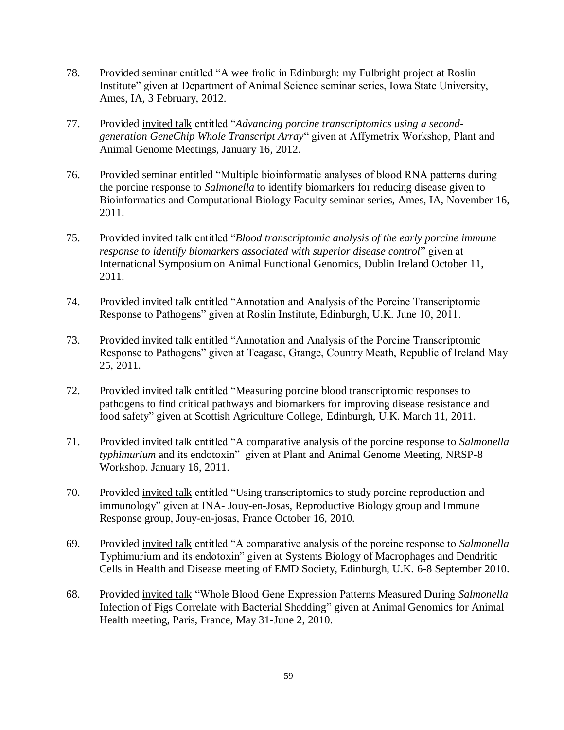- 78. Provided seminar entitled "A wee frolic in Edinburgh: my Fulbright project at Roslin Institute" given at Department of Animal Science seminar series, Iowa State University, Ames, IA, 3 February, 2012.
- 77. Provided invited talk entitled "*Advancing porcine transcriptomics using a secondgeneration GeneChip Whole Transcript Array*" given at Affymetrix Workshop, Plant and Animal Genome Meetings, January 16, 2012.
- 76. Provided seminar entitled "Multiple bioinformatic analyses of blood RNA patterns during the porcine response to *Salmonella* to identify biomarkers for reducing disease given to Bioinformatics and Computational Biology Faculty seminar series, Ames, IA, November 16, 2011.
- 75. Provided invited talk entitled "*Blood transcriptomic analysis of the early porcine immune response to identify biomarkers associated with superior disease control*" given at International Symposium on Animal Functional Genomics, Dublin Ireland October 11, 2011.
- 74. Provided invited talk entitled "Annotation and Analysis of the Porcine Transcriptomic Response to Pathogens" given at Roslin Institute, Edinburgh, U.K. June 10, 2011.
- 73. Provided invited talk entitled "Annotation and Analysis of the Porcine Transcriptomic Response to Pathogens" given at Teagasc, Grange, Country Meath, Republic of Ireland May 25, 2011.
- 72. Provided invited talk entitled "Measuring porcine blood transcriptomic responses to pathogens to find critical pathways and biomarkers for improving disease resistance and food safety" given at Scottish Agriculture College, Edinburgh, U.K. March 11, 2011.
- 71. Provided invited talk entitled "A comparative analysis of the porcine response to *Salmonella typhimurium* and its endotoxin" given at Plant and Animal Genome Meeting, NRSP-8 Workshop. January 16, 2011.
- 70. Provided invited talk entitled "Using transcriptomics to study porcine reproduction and immunology" given at INA- Jouy-en-Josas, Reproductive Biology group and Immune Response group, Jouy-en-josas, France October 16, 2010.
- 69. Provided invited talk entitled "A comparative analysis of the porcine response to *Salmonella* Typhimurium and its endotoxin" given at Systems Biology of Macrophages and Dendritic Cells in Health and Disease meeting of EMD Society, Edinburgh, U.K. 6-8 September 2010.
- 68. Provided invited talk "Whole Blood Gene Expression Patterns Measured During *Salmonella* Infection of Pigs Correlate with Bacterial Shedding" given at Animal Genomics for Animal Health meeting, Paris, France, May 31-June 2, 2010.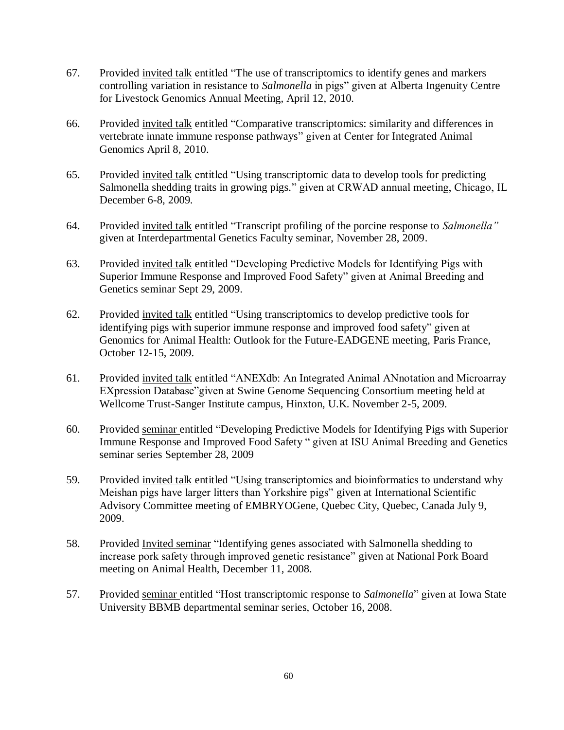- 67. Provided invited talk entitled "The use of transcriptomics to identify genes and markers controlling variation in resistance to *Salmonella* in pigs" given at Alberta Ingenuity Centre for Livestock Genomics Annual Meeting, April 12, 2010.
- 66. Provided invited talk entitled "Comparative transcriptomics: similarity and differences in vertebrate innate immune response pathways" given at Center for Integrated Animal Genomics April 8, 2010.
- 65. Provided invited talk entitled "Using transcriptomic data to develop tools for predicting Salmonella shedding traits in growing pigs." given at CRWAD annual meeting, Chicago, IL December 6-8, 2009.
- 64. Provided invited talk entitled "Transcript profiling of the porcine response to *Salmonella"*  given at Interdepartmental Genetics Faculty seminar, November 28, 2009.
- 63. Provided invited talk entitled "Developing Predictive Models for Identifying Pigs with Superior Immune Response and Improved Food Safety" given at Animal Breeding and Genetics seminar Sept 29, 2009.
- 62. Provided invited talk entitled "Using transcriptomics to develop predictive tools for identifying pigs with superior immune response and improved food safety" given at Genomics for Animal Health: Outlook for the Future-EADGENE meeting, Paris France, October 12-15, 2009.
- 61. Provided invited talk entitled "ANEXdb: An Integrated Animal ANnotation and Microarray EXpression Database"given at Swine Genome Sequencing Consortium meeting held at Wellcome Trust-Sanger Institute campus, Hinxton, U.K. November 2-5, 2009.
- 60. Provided seminar entitled "Developing Predictive Models for Identifying Pigs with Superior Immune Response and Improved Food Safety " given at ISU Animal Breeding and Genetics seminar series September 28, 2009
- 59. Provided invited talk entitled "Using transcriptomics and bioinformatics to understand why Meishan pigs have larger litters than Yorkshire pigs" given at International Scientific Advisory Committee meeting of EMBRYOGene, Quebec City, Quebec, Canada July 9, 2009.
- 58. Provided Invited seminar "Identifying genes associated with Salmonella shedding to increase pork safety through improved genetic resistance" given at National Pork Board meeting on Animal Health, December 11, 2008.
- 57. Provided seminar entitled "Host transcriptomic response to *Salmonella*" given at Iowa State University BBMB departmental seminar series, October 16, 2008.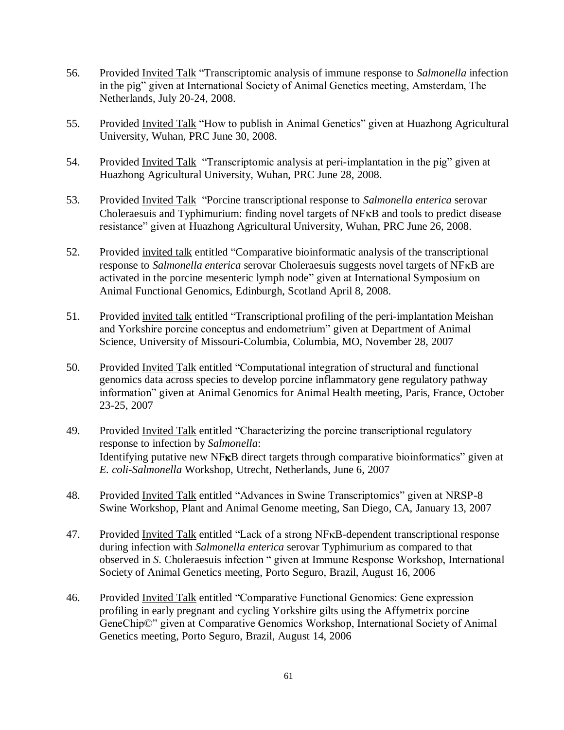- 56. Provided Invited Talk "Transcriptomic analysis of immune response to *Salmonella* infection in the pig" given at International Society of Animal Genetics meeting, Amsterdam, The Netherlands, July 20-24, 2008.
- 55. Provided Invited Talk "How to publish in Animal Genetics" given at Huazhong Agricultural University, Wuhan, PRC June 30, 2008.
- 54. Provided Invited Talk "Transcriptomic analysis at peri-implantation in the pig" given at Huazhong Agricultural University, Wuhan, PRC June 28, 2008.
- 53. Provided Invited Talk "Porcine transcriptional response to *Salmonella enterica* serovar Choleraesuis and Typhimurium: finding novel targets of NFKB and tools to predict disease resistance" given at Huazhong Agricultural University, Wuhan, PRC June 26, 2008.
- 52. Provided invited talk entitled "Comparative bioinformatic analysis of the transcriptional response to *Salmonella enterica* serovar Choleraesuis suggests novel targets of NF<sub>K</sub>B are activated in the porcine mesenteric lymph node" given at International Symposium on Animal Functional Genomics, Edinburgh, Scotland April 8, 2008.
- 51. Provided invited talk entitled "Transcriptional profiling of the peri-implantation Meishan and Yorkshire porcine conceptus and endometrium" given at Department of Animal Science, University of Missouri-Columbia, Columbia, MO, November 28, 2007
- 50. Provided Invited Talk entitled "Computational integration of structural and functional genomics data across species to develop porcine inflammatory gene regulatory pathway information" given at Animal Genomics for Animal Health meeting, Paris, France, October 23-25, 2007
- 49. Provided Invited Talk entitled "Characterizing the porcine transcriptional regulatory response to infection by *Salmonella*: Identifying putative new NF<sub>K</sub>B direct targets through comparative bioinformatics" given at *E. coli-Salmonella* Workshop, Utrecht, Netherlands, June 6, 2007
- 48. Provided Invited Talk entitled "Advances in Swine Transcriptomics" given at NRSP-8 Swine Workshop, Plant and Animal Genome meeting, San Diego, CA, January 13, 2007
- 47. Provided Invited Talk entitled "Lack of a strong NF<sub>KB</sub>-dependent transcriptional response during infection with *Salmonella enterica* serovar Typhimurium as compared to that observed in *S*. Choleraesuis infection " given at Immune Response Workshop, International Society of Animal Genetics meeting, Porto Seguro, Brazil, August 16, 2006
- 46. Provided Invited Talk entitled "Comparative Functional Genomics: Gene expression profiling in early pregnant and cycling Yorkshire gilts using the Affymetrix porcine GeneChip©" given at Comparative Genomics Workshop, International Society of Animal Genetics meeting, Porto Seguro, Brazil, August 14, 2006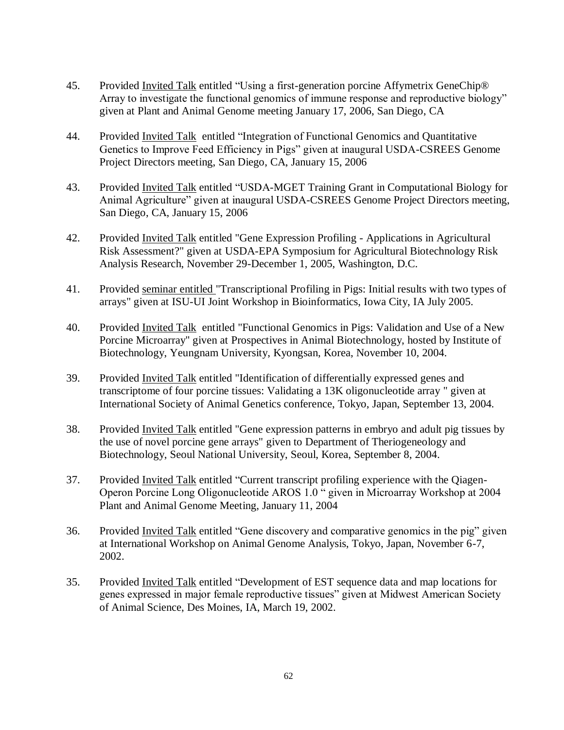- 45. Provided Invited Talk entitled "Using a first-generation porcine Affymetrix GeneChip® Array to investigate the functional genomics of immune response and reproductive biology" given at Plant and Animal Genome meeting January 17, 2006, San Diego, CA
- 44. Provided Invited Talk entitled "Integration of Functional Genomics and Quantitative Genetics to Improve Feed Efficiency in Pigs" given at inaugural USDA-CSREES Genome Project Directors meeting, San Diego, CA, January 15, 2006
- 43. Provided Invited Talk entitled "USDA-MGET Training Grant in Computational Biology for Animal Agriculture" given at inaugural USDA-CSREES Genome Project Directors meeting, San Diego, CA, January 15, 2006
- 42. Provided Invited Talk entitled "Gene Expression Profiling Applications in Agricultural Risk Assessment?" given at USDA-EPA Symposium for Agricultural Biotechnology Risk Analysis Research, November 29-December 1, 2005, Washington, D.C.
- 41. Provided seminar entitled "Transcriptional Profiling in Pigs: Initial results with two types of arrays" given at ISU-UI Joint Workshop in Bioinformatics, Iowa City, IA July 2005.
- 40. Provided Invited Talk entitled "Functional Genomics in Pigs: Validation and Use of a New Porcine Microarray" given at Prospectives in Animal Biotechnology, hosted by Institute of Biotechnology, Yeungnam University, Kyongsan, Korea, November 10, 2004.
- 39. Provided Invited Talk entitled "Identification of differentially expressed genes and transcriptome of four porcine tissues: Validating a 13K oligonucleotide array " given at International Society of Animal Genetics conference, Tokyo, Japan, September 13, 2004.
- 38. Provided Invited Talk entitled "Gene expression patterns in embryo and adult pig tissues by the use of novel porcine gene arrays" given to Department of Theriogeneology and Biotechnology, Seoul National University, Seoul, Korea, September 8, 2004.
- 37. Provided Invited Talk entitled "Current transcript profiling experience with the Qiagen-Operon Porcine Long Oligonucleotide AROS 1.0 " given in Microarray Workshop at 2004 Plant and Animal Genome Meeting, January 11, 2004
- 36. Provided Invited Talk entitled "Gene discovery and comparative genomics in the pig" given at International Workshop on Animal Genome Analysis, Tokyo, Japan, November 6-7, 2002.
- 35. Provided Invited Talk entitled "Development of EST sequence data and map locations for genes expressed in major female reproductive tissues" given at Midwest American Society of Animal Science, Des Moines, IA, March 19, 2002.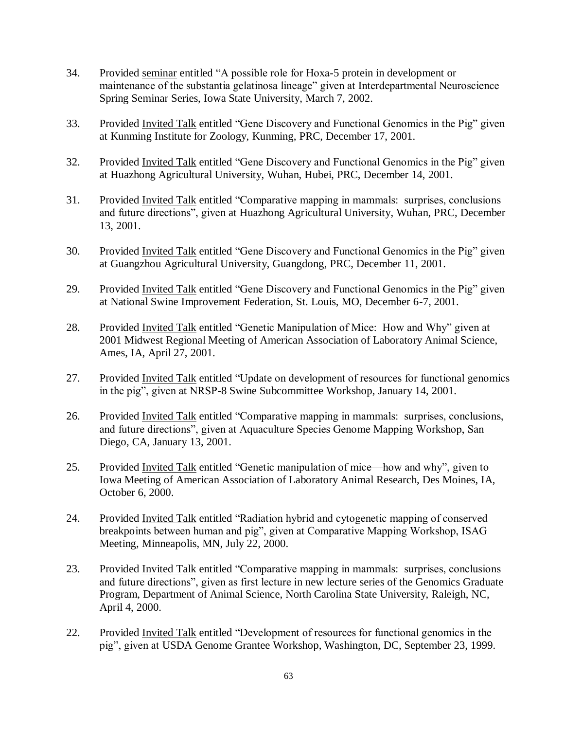- 34. Provided seminar entitled "A possible role for Hoxa-5 protein in development or maintenance of the substantia gelatinosa lineage" given at Interdepartmental Neuroscience Spring Seminar Series, Iowa State University, March 7, 2002.
- 33. Provided Invited Talk entitled "Gene Discovery and Functional Genomics in the Pig" given at Kunming Institute for Zoology, Kunming, PRC, December 17, 2001.
- 32. Provided Invited Talk entitled "Gene Discovery and Functional Genomics in the Pig" given at Huazhong Agricultural University, Wuhan, Hubei, PRC, December 14, 2001.
- 31. Provided Invited Talk entitled "Comparative mapping in mammals: surprises, conclusions and future directions", given at Huazhong Agricultural University, Wuhan, PRC, December 13, 2001.
- 30. Provided Invited Talk entitled "Gene Discovery and Functional Genomics in the Pig" given at Guangzhou Agricultural University, Guangdong, PRC, December 11, 2001.
- 29. Provided Invited Talk entitled "Gene Discovery and Functional Genomics in the Pig" given at National Swine Improvement Federation, St. Louis, MO, December 6-7, 2001.
- 28. Provided Invited Talk entitled "Genetic Manipulation of Mice: How and Why" given at 2001 Midwest Regional Meeting of American Association of Laboratory Animal Science, Ames, IA, April 27, 2001.
- 27. Provided Invited Talk entitled "Update on development of resources for functional genomics in the pig", given at NRSP-8 Swine Subcommittee Workshop, January 14, 2001.
- 26. Provided Invited Talk entitled "Comparative mapping in mammals: surprises, conclusions, and future directions", given at Aquaculture Species Genome Mapping Workshop, San Diego, CA, January 13, 2001.
- 25. Provided Invited Talk entitled "Genetic manipulation of mice—how and why", given to Iowa Meeting of American Association of Laboratory Animal Research, Des Moines, IA, October 6, 2000.
- 24. Provided Invited Talk entitled "Radiation hybrid and cytogenetic mapping of conserved breakpoints between human and pig", given at Comparative Mapping Workshop, ISAG Meeting, Minneapolis, MN, July 22, 2000.
- 23. Provided Invited Talk entitled "Comparative mapping in mammals: surprises, conclusions and future directions", given as first lecture in new lecture series of the Genomics Graduate Program, Department of Animal Science, North Carolina State University, Raleigh, NC, April 4, 2000.
- 22. Provided Invited Talk entitled "Development of resources for functional genomics in the pig", given at USDA Genome Grantee Workshop, Washington, DC, September 23, 1999.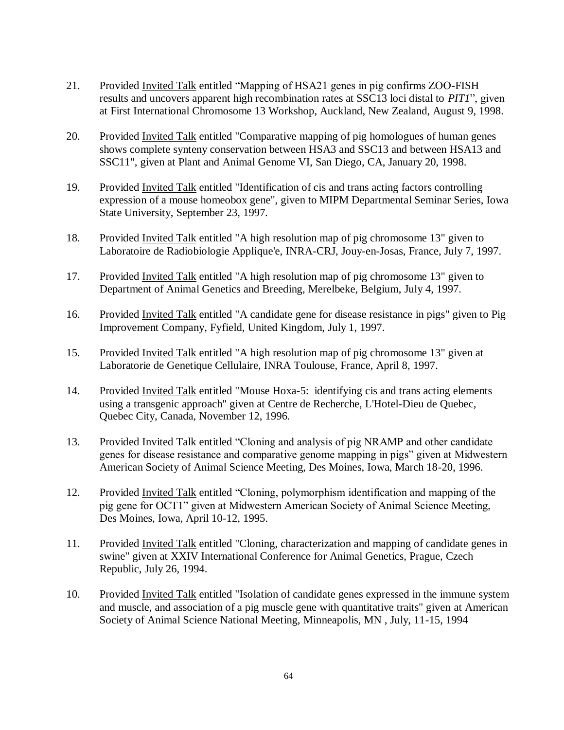- 21. Provided Invited Talk entitled "Mapping of HSA21 genes in pig confirms ZOO-FISH results and uncovers apparent high recombination rates at SSC13 loci distal to *PIT1*", given at First International Chromosome 13 Workshop, Auckland, New Zealand, August 9, 1998.
- 20. Provided Invited Talk entitled "Comparative mapping of pig homologues of human genes shows complete synteny conservation between HSA3 and SSC13 and between HSA13 and SSC11", given at Plant and Animal Genome VI, San Diego, CA, January 20, 1998.
- 19. Provided Invited Talk entitled "Identification of cis and trans acting factors controlling expression of a mouse homeobox gene", given to MIPM Departmental Seminar Series, Iowa State University, September 23, 1997.
- 18. Provided Invited Talk entitled "A high resolution map of pig chromosome 13" given to Laboratoire de Radiobiologie Applique'e, INRA-CRJ, Jouy-en-Josas, France, July 7, 1997.
- 17. Provided Invited Talk entitled "A high resolution map of pig chromosome 13" given to Department of Animal Genetics and Breeding, Merelbeke, Belgium, July 4, 1997.
- 16. Provided Invited Talk entitled "A candidate gene for disease resistance in pigs" given to Pig Improvement Company, Fyfield, United Kingdom, July 1, 1997.
- 15. Provided Invited Talk entitled "A high resolution map of pig chromosome 13" given at Laboratorie de Genetique Cellulaire, INRA Toulouse, France, April 8, 1997.
- 14. Provided Invited Talk entitled "Mouse Hoxa-5: identifying cis and trans acting elements using a transgenic approach" given at Centre de Recherche, L'Hotel-Dieu de Quebec, Quebec City, Canada, November 12, 1996.
- 13. Provided Invited Talk entitled "Cloning and analysis of pig NRAMP and other candidate genes for disease resistance and comparative genome mapping in pigs" given at Midwestern American Society of Animal Science Meeting, Des Moines, Iowa, March 18-20, 1996.
- 12. Provided Invited Talk entitled "Cloning, polymorphism identification and mapping of the pig gene for OCT1" given at Midwestern American Society of Animal Science Meeting, Des Moines, Iowa, April 10-12, 1995.
- 11. Provided Invited Talk entitled "Cloning, characterization and mapping of candidate genes in swine" given at XXIV International Conference for Animal Genetics, Prague, Czech Republic, July 26, 1994.
- 10. Provided Invited Talk entitled "Isolation of candidate genes expressed in the immune system and muscle, and association of a pig muscle gene with quantitative traits" given at American Society of Animal Science National Meeting, Minneapolis, MN , July, 11-15, 1994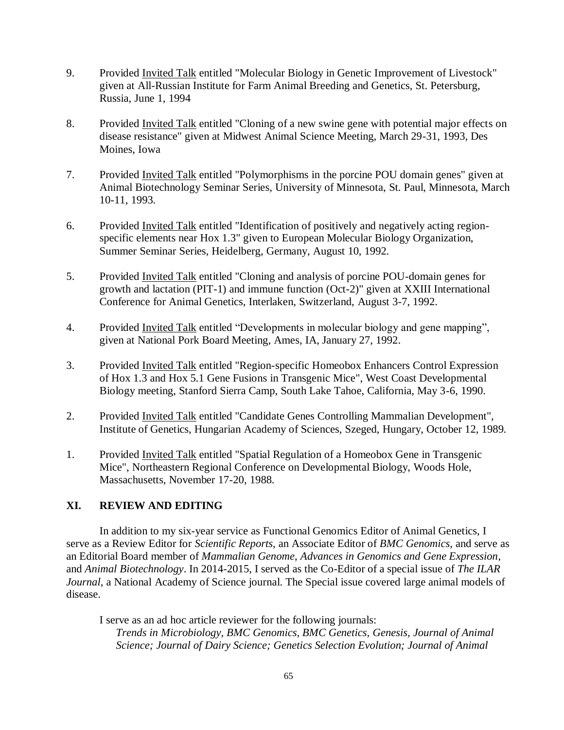- 9. Provided Invited Talk entitled "Molecular Biology in Genetic Improvement of Livestock" given at All-Russian Institute for Farm Animal Breeding and Genetics, St. Petersburg, Russia, June 1, 1994
- 8. Provided Invited Talk entitled "Cloning of a new swine gene with potential major effects on disease resistance" given at Midwest Animal Science Meeting, March 29-31, 1993, Des Moines, Iowa
- 7. Provided Invited Talk entitled "Polymorphisms in the porcine POU domain genes" given at Animal Biotechnology Seminar Series, University of Minnesota, St. Paul, Minnesota, March 10-11, 1993.
- 6. Provided Invited Talk entitled "Identification of positively and negatively acting regionspecific elements near Hox 1.3" given to European Molecular Biology Organization, Summer Seminar Series, Heidelberg, Germany, August 10, 1992.
- 5. Provided Invited Talk entitled "Cloning and analysis of porcine POU-domain genes for growth and lactation (PIT-1) and immune function (Oct-2)" given at XXIII International Conference for Animal Genetics, Interlaken, Switzerland, August 3-7, 1992.
- 4. Provided Invited Talk entitled "Developments in molecular biology and gene mapping", given at National Pork Board Meeting, Ames, IA, January 27, 1992.
- 3. Provided Invited Talk entitled "Region-specific Homeobox Enhancers Control Expression of Hox 1.3 and Hox 5.1 Gene Fusions in Transgenic Mice", West Coast Developmental Biology meeting, Stanford Sierra Camp, South Lake Tahoe, California, May 3-6, 1990.
- 2. Provided Invited Talk entitled "Candidate Genes Controlling Mammalian Development", Institute of Genetics, Hungarian Academy of Sciences, Szeged, Hungary, October 12, 1989.
- 1. Provided Invited Talk entitled "Spatial Regulation of a Homeobox Gene in Transgenic Mice", Northeastern Regional Conference on Developmental Biology, Woods Hole, Massachusetts, November 17-20, 1988.

## **XI. REVIEW AND EDITING**

In addition to my six-year service as Functional Genomics Editor of Animal Genetics, I serve as a Review Editor for *Scientific Reports*, an Associate Editor of *BMC Genomics*, and serve as an Editorial Board member of *Mammalian Genome*, *Advances in Genomics and Gene Expression*, and *Animal Biotechnology*. In 2014-2015, I served as the Co-Editor of a special issue of *The ILAR Journal*, a National Academy of Science journal. The Special issue covered large animal models of disease.

I serve as an ad hoc article reviewer for the following journals: *Trends in Microbiology, BMC Genomics, BMC Genetics, Genesis, Journal of Animal Science; Journal of Dairy Science; Genetics Selection Evolution; Journal of Animal*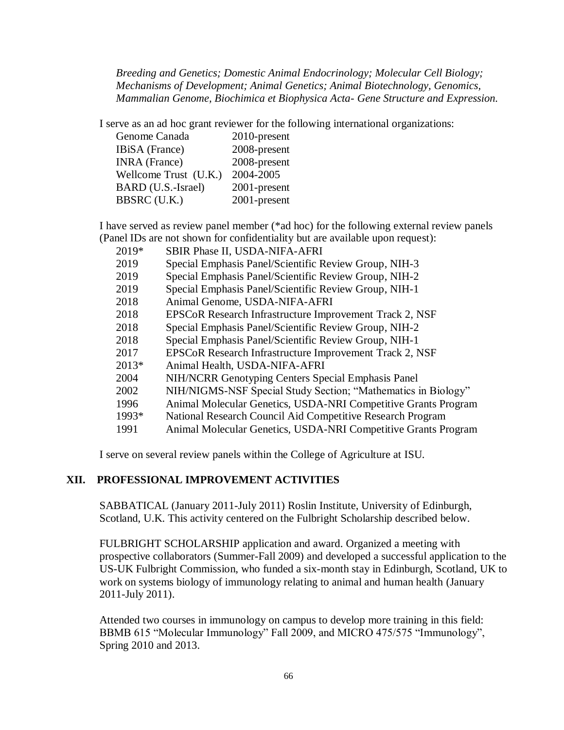*Breeding and Genetics; Domestic Animal Endocrinology; Molecular Cell Biology; Mechanisms of Development; Animal Genetics; Animal Biotechnology, Genomics, Mammalian Genome, Biochimica et Biophysica Acta- Gene Structure and Expression.*

I serve as an ad hoc grant reviewer for the following international organizations:

| Genome Canada         | 2010-present |
|-----------------------|--------------|
| IBiSA (France)        | 2008-present |
| <b>INRA</b> (France)  | 2008-present |
| Wellcome Trust (U.K.) | 2004-2005    |
| BARD (U.S.-Israel)    | 2001-present |
| <b>BBSRC</b> (U.K.)   | 2001-present |
|                       |              |

I have served as review panel member (\*ad hoc) for the following external review panels (Panel IDs are not shown for confidentiality but are available upon request):

- 2019\* SBIR Phase II, USDA-NIFA-AFRI
- 2019 Special Emphasis Panel/Scientific Review Group, NIH-3
- 2019 Special Emphasis Panel/Scientific Review Group, NIH-2
- 2019 Special Emphasis Panel/Scientific Review Group, NIH-1
- 2018 Animal Genome, USDA-NIFA-AFRI
- 2018 EPSCoR Research Infrastructure Improvement Track 2, NSF
- 2018 Special Emphasis Panel/Scientific Review Group, NIH-2
- 2018 Special Emphasis Panel/Scientific Review Group, NIH-1
- 2017 EPSCoR Research Infrastructure Improvement Track 2, NSF
- 2013\* Animal Health, USDA-NIFA-AFRI
- 2004 NIH/NCRR Genotyping Centers Special Emphasis Panel
- 2002 NIH/NIGMS-NSF Special Study Section; "Mathematics in Biology"
- 1996 Animal Molecular Genetics, USDA-NRI Competitive Grants Program
- 1993\* National Research Council Aid Competitive Research Program
- 1991 Animal Molecular Genetics, USDA-NRI Competitive Grants Program

I serve on several review panels within the College of Agriculture at ISU.

## **XII. PROFESSIONAL IMPROVEMENT ACTIVITIES**

SABBATICAL (January 2011-July 2011) Roslin Institute, University of Edinburgh, Scotland, U.K. This activity centered on the Fulbright Scholarship described below.

FULBRIGHT SCHOLARSHIP application and award. Organized a meeting with prospective collaborators (Summer-Fall 2009) and developed a successful application to the US-UK Fulbright Commission, who funded a six-month stay in Edinburgh, Scotland, UK to work on systems biology of immunology relating to animal and human health (January 2011-July 2011).

Attended two courses in immunology on campus to develop more training in this field: BBMB 615 "Molecular Immunology" Fall 2009, and MICRO 475/575 "Immunology", Spring 2010 and 2013.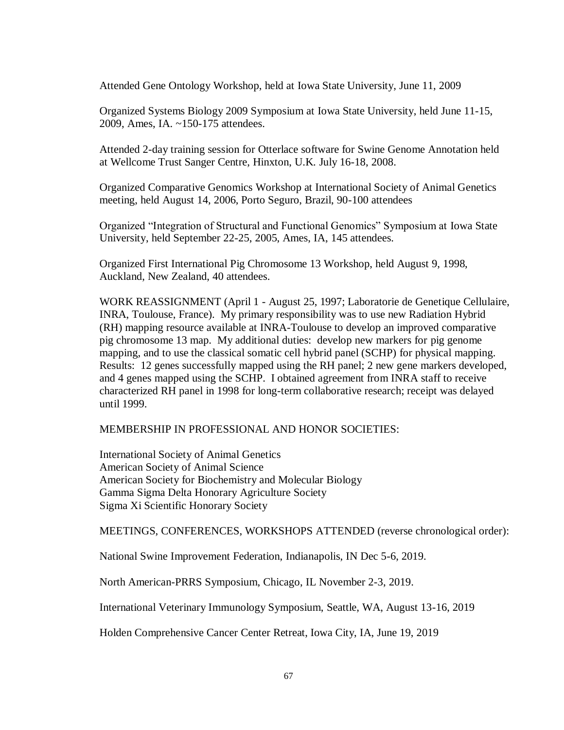Attended Gene Ontology Workshop, held at Iowa State University, June 11, 2009

Organized Systems Biology 2009 Symposium at Iowa State University, held June 11-15, 2009, Ames, IA. ~150-175 attendees.

Attended 2-day training session for Otterlace software for Swine Genome Annotation held at Wellcome Trust Sanger Centre, Hinxton, U.K. July 16-18, 2008.

Organized Comparative Genomics Workshop at International Society of Animal Genetics meeting, held August 14, 2006, Porto Seguro, Brazil, 90-100 attendees

Organized "Integration of Structural and Functional Genomics" Symposium at Iowa State University, held September 22-25, 2005, Ames, IA, 145 attendees.

Organized First International Pig Chromosome 13 Workshop, held August 9, 1998, Auckland, New Zealand, 40 attendees.

WORK REASSIGNMENT (April 1 - August 25, 1997; Laboratorie de Genetique Cellulaire, INRA, Toulouse, France). My primary responsibility was to use new Radiation Hybrid (RH) mapping resource available at INRA-Toulouse to develop an improved comparative pig chromosome 13 map. My additional duties: develop new markers for pig genome mapping, and to use the classical somatic cell hybrid panel (SCHP) for physical mapping. Results: 12 genes successfully mapped using the RH panel; 2 new gene markers developed, and 4 genes mapped using the SCHP. I obtained agreement from INRA staff to receive characterized RH panel in 1998 for long-term collaborative research; receipt was delayed until 1999.

MEMBERSHIP IN PROFESSIONAL AND HONOR SOCIETIES:

International Society of Animal Genetics American Society of Animal Science American Society for Biochemistry and Molecular Biology Gamma Sigma Delta Honorary Agriculture Society Sigma Xi Scientific Honorary Society

MEETINGS, CONFERENCES, WORKSHOPS ATTENDED (reverse chronological order):

National Swine Improvement Federation, Indianapolis, IN Dec 5-6, 2019.

North American-PRRS Symposium, Chicago, IL November 2-3, 2019.

International Veterinary Immunology Symposium, Seattle, WA, August 13-16, 2019

Holden Comprehensive Cancer Center Retreat, Iowa City, IA, June 19, 2019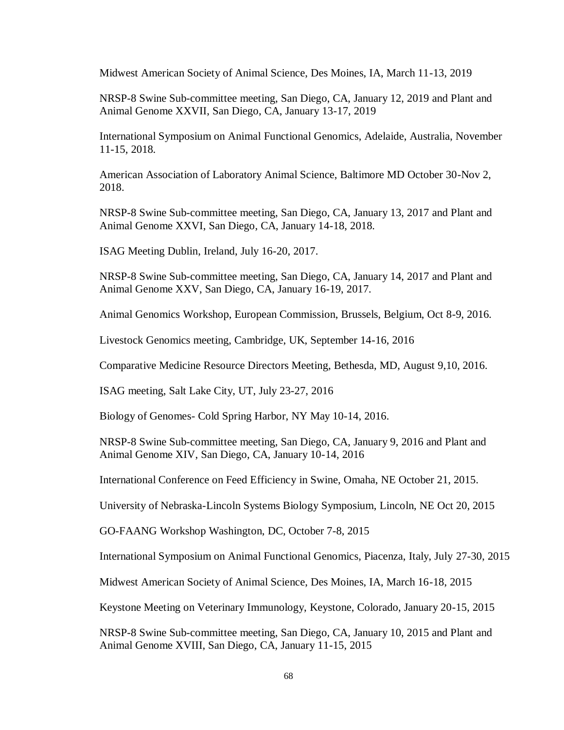Midwest American Society of Animal Science, Des Moines, IA, March 11-13, 2019

NRSP-8 Swine Sub-committee meeting, San Diego, CA, January 12, 2019 and Plant and Animal Genome XXVII, San Diego, CA, January 13-17, 2019

International Symposium on Animal Functional Genomics, Adelaide, Australia, November 11-15, 2018.

American Association of Laboratory Animal Science, Baltimore MD October 30-Nov 2, 2018.

NRSP-8 Swine Sub-committee meeting, San Diego, CA, January 13, 2017 and Plant and Animal Genome XXVI, San Diego, CA, January 14-18, 2018.

ISAG Meeting Dublin, Ireland, July 16-20, 2017.

NRSP-8 Swine Sub-committee meeting, San Diego, CA, January 14, 2017 and Plant and Animal Genome XXV, San Diego, CA, January 16-19, 2017.

Animal Genomics Workshop, European Commission, Brussels, Belgium, Oct 8-9, 2016.

Livestock Genomics meeting, Cambridge, UK, September 14-16, 2016

Comparative Medicine Resource Directors Meeting, Bethesda, MD, August 9,10, 2016.

ISAG meeting, Salt Lake City, UT, July 23-27, 2016

Biology of Genomes- Cold Spring Harbor, NY May 10-14, 2016.

NRSP-8 Swine Sub-committee meeting, San Diego, CA, January 9, 2016 and Plant and Animal Genome XIV, San Diego, CA, January 10-14, 2016

International Conference on Feed Efficiency in Swine, Omaha, NE October 21, 2015.

University of Nebraska-Lincoln Systems Biology Symposium, Lincoln, NE Oct 20, 2015

GO-FAANG Workshop Washington, DC, October 7-8, 2015

International Symposium on Animal Functional Genomics, Piacenza, Italy, July 27-30, 2015

Midwest American Society of Animal Science, Des Moines, IA, March 16-18, 2015

Keystone Meeting on Veterinary Immunology, Keystone, Colorado, January 20-15, 2015

NRSP-8 Swine Sub-committee meeting, San Diego, CA, January 10, 2015 and Plant and Animal Genome XVIII, San Diego, CA, January 11-15, 2015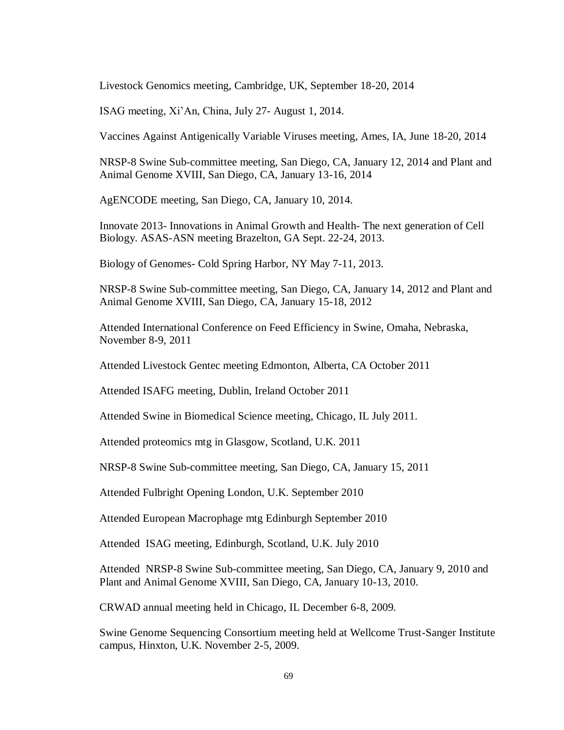Livestock Genomics meeting, Cambridge, UK, September 18-20, 2014

ISAG meeting, Xi'An, China, July 27- August 1, 2014.

Vaccines Against Antigenically Variable Viruses meeting, Ames, IA, June 18-20, 2014

NRSP-8 Swine Sub-committee meeting, San Diego, CA, January 12, 2014 and Plant and Animal Genome XVIII, San Diego, CA, January 13-16, 2014

AgENCODE meeting, San Diego, CA, January 10, 2014.

Innovate 2013- Innovations in Animal Growth and Health- The next generation of Cell Biology. ASAS-ASN meeting Brazelton, GA Sept. 22-24, 2013.

Biology of Genomes- Cold Spring Harbor, NY May 7-11, 2013.

NRSP-8 Swine Sub-committee meeting, San Diego, CA, January 14, 2012 and Plant and Animal Genome XVIII, San Diego, CA, January 15-18, 2012

Attended International Conference on Feed Efficiency in Swine, Omaha, Nebraska, November 8-9, 2011

Attended Livestock Gentec meeting Edmonton, Alberta, CA October 2011

Attended ISAFG meeting, Dublin, Ireland October 2011

Attended Swine in Biomedical Science meeting, Chicago, IL July 2011.

Attended proteomics mtg in Glasgow, Scotland, U.K. 2011

NRSP-8 Swine Sub-committee meeting, San Diego, CA, January 15, 2011

Attended Fulbright Opening London, U.K. September 2010

Attended European Macrophage mtg Edinburgh September 2010

Attended ISAG meeting, Edinburgh, Scotland, U.K. July 2010

Attended NRSP-8 Swine Sub-committee meeting, San Diego, CA, January 9, 2010 and Plant and Animal Genome XVIII, San Diego, CA, January 10-13, 2010.

CRWAD annual meeting held in Chicago, IL December 6-8, 2009.

Swine Genome Sequencing Consortium meeting held at Wellcome Trust-Sanger Institute campus, Hinxton, U.K. November 2-5, 2009.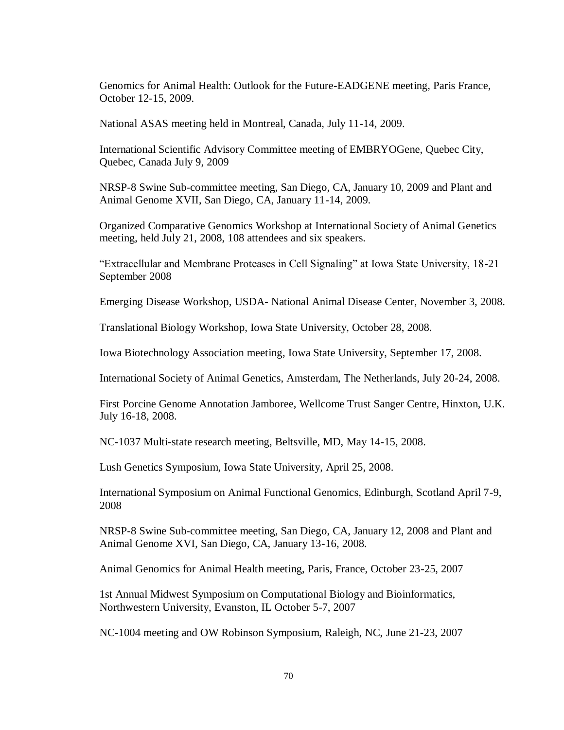Genomics for Animal Health: Outlook for the Future-EADGENE meeting, Paris France, October 12-15, 2009.

National ASAS meeting held in Montreal, Canada, July 11-14, 2009.

International Scientific Advisory Committee meeting of EMBRYOGene, Quebec City, Quebec, Canada July 9, 2009

NRSP-8 Swine Sub-committee meeting, San Diego, CA, January 10, 2009 and Plant and Animal Genome XVII, San Diego, CA, January 11-14, 2009.

Organized Comparative Genomics Workshop at International Society of Animal Genetics meeting, held July 21, 2008, 108 attendees and six speakers.

"Extracellular and Membrane Proteases in Cell Signaling" at Iowa State University, 18-21 September 2008

Emerging Disease Workshop, USDA- National Animal Disease Center, November 3, 2008.

Translational Biology Workshop, Iowa State University, October 28, 2008.

Iowa Biotechnology Association meeting, Iowa State University, September 17, 2008.

International Society of Animal Genetics, Amsterdam, The Netherlands, July 20-24, 2008.

First Porcine Genome Annotation Jamboree, Wellcome Trust Sanger Centre, Hinxton, U.K. July 16-18, 2008.

NC-1037 Multi-state research meeting, Beltsville, MD, May 14-15, 2008.

Lush Genetics Symposium, Iowa State University, April 25, 2008.

International Symposium on Animal Functional Genomics, Edinburgh, Scotland April 7-9, 2008

NRSP-8 Swine Sub-committee meeting, San Diego, CA, January 12, 2008 and Plant and Animal Genome XVI, San Diego, CA, January 13-16, 2008.

Animal Genomics for Animal Health meeting, Paris, France, October 23-25, 2007

1st Annual Midwest Symposium on Computational Biology and Bioinformatics, Northwestern University, Evanston, IL October 5-7, 2007

NC-1004 meeting and OW Robinson Symposium, Raleigh, NC, June 21-23, 2007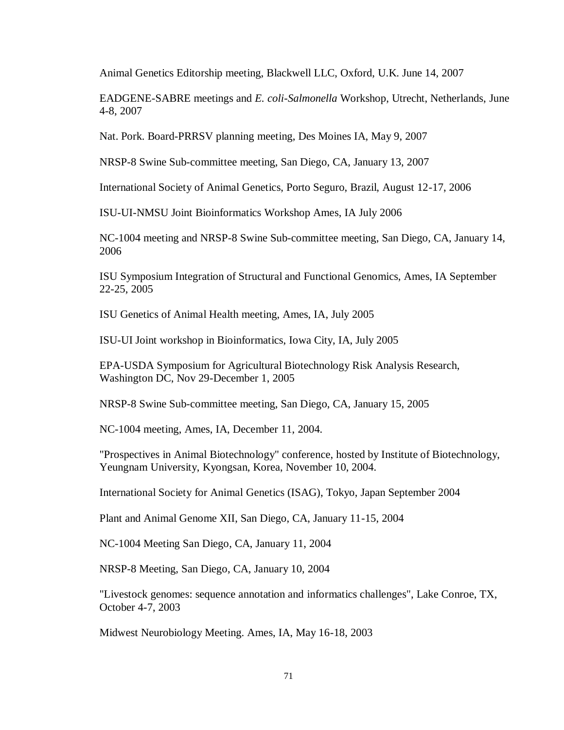Animal Genetics Editorship meeting, Blackwell LLC, Oxford, U.K. June 14, 2007

EADGENE-SABRE meetings and *E. coli-Salmonella* Workshop, Utrecht, Netherlands, June 4-8, 2007

Nat. Pork. Board-PRRSV planning meeting, Des Moines IA, May 9, 2007

NRSP-8 Swine Sub-committee meeting, San Diego, CA, January 13, 2007

International Society of Animal Genetics, Porto Seguro, Brazil, August 12-17, 2006

ISU-UI-NMSU Joint Bioinformatics Workshop Ames, IA July 2006

NC-1004 meeting and NRSP-8 Swine Sub-committee meeting, San Diego, CA, January 14, 2006

ISU Symposium Integration of Structural and Functional Genomics, Ames, IA September 22-25, 2005

ISU Genetics of Animal Health meeting, Ames, IA, July 2005

ISU-UI Joint workshop in Bioinformatics, Iowa City, IA, July 2005

EPA-USDA Symposium for Agricultural Biotechnology Risk Analysis Research, Washington DC, Nov 29-December 1, 2005

NRSP-8 Swine Sub-committee meeting, San Diego, CA, January 15, 2005

NC-1004 meeting, Ames, IA, December 11, 2004.

"Prospectives in Animal Biotechnology" conference, hosted by Institute of Biotechnology, Yeungnam University, Kyongsan, Korea, November 10, 2004.

International Society for Animal Genetics (ISAG), Tokyo, Japan September 2004

Plant and Animal Genome XII, San Diego, CA, January 11-15, 2004

NC-1004 Meeting San Diego, CA, January 11, 2004

NRSP-8 Meeting, San Diego, CA, January 10, 2004

"Livestock genomes: sequence annotation and informatics challenges", Lake Conroe, TX, October 4-7, 2003

Midwest Neurobiology Meeting. Ames, IA, May 16-18, 2003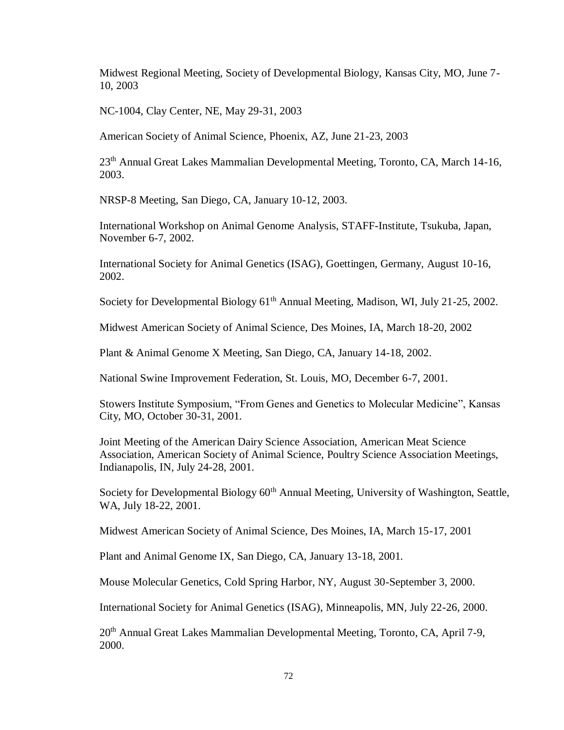Midwest Regional Meeting, Society of Developmental Biology, Kansas City, MO, June 7- 10, 2003

NC-1004, Clay Center, NE, May 29-31, 2003

American Society of Animal Science, Phoenix, AZ, June 21-23, 2003

23<sup>th</sup> Annual Great Lakes Mammalian Developmental Meeting, Toronto, CA, March 14-16, 2003.

NRSP-8 Meeting, San Diego, CA, January 10-12, 2003.

International Workshop on Animal Genome Analysis, STAFF-Institute, Tsukuba, Japan, November 6-7, 2002.

International Society for Animal Genetics (ISAG), Goettingen, Germany, August 10-16, 2002.

Society for Developmental Biology 61<sup>th</sup> Annual Meeting, Madison, WI, July 21-25, 2002.

Midwest American Society of Animal Science, Des Moines, IA, March 18-20, 2002

Plant & Animal Genome X Meeting, San Diego, CA, January 14-18, 2002.

National Swine Improvement Federation, St. Louis, MO, December 6-7, 2001.

Stowers Institute Symposium, "From Genes and Genetics to Molecular Medicine", Kansas City, MO, October 30-31, 2001.

Joint Meeting of the American Dairy Science Association, American Meat Science Association, American Society of Animal Science, Poultry Science Association Meetings, Indianapolis, IN, July 24-28, 2001.

Society for Developmental Biology 60<sup>th</sup> Annual Meeting, University of Washington, Seattle, WA, July 18-22, 2001.

Midwest American Society of Animal Science, Des Moines, IA, March 15-17, 2001

Plant and Animal Genome IX, San Diego, CA, January 13-18, 2001.

Mouse Molecular Genetics, Cold Spring Harbor, NY, August 30-September 3, 2000.

International Society for Animal Genetics (ISAG), Minneapolis, MN, July 22-26, 2000.

20<sup>th</sup> Annual Great Lakes Mammalian Developmental Meeting, Toronto, CA, April 7-9, 2000.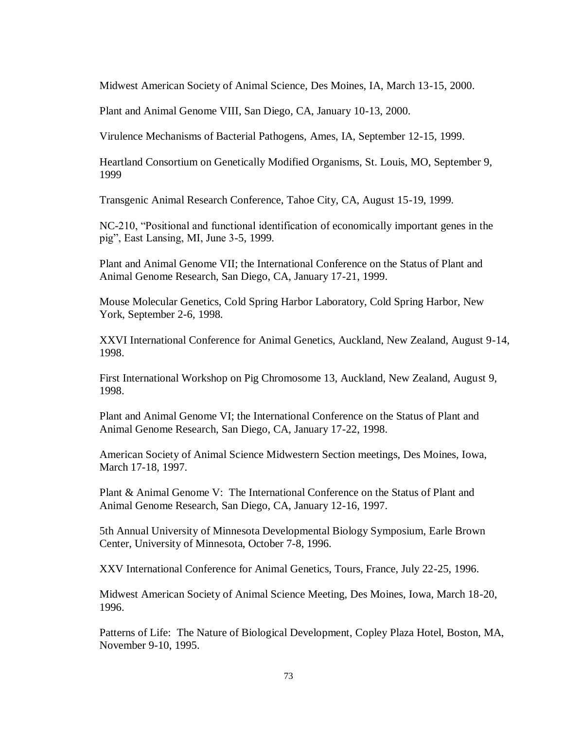Midwest American Society of Animal Science, Des Moines, IA, March 13-15, 2000.

Plant and Animal Genome VIII, San Diego, CA, January 10-13, 2000.

Virulence Mechanisms of Bacterial Pathogens, Ames, IA, September 12-15, 1999.

Heartland Consortium on Genetically Modified Organisms, St. Louis, MO, September 9, 1999

Transgenic Animal Research Conference, Tahoe City, CA, August 15-19, 1999.

NC-210, "Positional and functional identification of economically important genes in the pig", East Lansing, MI, June 3-5, 1999.

Plant and Animal Genome VII; the International Conference on the Status of Plant and Animal Genome Research, San Diego, CA, January 17-21, 1999.

Mouse Molecular Genetics, Cold Spring Harbor Laboratory, Cold Spring Harbor, New York, September 2-6, 1998.

XXVI International Conference for Animal Genetics, Auckland, New Zealand, August 9-14, 1998.

First International Workshop on Pig Chromosome 13, Auckland, New Zealand, August 9, 1998.

Plant and Animal Genome VI; the International Conference on the Status of Plant and Animal Genome Research, San Diego, CA, January 17-22, 1998.

American Society of Animal Science Midwestern Section meetings, Des Moines, Iowa, March 17-18, 1997.

Plant & Animal Genome V: The International Conference on the Status of Plant and Animal Genome Research, San Diego, CA, January 12-16, 1997.

5th Annual University of Minnesota Developmental Biology Symposium, Earle Brown Center, University of Minnesota, October 7-8, 1996.

XXV International Conference for Animal Genetics, Tours, France, July 22-25, 1996.

Midwest American Society of Animal Science Meeting, Des Moines, Iowa, March 18-20, 1996.

Patterns of Life: The Nature of Biological Development, Copley Plaza Hotel, Boston, MA, November 9-10, 1995.